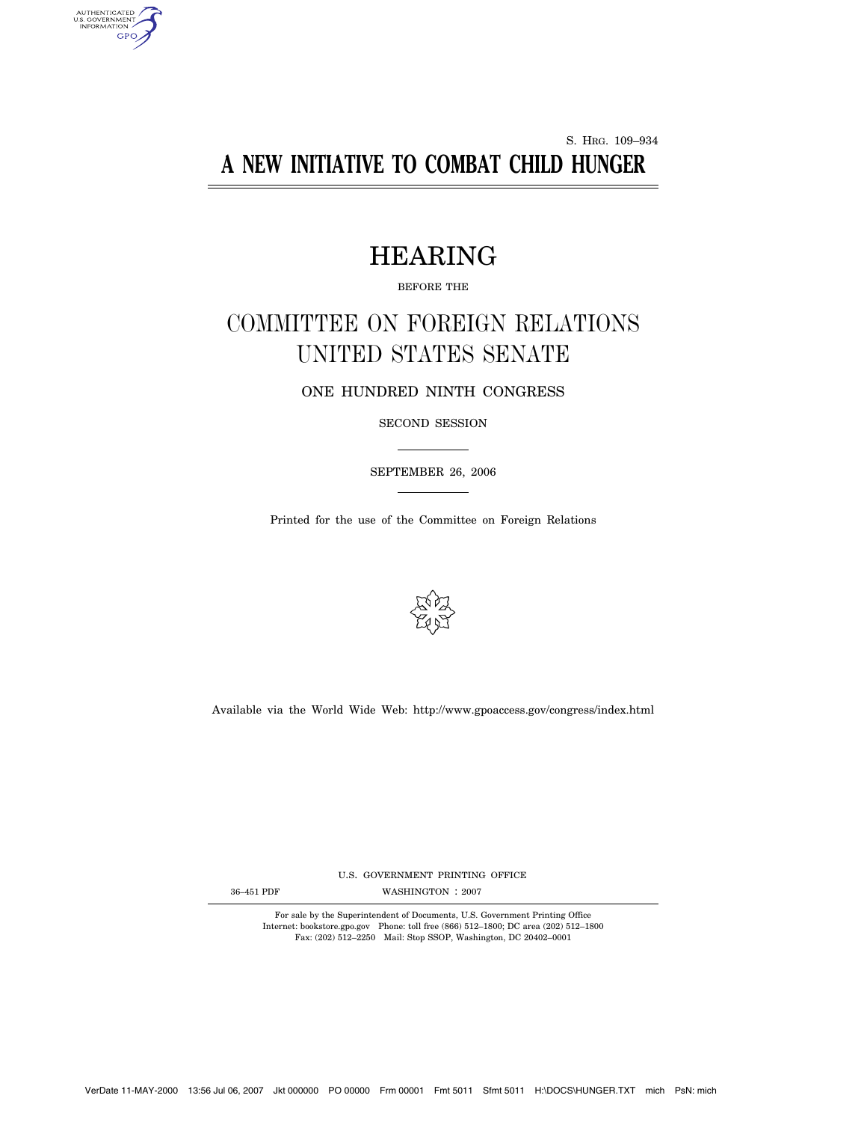# S. HRG. 109–934 **A NEW INITIATIVE TO COMBAT CHILD HUNGER**

# HEARING

BEFORE THE

# COMMITTEE ON FOREIGN RELATIONS UNITED STATES SENATE

ONE HUNDRED NINTH CONGRESS

SECOND SESSION

SEPTEMBER 26, 2006

Printed for the use of the Committee on Foreign Relations



Available via the World Wide Web: http://www.gpoaccess.gov/congress/index.html

U.S. GOVERNMENT PRINTING OFFICE

AUTHENTICATED<br>U.S. GOVERNMENT<br>INFORMATION **GPO** 

36-451 PDF WASHINGTON : 2007

For sale by the Superintendent of Documents, U.S. Government Printing Office Internet: bookstore.gpo.gov Phone: toll free (866) 512–1800; DC area (202) 512–1800 Fax: (202) 512–2250 Mail: Stop SSOP, Washington, DC 20402–0001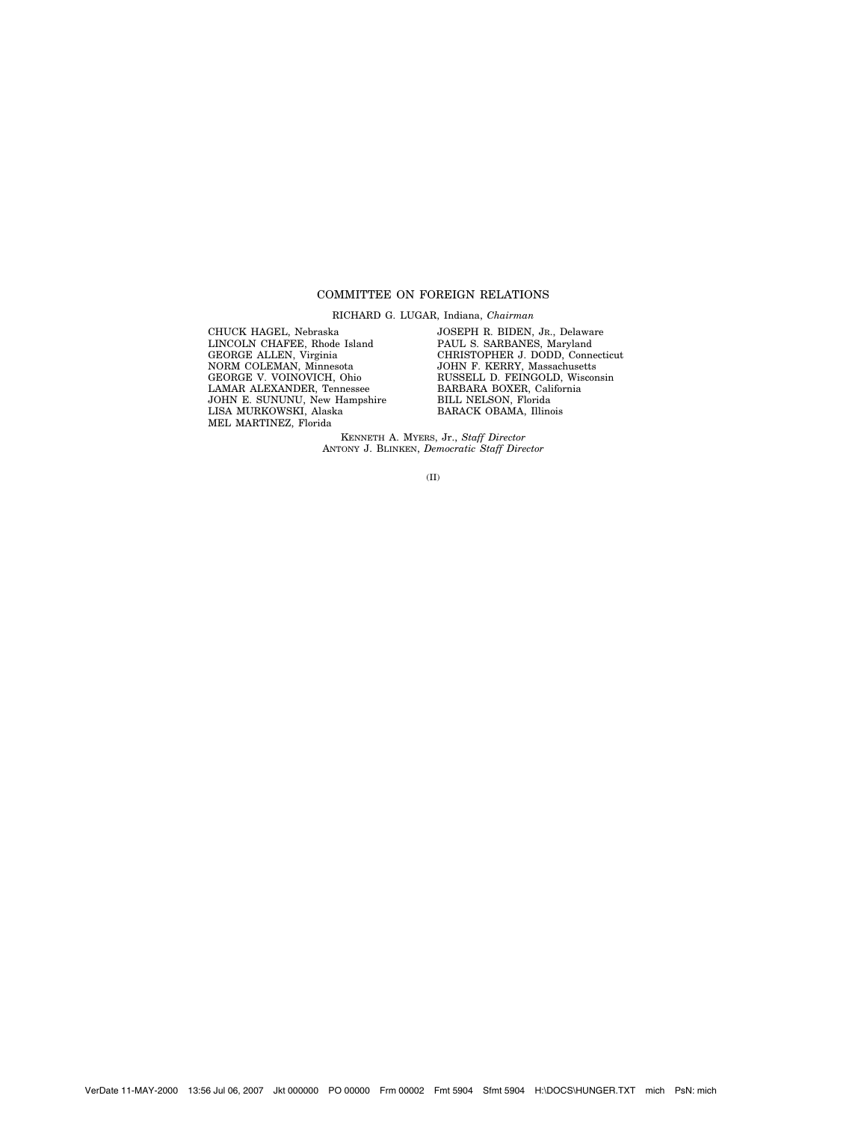# COMMITTEE ON FOREIGN RELATIONS

RICHARD G. LUGAR, Indiana, *Chairman*

CHUCK HAGEL, Nebraska LINCOLN CHAFEE, Rhode Island GEORGE ALLEN, Virginia NORM COLEMAN, Minnesota GEORGE V. VOINOVICH, Ohio LAMAR ALEXANDER, Tennessee JOHN E. SUNUNU, New Hampshire LISA MURKOWSKI, Alaska MEL MARTINEZ, Florida

JOSEPH R. BIDEN, JR., Delaware PAUL S. SARBANES, Maryland CHRISTOPHER J. DODD, Connecticut JOHN F. KERRY, Massachusetts RUSSELL D. FEINGOLD, Wisconsin BARBARA BOXER, California BILL NELSON, Florida BARACK OBAMA, Illinois

KENNETH A. MYERS, Jr., *Staff Director* ANTONY J. BLINKEN, *Democratic Staff Director*

(II)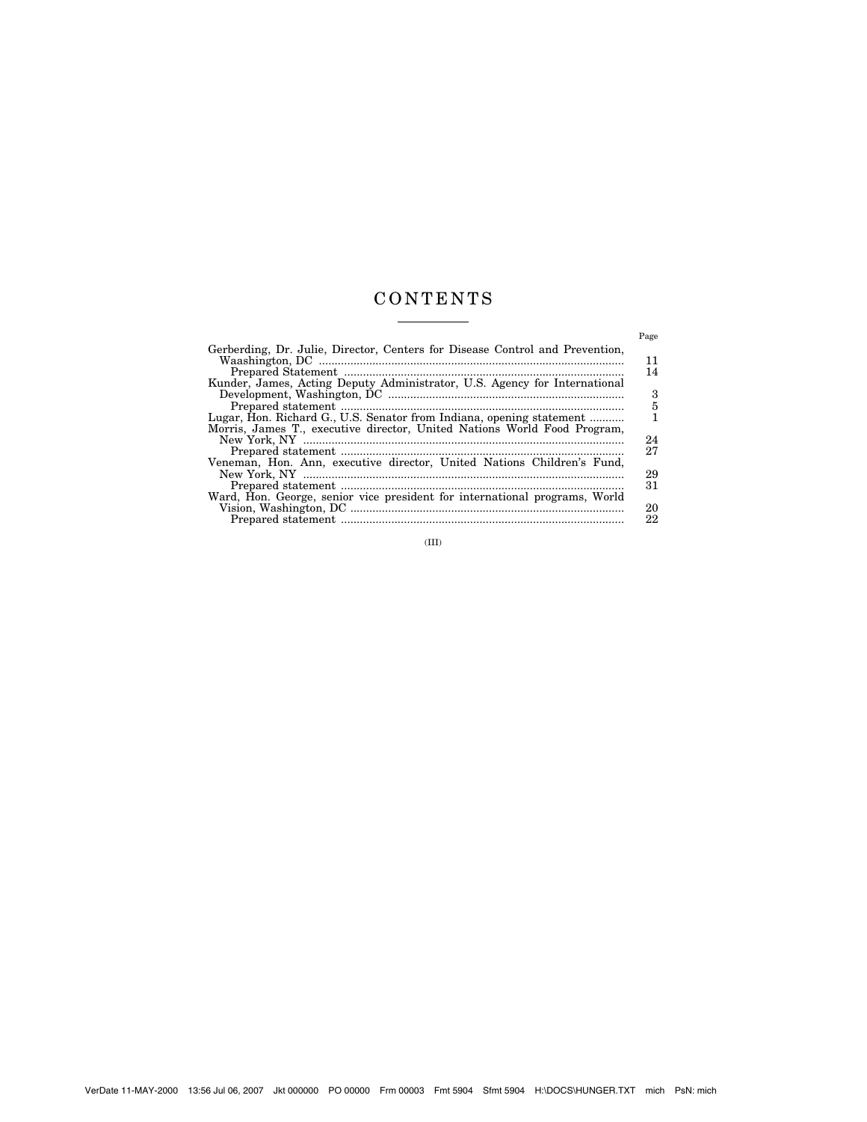# CONTENTS

|                                                                                                                                                  | Page         |
|--------------------------------------------------------------------------------------------------------------------------------------------------|--------------|
| Gerberding, Dr. Julie, Director, Centers for Disease Control and Prevention,                                                                     | 11<br>14     |
| Kunder, James, Acting Deputy Administrator, U.S. Agency for International                                                                        | 3            |
| Lugar, Hon. Richard G., U.S. Senator from Indiana, opening statement<br>Morris, James T., executive director, United Nations World Food Program, | 5<br>1<br>24 |
| Veneman, Hon. Ann, executive director, United Nations Children's Fund,                                                                           | 27           |
|                                                                                                                                                  | 29<br>31     |
| Ward, Hon. George, senior vice president for international programs, World                                                                       | 20<br>22     |

(III)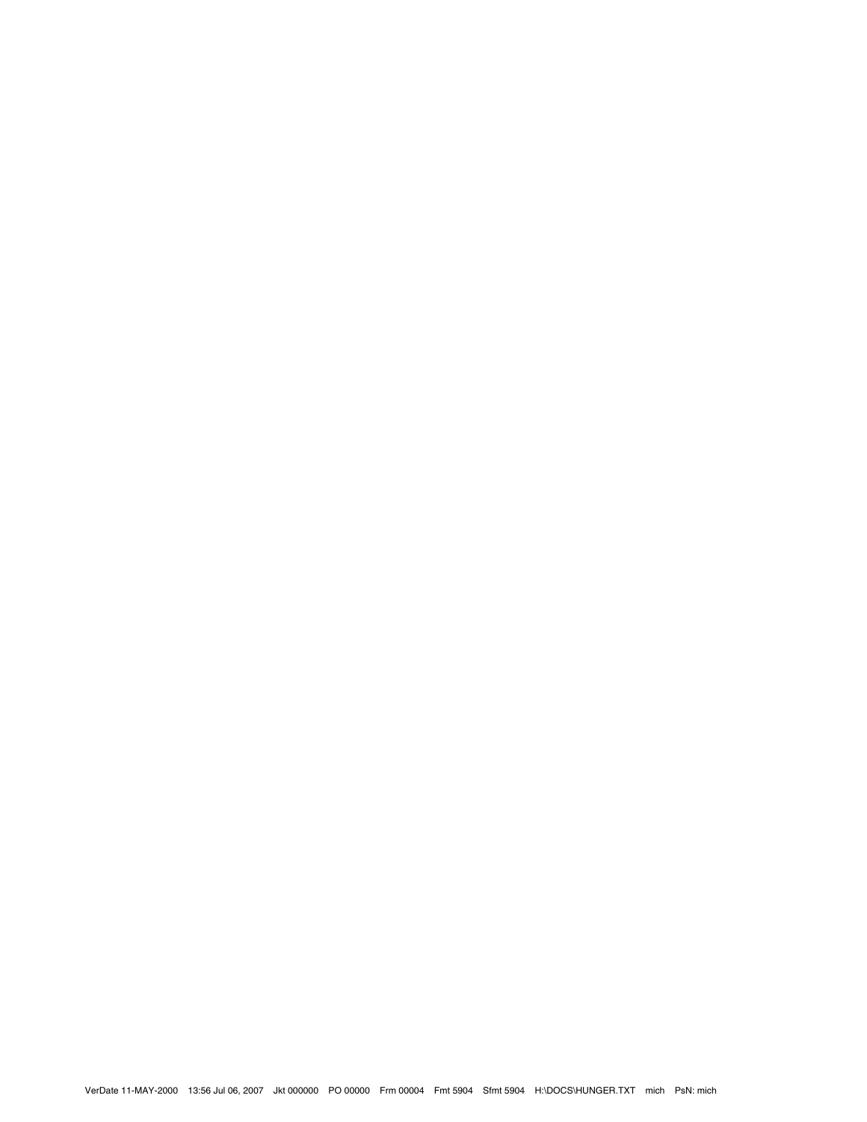VerDate 11-MAY-2000 13:56 Jul 06, 2007 Jkt 000000 PO 00000 Frm 00004 Fmt 5904 Sfmt 5904 H:\DOCS\HUNGER.TXT mich PsN: mich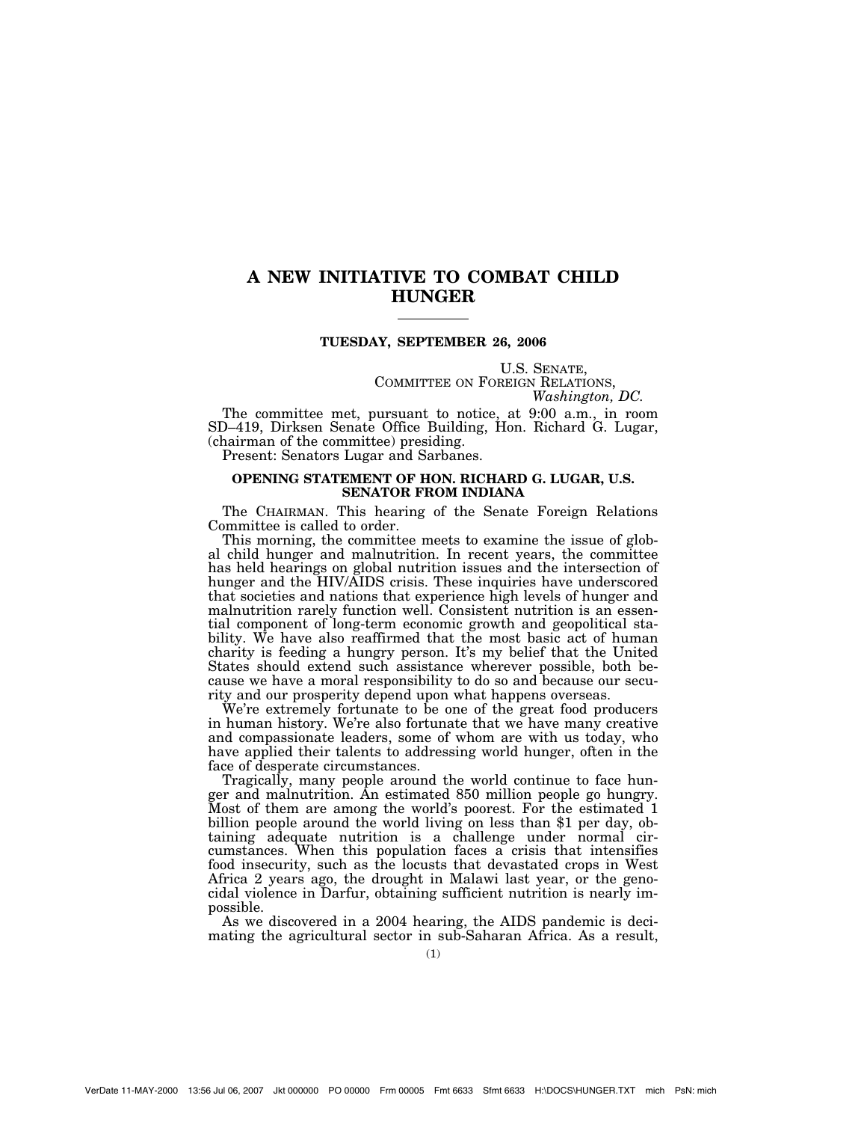# **A NEW INITIATIVE TO COMBAT CHILD HUNGER**

# **TUESDAY, SEPTEMBER 26, 2006**

U.S. SENATE,<br>COMMITTEE ON FOREIGN RELATIONS,<br>*Washington, DC*.

The committee met, pursuant to notice, at 9:00 a.m., in room SD–419, Dirksen Senate Office Building, Hon. Richard G. Lugar, (chairman of the committee) presiding.

Present: Senators Lugar and Sarbanes.

# **OPENING STATEMENT OF HON. RICHARD G. LUGAR, U.S. SENATOR FROM INDIANA**

The CHAIRMAN. This hearing of the Senate Foreign Relations Committee is called to order.

This morning, the committee meets to examine the issue of global child hunger and malnutrition. In recent years, the committee has held hearings on global nutrition issues and the intersection of hunger and the HIV/AIDS crisis. These inquiries have underscored that societies and nations that experience high levels of hunger and malnutrition rarely function well. Consistent nutrition is an essential component of long-term economic growth and geopolitical stability. We have also reaffirmed that the most basic act of human charity is feeding a hungry person. It's my belief that the United States should extend such assistance wherever possible, both because we have a moral responsibility to do so and because our security and our prosperity depend upon what happens overseas.

We're extremely fortunate to be one of the great food producers in human history. We're also fortunate that we have many creative and compassionate leaders, some of whom are with us today, who have applied their talents to addressing world hunger, often in the face of desperate circumstances.

Tragically, many people around the world continue to face hunger and malnutrition. An estimated 850 million people go hungry. Most of them are among the world's poorest. For the estimated 1 billion people around the world living on less than \$1 per day, obtaining adequate nutrition is a challenge under normal circumstances. When this population faces a crisis that intensifies food insecurity, such as the locusts that devastated crops in West Africa 2 years ago, the drought in Malawi last year, or the genocidal violence in Darfur, obtaining sufficient nutrition is nearly impossible.

As we discovered in a 2004 hearing, the AIDS pandemic is decimating the agricultural sector in sub-Saharan Africa. As a result,

VerDate 11-MAY-2000 13:56 Jul 06, 2007 Jkt 000000 PO 00000 Frm 00005 Fmt 6633 Sfmt 6633 H:\DOCS\HUNGER.TXT mich PsN: mich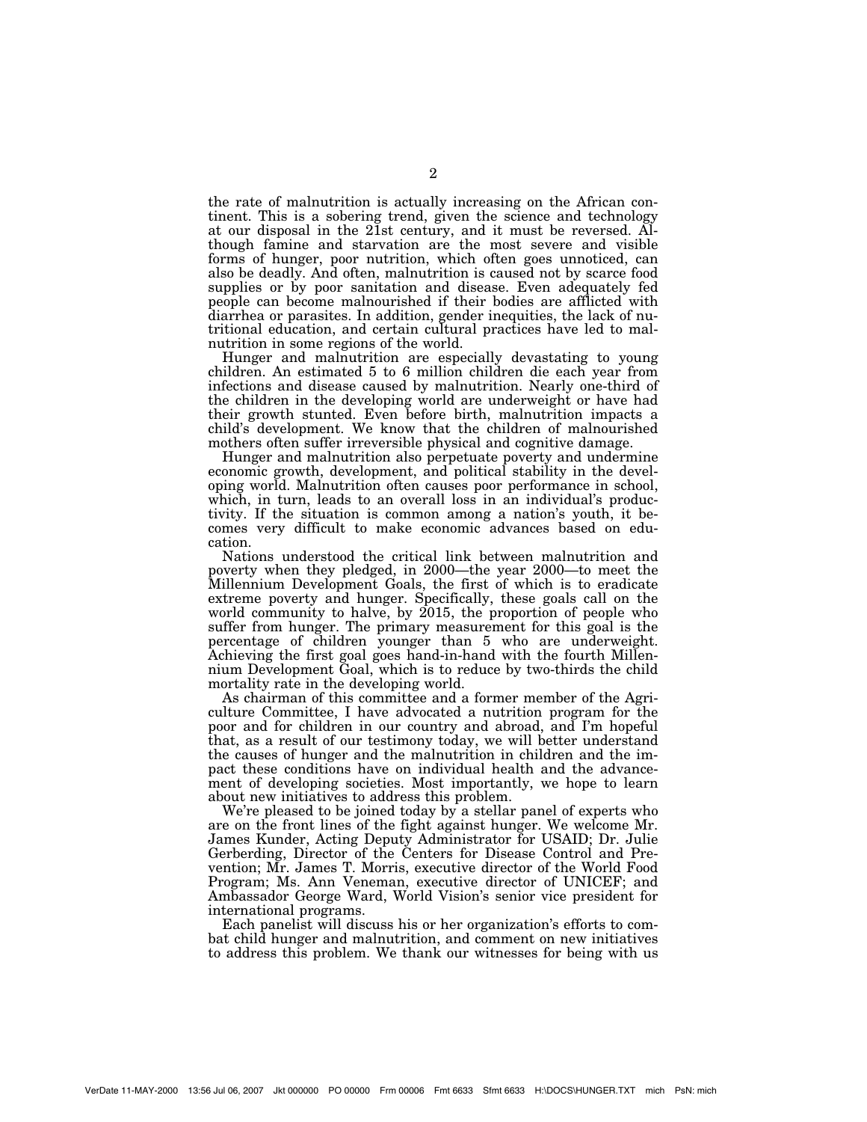the rate of malnutrition is actually increasing on the African continent. This is a sobering trend, given the science and technology at our disposal in the 21st century, and it must be reversed. Although famine and starvation are the most severe and visible forms of hunger, poor nutrition, which often goes unnoticed, can also be deadly. And often, malnutrition is caused not by scarce food supplies or by poor sanitation and disease. Even adequately fed people can become malnourished if their bodies are afflicted with diarrhea or parasites. In addition, gender inequities, the lack of nutritional education, and certain cultural practices have led to malnutrition in some regions of the world.

Hunger and malnutrition are especially devastating to young children. An estimated 5 to 6 million children die each year from infections and disease caused by malnutrition. Nearly one-third of the children in the developing world are underweight or have had their growth stunted. Even before birth, malnutrition impacts a child's development. We know that the children of malnourished mothers often suffer irreversible physical and cognitive damage.

Hunger and malnutrition also perpetuate poverty and undermine economic growth, development, and political stability in the developing world. Malnutrition often causes poor performance in school, which, in turn, leads to an overall loss in an individual's productivity. If the situation is common among a nation's youth, it becomes very difficult to make economic advances based on education.

Nations understood the critical link between malnutrition and poverty when they pledged, in 2000—the year 2000—to meet the Millennium Development Goals, the first of which is to eradicate extreme poverty and hunger. Specifically, these goals call on the world community to halve, by 2015, the proportion of people who suffer from hunger. The primary measurement for this goal is the percentage of children younger than 5 who are underweight. Achieving the first goal goes hand-in-hand with the fourth Millennium Development Goal, which is to reduce by two-thirds the child mortality rate in the developing world.

As chairman of this committee and a former member of the Agriculture Committee, I have advocated a nutrition program for the poor and for children in our country and abroad, and I'm hopeful that, as a result of our testimony today, we will better understand the causes of hunger and the malnutrition in children and the impact these conditions have on individual health and the advancement of developing societies. Most importantly, we hope to learn about new initiatives to address this problem.

We're pleased to be joined today by a stellar panel of experts who are on the front lines of the fight against hunger. We welcome Mr. James Kunder, Acting Deputy Administrator for USAID; Dr. Julie Gerberding, Director of the Centers for Disease Control and Prevention; Mr. James T. Morris, executive director of the World Food Program; Ms. Ann Veneman, executive director of UNICEF; and Ambassador George Ward, World Vision's senior vice president for international programs.

Each panelist will discuss his or her organization's efforts to combat child hunger and malnutrition, and comment on new initiatives to address this problem. We thank our witnesses for being with us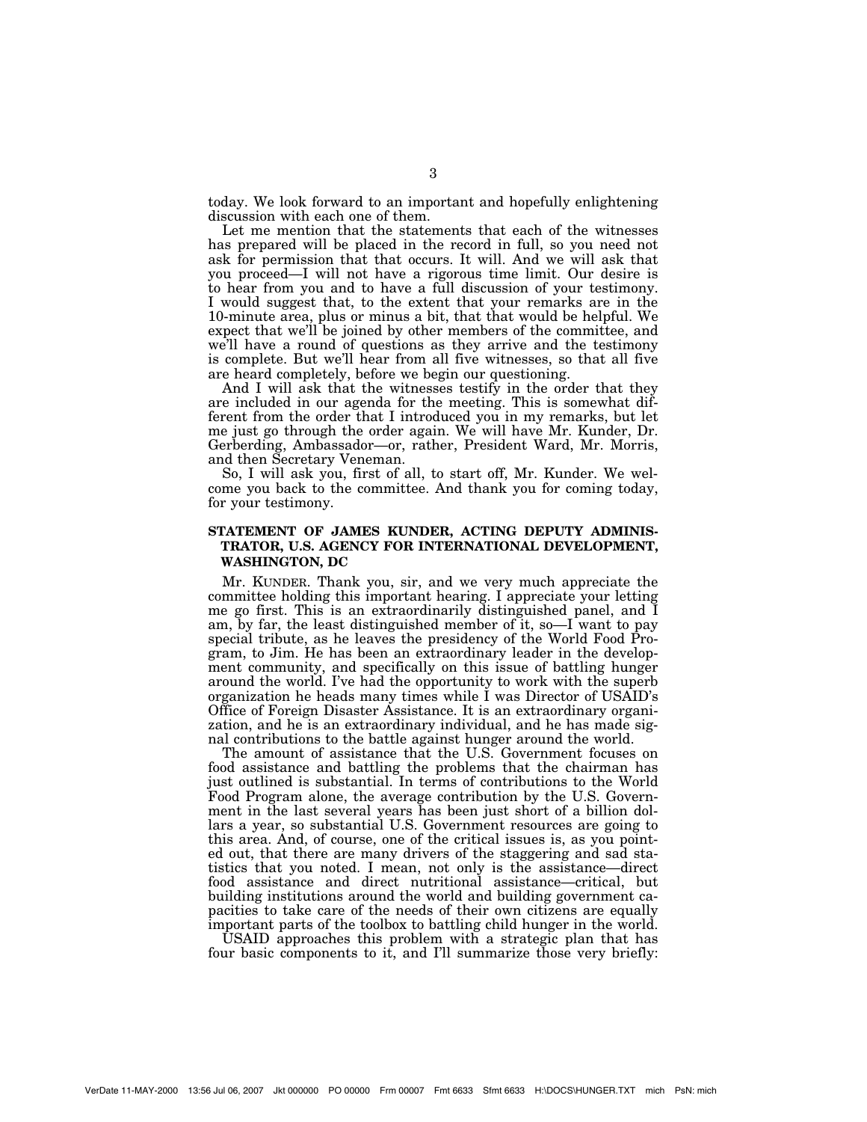today. We look forward to an important and hopefully enlightening discussion with each one of them.

Let me mention that the statements that each of the witnesses has prepared will be placed in the record in full, so you need not ask for permission that that occurs. It will. And we will ask that you proceed—I will not have a rigorous time limit. Our desire is to hear from you and to have a full discussion of your testimony. I would suggest that, to the extent that your remarks are in the 10-minute area, plus or minus a bit, that that would be helpful. We expect that we'll be joined by other members of the committee, and we'll have a round of questions as they arrive and the testimony is complete. But we'll hear from all five witnesses, so that all five are heard completely, before we begin our questioning.

And I will ask that the witnesses testify in the order that they are included in our agenda for the meeting. This is somewhat different from the order that I introduced you in my remarks, but let me just go through the order again. We will have Mr. Kunder, Dr. Gerberding, Ambassador—or, rather, President Ward, Mr. Morris, and then Secretary Veneman.

So, I will ask you, first of all, to start off, Mr. Kunder. We welcome you back to the committee. And thank you for coming today, for your testimony.

# **STATEMENT OF JAMES KUNDER, ACTING DEPUTY ADMINIS-TRATOR, U.S. AGENCY FOR INTERNATIONAL DEVELOPMENT, WASHINGTON, DC**

Mr. KUNDER. Thank you, sir, and we very much appreciate the committee holding this important hearing. I appreciate your letting me go first. This is an extraordinarily distinguished panel, and I am, by far, the least distinguished member of it, so—I want to pay special tribute, as he leaves the presidency of the World Food Program, to Jim. He has been an extraordinary leader in the development community, and specifically on this issue of battling hunger around the world. I've had the opportunity to work with the superb organization he heads many times while I was Director of USAID's Office of Foreign Disaster Assistance. It is an extraordinary organization, and he is an extraordinary individual, and he has made signal contributions to the battle against hunger around the world.

The amount of assistance that the U.S. Government focuses on food assistance and battling the problems that the chairman has just outlined is substantial. In terms of contributions to the World Food Program alone, the average contribution by the U.S. Government in the last several years has been just short of a billion dollars a year, so substantial U.S. Government resources are going to this area. And, of course, one of the critical issues is, as you pointed out, that there are many drivers of the staggering and sad statistics that you noted. I mean, not only is the assistance—direct food assistance and direct nutritional assistance—critical, but building institutions around the world and building government capacities to take care of the needs of their own citizens are equally important parts of the toolbox to battling child hunger in the world.

USAID approaches this problem with a strategic plan that has four basic components to it, and I'll summarize those very briefly: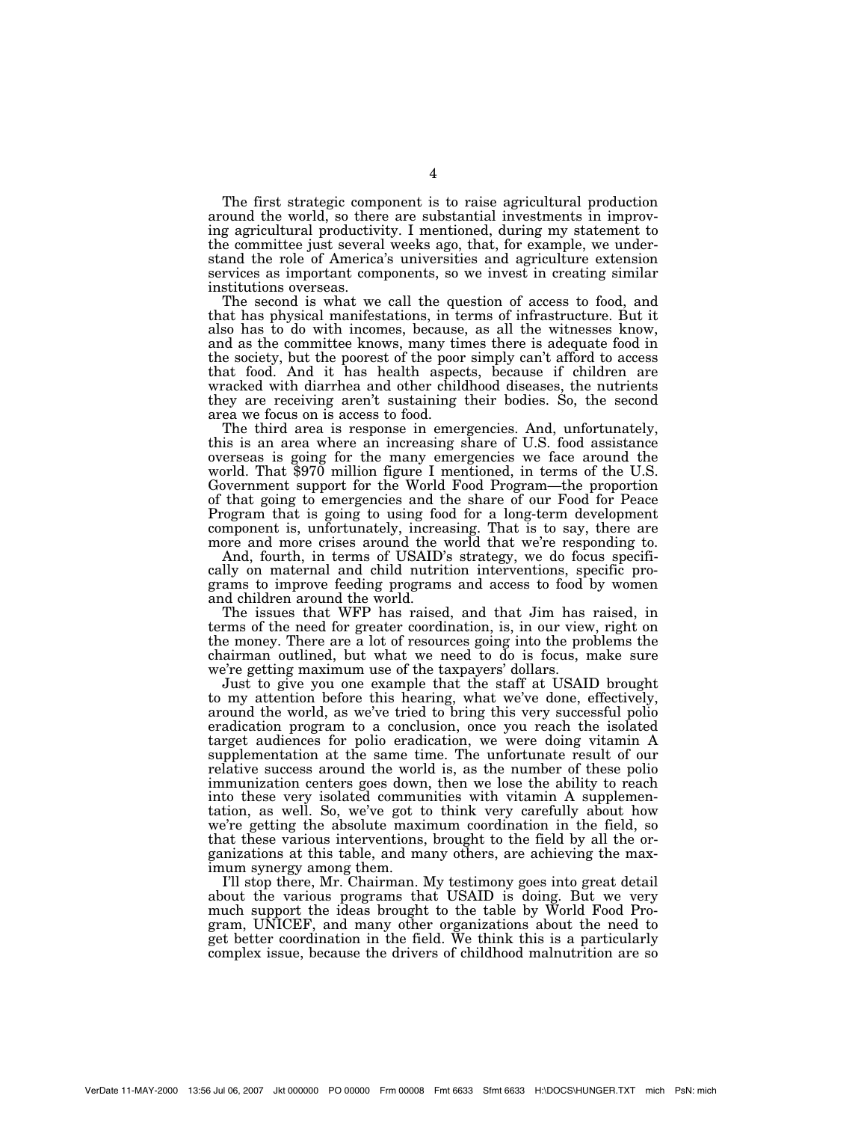The first strategic component is to raise agricultural production around the world, so there are substantial investments in improving agricultural productivity. I mentioned, during my statement to the committee just several weeks ago, that, for example, we understand the role of America's universities and agriculture extension services as important components, so we invest in creating similar institutions overseas.

The second is what we call the question of access to food, and that has physical manifestations, in terms of infrastructure. But it also has to do with incomes, because, as all the witnesses know, and as the committee knows, many times there is adequate food in the society, but the poorest of the poor simply can't afford to access that food. And it has health aspects, because if children are wracked with diarrhea and other childhood diseases, the nutrients they are receiving aren't sustaining their bodies. So, the second area we focus on is access to food.

The third area is response in emergencies. And, unfortunately, this is an area where an increasing share of U.S. food assistance overseas is going for the many emergencies we face around the world. That \$970 million figure I mentioned, in terms of the U.S. Government support for the World Food Program—the proportion of that going to emergencies and the share of our Food for Peace Program that is going to using food for a long-term development component is, unfortunately, increasing. That is to say, there are more and more crises around the world that we're responding to.

And, fourth, in terms of USAID's strategy, we do focus specifically on maternal and child nutrition interventions, specific programs to improve feeding programs and access to food by women and children around the world.

The issues that WFP has raised, and that Jim has raised, in terms of the need for greater coordination, is, in our view, right on the money. There are a lot of resources going into the problems the chairman outlined, but what we need to do is focus, make sure we're getting maximum use of the taxpayers' dollars.

Just to give you one example that the staff at USAID brought to my attention before this hearing, what we've done, effectively, around the world, as we've tried to bring this very successful polio eradication program to a conclusion, once you reach the isolated target audiences for polio eradication, we were doing vitamin A supplementation at the same time. The unfortunate result of our relative success around the world is, as the number of these polio immunization centers goes down, then we lose the ability to reach into these very isolated communities with vitamin A supplementation, as well. So, we've got to think very carefully about how we're getting the absolute maximum coordination in the field, so that these various interventions, brought to the field by all the organizations at this table, and many others, are achieving the maximum synergy among them.

I'll stop there, Mr. Chairman. My testimony goes into great detail about the various programs that USAID is doing. But we very much support the ideas brought to the table by World Food Program, UNICEF, and many other organizations about the need to get better coordination in the field. We think this is a particularly complex issue, because the drivers of childhood malnutrition are so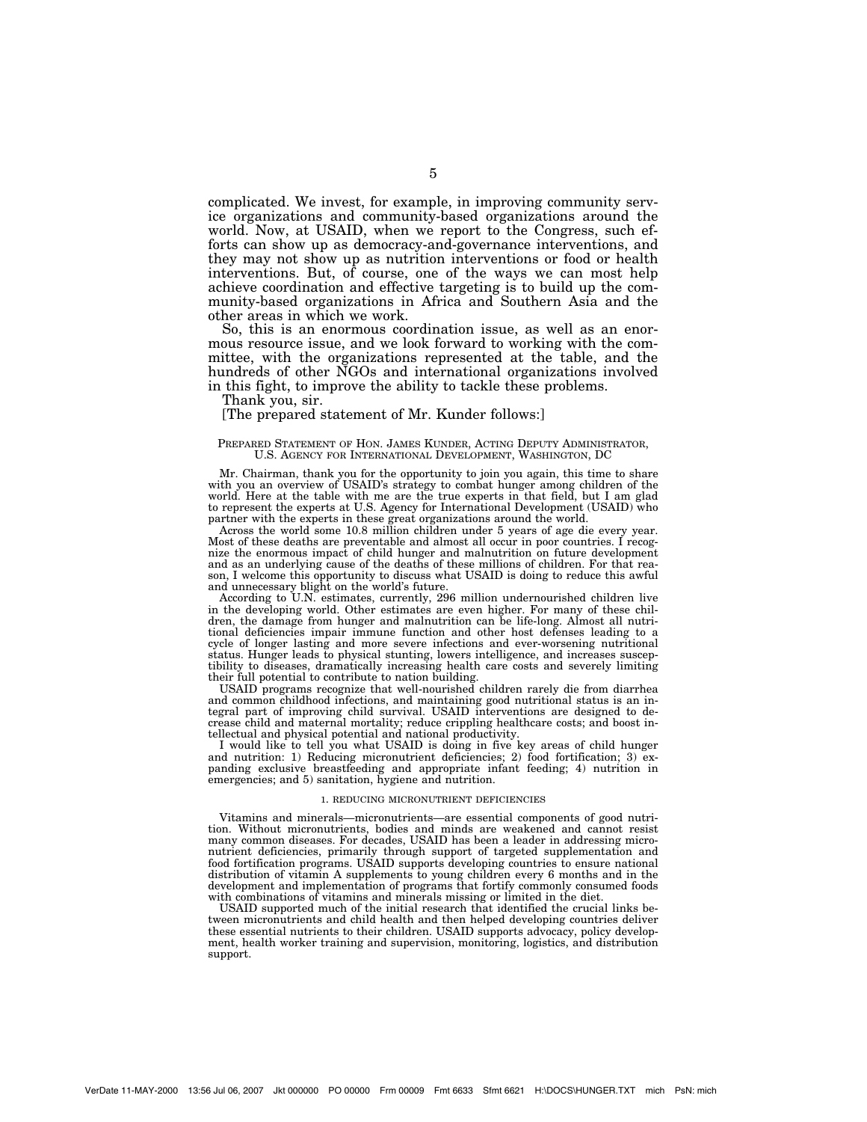complicated. We invest, for example, in improving community service organizations and community-based organizations around the world. Now, at USAID, when we report to the Congress, such efforts can show up as democracy-and-governance interventions, and they may not show up as nutrition interventions or food or health interventions. But, of course, one of the ways we can most help achieve coordination and effective targeting is to build up the community-based organizations in Africa and Southern Asia and the other areas in which we work.

So, this is an enormous coordination issue, as well as an enormous resource issue, and we look forward to working with the committee, with the organizations represented at the table, and the hundreds of other NGOs and international organizations involved in this fight, to improve the ability to tackle these problems.

Thank you, sir.

# [The prepared statement of Mr. Kunder follows:]

#### PREPARED STATEMENT OF HON. JAMES KUNDER, ACTING DEPUTY ADMINISTRATOR, U.S. AGENCY FOR INTERNATIONAL DEVELOPMENT, WASHINGTON, DC

Mr. Chairman, thank you for the opportunity to join you again, this time to share with you an overview of USAID's strategy to combat hunger among children of the world. Here at the table with me are the true experts in that field, but I am glad to represent the experts at U.S. Agency for International Development (USAID) who partner with the experts in these great organizations around the world.

Across the world some 10.8 million children under 5 years of age die every year. Most of these deaths are preventable and almost all occur in poor countries. I recognize the enormous impact of child hunger and malnutrition on future development and as an underlying cause of the deaths of these millions of children. For that reason, I welcome this opportunity to discuss what USAID is doing to reduce this awful and unnecessary blight on the world's future.

According to U.N. estimates, currently, 296 million undernourished children live in the developing world. Other estimates are even higher. For many of these children, the damage from hunger and malnutrition can be life-long. Almost all nutritional deficiencies impair immune function and other host defenses leading to a cycle of longer lasting and more severe infections and ever-worsening nutritional status. Hunger leads to physical stunting, lowers intelligence, and increases susceptibility to diseases, dramatically increasing health care costs and severely limiting their full potential to contribute to nation building.

USAID programs recognize that well-nourished children rarely die from diarrhea and common childhood infections, and maintaining good nutritional status is an integral part of improving child survival. USAID interventions are designed to decrease child and maternal mortality; reduce crippling healthcare costs; and boost intellectual and physical potential and national productivity.

I would like to tell you what USAID is doing in five key areas of child hunger and nutrition: 1) Reducing micronutrient deficiencies; 2) food fortification; 3) expanding exclusive breastfeeding and appropriate infant feeding; 4) nutrition in emergencies; and 5) sanitation, hygiene and nutrition.

#### 1. REDUCING MICRONUTRIENT DEFICIENCIES

Vitamins and minerals—micronutrients—are essential components of good nutrition. Without micronutrients, bodies and minds are weakened and cannot resist many common diseases. For decades, USAID has been a leader in addressing micronutrient deficiencies, primarily through support of targeted supplementation and food fortification programs. USAID supports developing countries to ensure national distribution of vitamin A supplements to young children every 6 months and in the development and implementation of programs that fortify commonly consumed foods with combinations of vitamins and minerals missing or limited in the diet.

USAID supported much of the initial research that identified the crucial links between micronutrients and child health and then helped developing countries deliver these essential nutrients to their children. USAID supports advocacy, policy development, health worker training and supervision, monitoring, logistics, and distribution support.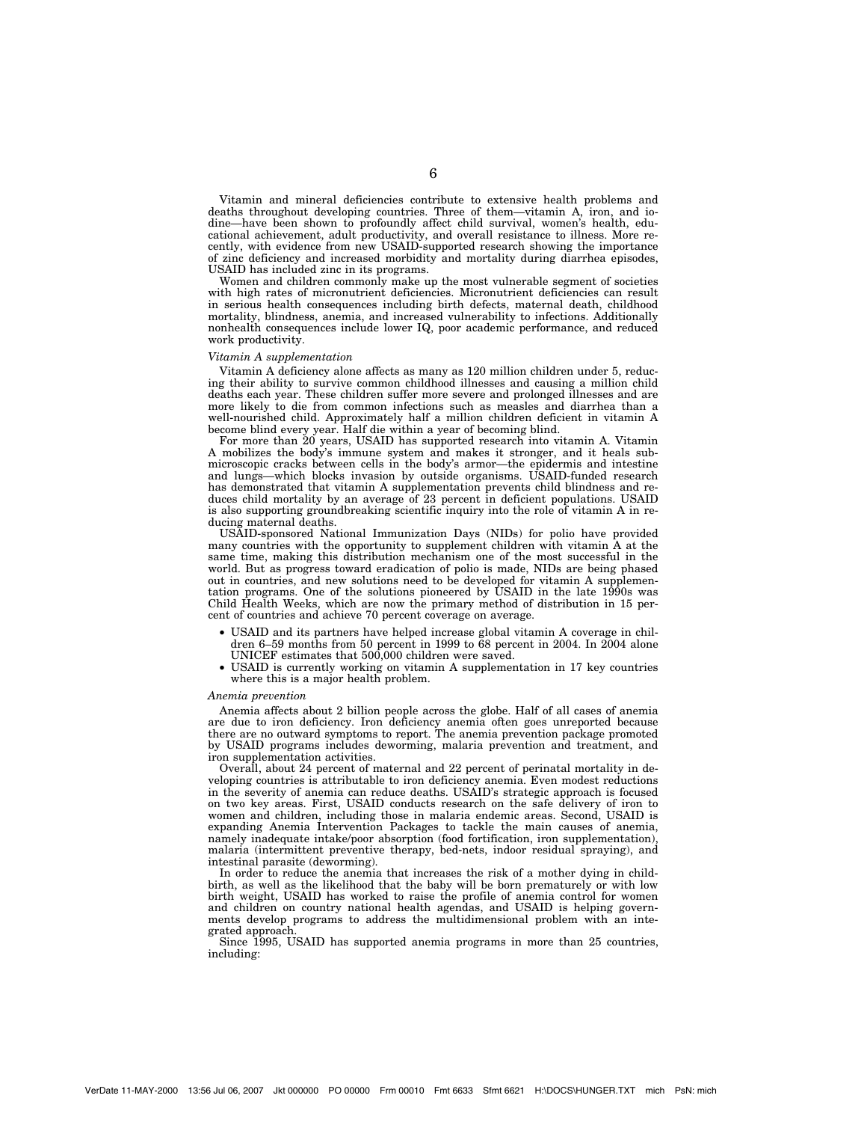Vitamin and mineral deficiencies contribute to extensive health problems and deaths throughout developing countries. Three of them—vitamin A, iron, and iodine—have been shown to profoundly affect child survival, women's health, educational achievement, adult productivity, and overall resistance to illness. More recently, with evidence from new USAID-supported research showing the importance of zinc deficiency and increased morbidity and mortality during diarrhea episodes, USAID has included zinc in its programs.

Women and children commonly make up the most vulnerable segment of societies with high rates of micronutrient deficiencies. Micronutrient deficiencies can result in serious health consequences including birth defects, maternal death, childhood mortality, blindness, anemia, and increased vulnerability to infections. Additionally nonhealth consequences include lower IQ, poor academic performance, and reduced work productivity.

# *Vitamin A supplementation*

Vitamin A deficiency alone affects as many as 120 million children under 5, reducing their ability to survive common childhood illnesses and causing a million child deaths each year. These children suffer more severe and prolonged illnesses and are more likely to die from common infections such as measles and diarrhea than a well-nourished child. Approximately half a million children deficient in vitamin A become blind every year. Half die within a year of becoming blind.

For more than 20 years, USAID has supported research into vitamin A. Vitamin A mobilizes the body's immune system and makes it stronger, and it heals submicroscopic cracks between cells in the body's armor—the epidermis and intestine and lungs—which blocks invasion by outside organisms. USAID-funded research has demonstrated that vitamin A supplementation prevents child blindness and reduces child mortality by an average of  $23$  percent in deficient populations. USAID is also supporting groundbreaking scientific inquiry into the role of vitamin A in reducing maternal deaths.

USAID-sponsored National Immunization Days (NIDs) for polio have provided many countries with the opportunity to supplement children with vitamin A at the same time, making this distribution mechanism one of the most successful in the world. But as progress toward eradication of polio is made, NIDs are being phased out in countries, and new solutions need to be developed for vitamin A supplementation programs. One of the solutions pioneered by USAID in the late 1990s was Child Health Weeks, which are now the primary method of distribution in 15 percent of countries and achieve 70 percent coverage on average.

- USAID and its partners have helped increase global vitamin A coverage in children 6–59 months from 50 percent in 1999 to  $\overline{68}$  percent in 2004. In 2004 alone UNICEF estimates that 500,000 children were saved.
- USAID is currently working on vitamin A supplementation in 17 key countries where this is a major health problem.

#### *Anemia prevention*

Anemia affects about 2 billion people across the globe. Half of all cases of anemia are due to iron deficiency. Iron deficiency anemia often goes unreported because there are no outward symptoms to report. The anemia prevention package promoted by USAID programs includes deworming, malaria prevention and treatment, and iron supplementation activities.

Overall, about 24 percent of maternal and 22 percent of perinatal mortality in developing countries is attributable to iron deficiency anemia. Even modest reductions in the severity of anemia can reduce deaths. USAID's strategic approach is focused on two key areas. First, USAID conducts research on the safe delivery of iron to women and children, including those in malaria endemic areas. Second, USAID is expanding Anemia Intervention Packages to tackle the main causes of anemia, namely inadequate intake/poor absorption (food fortification, iron supplementation), malaria (intermittent preventive therapy, bed-nets, indoor residual spraying), and intestinal parasite (deworming).

In order to reduce the anemia that increases the risk of a mother dying in childbirth, as well as the likelihood that the baby will be born prematurely or with low birth weight, USAID has worked to raise the profile of anemia control for women and children on country national health agendas, and USAID is helping governments develop programs to address the multidimensional problem with an integrated approach.

Since 1995, USAID has supported anemia programs in more than 25 countries, including: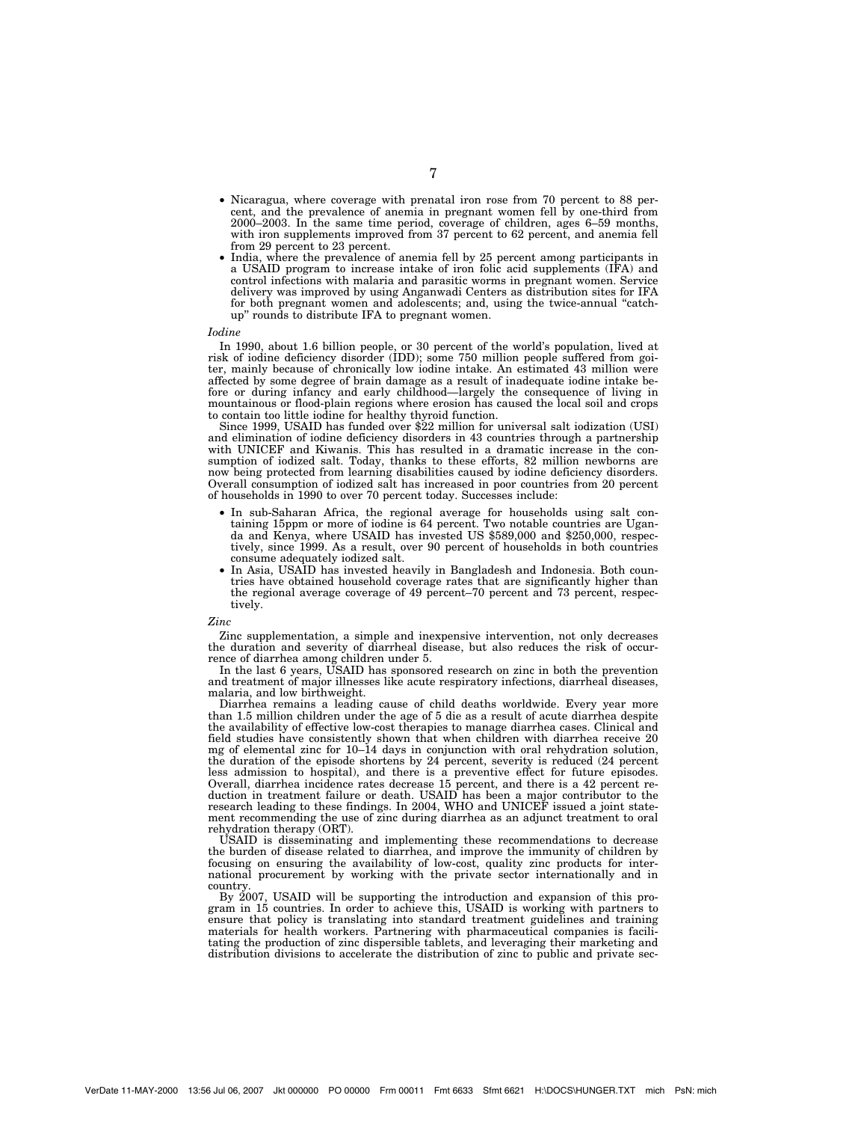- Nicaragua, where coverage with prenatal iron rose from 70 percent to 88 percent, and the prevalence of anemia in pregnant women fell by one-third from 2000–2003. In the same time period, coverage of children, ages 6–59 months, with iron supplements improved from 37 percent to 62 percent, and anemia fell from 29 percent to 23 percent.
- India, where the prevalence of anemia fell by 25 percent among participants in a USAID program to increase intake of iron folic acid supplements (IFA) and control infections with malaria and parasitic worms in pregnant women. Service delivery was improved by using Anganwadi Centers as distribution sites for IFA for both pregnant women and adolescents; and, using the twice-annual "catchup'' rounds to distribute IFA to pregnant women.

#### *Iodine*

In 1990, about 1.6 billion people, or 30 percent of the world's population, lived at risk of iodine deficiency disorder (IDD); some 750 million people suffered from goiter, mainly because of chronically low iodine intake. An estimated 43 million were affected by some degree of brain damage as a result of inadequate iodine intake before or during infancy and early childhood—largely the consequence of living in mountainous or flood-plain regions where erosion has caused the local soil and crops to contain too little iodine for healthy thyroid function.

Since 1999, USAID has funded over \$22 million for universal salt iodization (USI) and elimination of iodine deficiency disorders in 43 countries through a partnership with UNICEF and Kiwanis. This has resulted in a dramatic increase in the consumption of iodized salt. Today, thanks to these efforts, 82 million newborns are now being protected from learning disabilities caused by iodine deficiency disorders. Overall consumption of iodized salt has increased in poor countries from 20 percent of households in 1990 to over 70 percent today. Successes include:

- In sub-Saharan Africa, the regional average for households using salt containing 15ppm or more of iodine is 64 percent. Two notable countries are Uganda and Kenya, where USAID has invested US \$589,000 and \$250,000, respectively, since 1999. As a result, over 90 percent of households in both countries consume adequately iodized salt.
- In Asia, USAID has invested heavily in Bangladesh and Indonesia. Both countries have obtained household coverage rates that are significantly higher than the regional average coverage of 49 percent–70 percent and 73 percent, respectively.

#### *Zinc*

Zinc supplementation, a simple and inexpensive intervention, not only decreases the duration and severity of diarrheal disease, but also reduces the risk of occurrence of diarrhea among children under 5.

In the last 6 years, USAID has sponsored research on zinc in both the prevention and treatment of major illnesses like acute respiratory infections, diarrheal diseases, malaria, and low birthweight.

Diarrhea remains a leading cause of child deaths worldwide. Every year more than 1.5 million children under the age of 5 die as a result of acute diarrhea despite the availability of effective low-cost therapies to manage diarrhea cases. Clinical and field studies have consistently shown that when children with diarrhea receive 20 mg of elemental zinc for 10–14 days in conjunction with oral rehydration solution, the duration of the episode shortens by 24 percent, severity is reduced (24 percent less admission to hospital), and there is a preventive effect for future episodes. Overall, diarrhea incidence rates decrease 15 percent, and there is a 42 percent reduction in treatment failure or death. USAID has been a major contributor to the research leading to these findings. In 2004, WHO and UNICEF issued a joint statement recommending the use of zinc during diarrhea as an adjunct treatment to oral rehydration therapy (ORT).

USAID is disseminating and implementing these recommendations to decrease the burden of disease related to diarrhea, and improve the immunity of children by focusing on ensuring the availability of low-cost, quality zinc products for international procurement by working with the private sector internationally and in country.

By 2007, USAID will be supporting the introduction and expansion of this program in 15 countries. In order to achieve this, USAID is working with partners to ensure that policy is translating into standard treatment guidelines and training materials for health workers. Partnering with pharmaceutical companies is facilitating the production of zinc dispersible tablets, and leveraging their marketing and distribution divisions to accelerate the distribution of zinc to public and private sec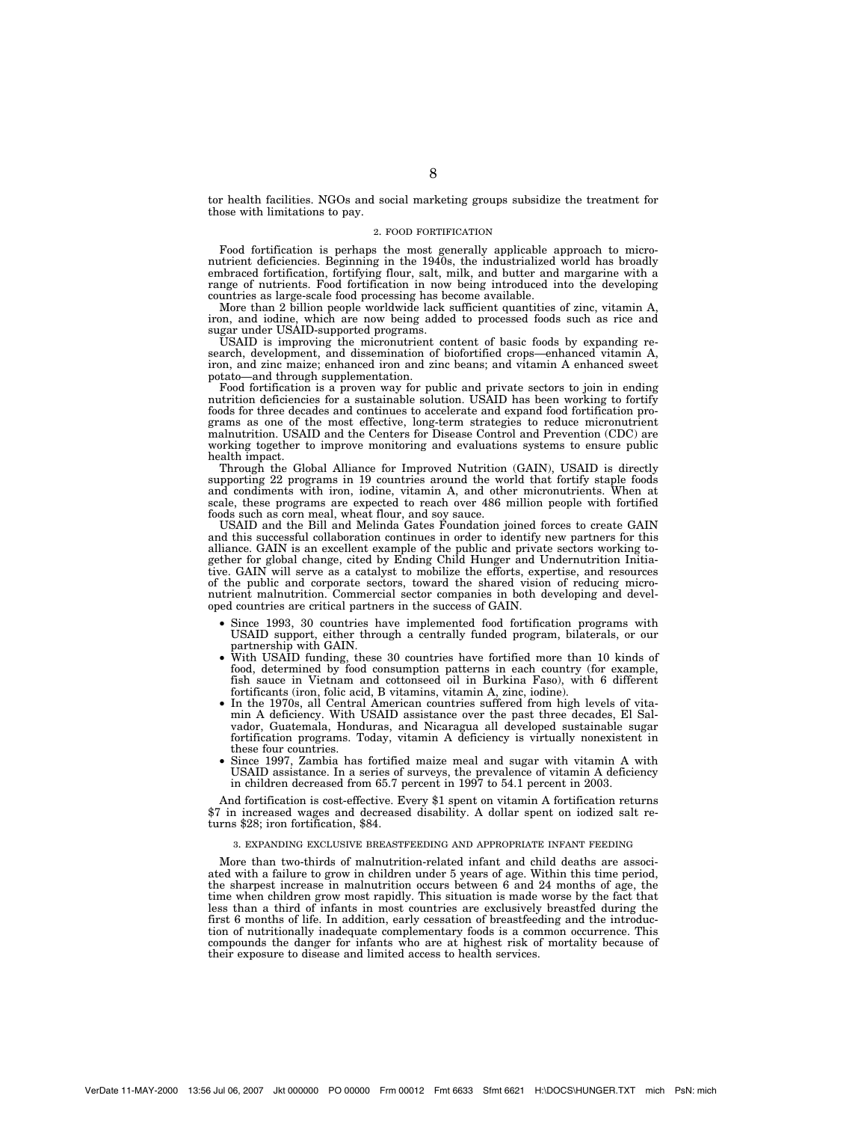tor health facilities. NGOs and social marketing groups subsidize the treatment for those with limitations to pay.

## 2. FOOD FORTIFICATION

Food fortification is perhaps the most generally applicable approach to micronutrient deficiencies. Beginning in the 1940s, the industrialized world has broadly embraced fortification, fortifying flour, salt, milk, and butter and margarine with a range of nutrients. Food fortification in now being introduced into the developing countries as large-scale food processing has become available.

More than 2 billion people worldwide lack sufficient quantities of zinc, vitamin A, iron, and iodine, which are now being added to processed foods such as rice and sugar under USAID-supported programs.

USAID is improving the micronutrient content of basic foods by expanding research, development, and dissemination of biofortified crops—enhanced vitamin A, iron, and zinc maize; enhanced iron and zinc beans; and vitamin A enhanced sweet potato—and through supplementation.

Food fortification is a proven way for public and private sectors to join in ending nutrition deficiencies for a sustainable solution. USAID has been working to fortify foods for three decades and continues to accelerate and expand food fortification programs as one of the most effective, long-term strategies to reduce micronutrient malnutrition. USAID and the Centers for Disease Control and Prevention (CDC) are working together to improve monitoring and evaluations systems to ensure public health impact.

Through the Global Alliance for Improved Nutrition (GAIN), USAID is directly supporting 22 programs in 19 countries around the world that fortify staple foods and condiments with iron, iodine, vitamin A, and other micronutrients. When at scale, these programs are expected to reach over 486 million people with fortified foods such as corn meal, wheat flour, and soy sauce.

USAID and the Bill and Melinda Gates Foundation joined forces to create GAIN and this successful collaboration continues in order to identify new partners for this alliance. GAIN is an excellent example of the public and private sectors working together for global change, cited by Ending Child Hunger and Undernutrition Initiative. GAIN will serve as a catalyst to mobilize the efforts, expertise, and resources of the public and corporate sectors, toward the shared vision of reducing micronutrient malnutrition. Commercial sector companies in both developing and developed countries are critical partners in the success of GAIN.

- Since 1993, 30 countries have implemented food fortification programs with USAID support, either through a centrally funded program, bilaterals, or our partnership with GAIN.
- With USAID funding, these 30 countries have fortified more than 10 kinds of food, determined by food consumption patterns in each country (for example, fish sauce in Vietnam and cottonseed oil in Burkina Faso), with 6 different fortificants (iron, folic acid, B vitamins, vitamin A, zinc, iodine).
- In the 1970s, all Central American countries suffered from high levels of vitamin A deficiency. With USAID assistance over the past three decades, El Salvador, Guatemala, Honduras, and Nicaragua all developed sustainable sugar fortification programs. Today, vitamin A deficiency is virtually nonexistent in these four countries.
- Since 1997, Zambia has fortified maize meal and sugar with vitamin A with USAID assistance. In a series of surveys, the prevalence of vitamin A deficiency in children decreased from 65.7 percent in 1997 to 54.1 percent in 2003.

And fortification is cost-effective. Every \$1 spent on vitamin A fortification returns \$7 in increased wages and decreased disability. A dollar spent on iodized salt returns \$28; iron fortification, \$84.

#### 3. EXPANDING EXCLUSIVE BREASTFEEDING AND APPROPRIATE INFANT FEEDING

More than two-thirds of malnutrition-related infant and child deaths are associated with a failure to grow in children under 5 years of age. Within this time period, the sharpest increase in malnutrition occurs between 6 and 24 months of age, the time when children grow most rapidly. This situation is made worse by the fact that less than a third of infants in most countries are exclusively breastfed during the first 6 months of life. In addition, early cessation of breastfeeding and the introduction of nutritionally inadequate complementary foods is a common occurrence. This compounds the danger for infants who are at highest risk of mortality because of their exposure to disease and limited access to health services.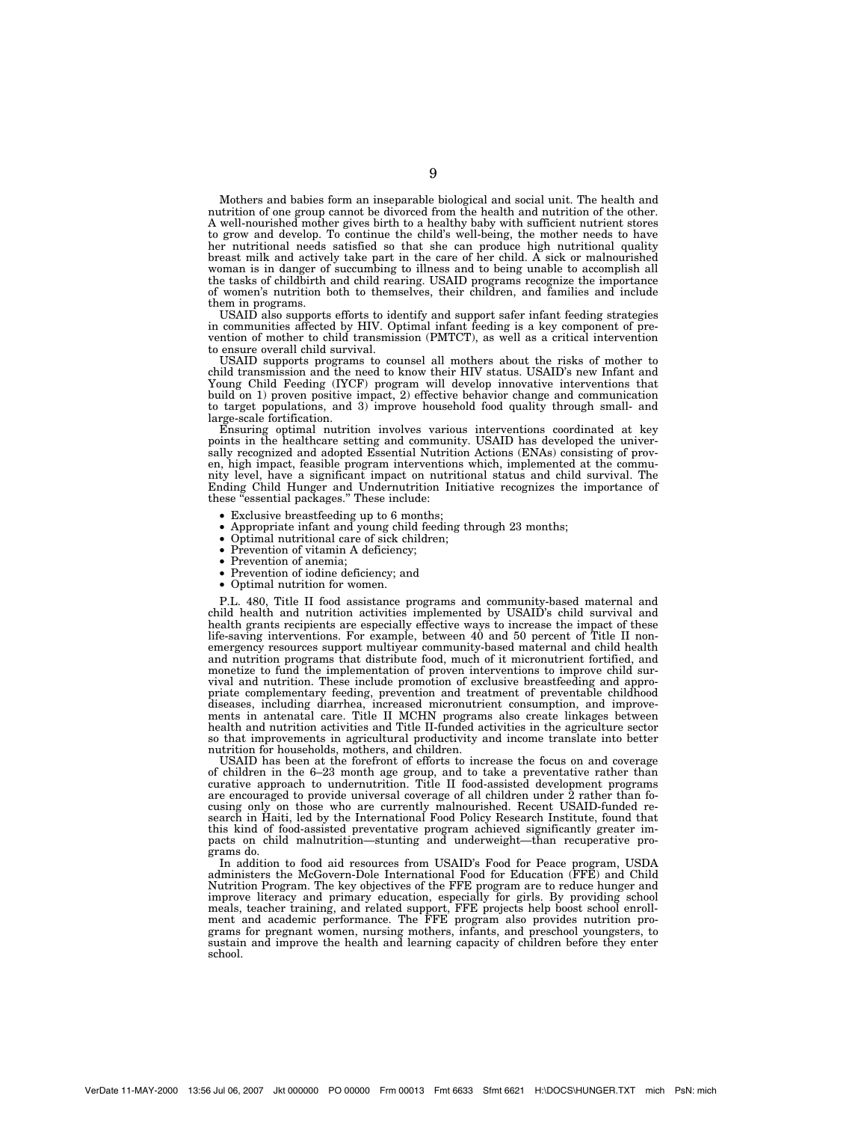Mothers and babies form an inseparable biological and social unit. The health and nutrition of one group cannot be divorced from the health and nutrition of the other. A well-nourished mother gives birth to a healthy baby with sufficient nutrient stores to grow and develop. To continue the child's well-being, the mother needs to have her nutritional needs satisfied so that she can produce high nutritional quality breast milk and actively take part in the care of her child. A sick or malnourished woman is in danger of succumbing to illness and to being unable to accomplish all the tasks of childbirth and child rearing. USAID programs recognize the importance of women's nutrition both to themselves, their children, and families and include them in programs.

USAID also supports efforts to identify and support safer infant feeding strategies in communities affected by HIV. Optimal infant feeding is a key component of prevention of mother to child transmission (PMTCT), as well as a critical intervention to ensure overall child survival.

USAID supports programs to counsel all mothers about the risks of mother to child transmission and the need to know their HIV status. USAID's new Infant and Young Child Feeding (IYCF) program will develop innovative interventions that build on 1) proven positive impact, 2) effective behavior change and communication to target populations, and 3) improve household food quality through small- and large-scale fortification.

Ensuring optimal nutrition involves various interventions coordinated at key points in the healthcare setting and community. USAID has developed the universally recognized and adopted Essential Nutrition Actions (ENAs) consisting of proven, high impact, feasible program interventions which, implemented at the community level, have a significant impact on nutritional status and child survival. The Ending Child Hunger and Undernutrition Initiative recognizes the importance of these "essential packages." These include:

- Exclusive breastfeeding up to 6 months;
- Appropriate infant and young child feeding through 23 months;
- Optimal nutritional care of sick children;
- Prevention of vitamin A deficiency;
- Prevention of anemia;
- Prevention of iodine deficiency; and
- Optimal nutrition for women.

P.L. 480, Title II food assistance programs and community-based maternal and child health and nutrition activities implemented by USAID's child survival and health grants recipients are especially effective ways to increase the impact of these life-saving interventions. For example, between 40 and 50 percent of Title II nonemergency resources support multiyear community-based maternal and child health and nutrition programs that distribute food, much of it micronutrient fortified, and monetize to fund the implementation of proven interventions to improve child survival and nutrition. These include promotion of exclusive breastfeeding and appropriate complementary feeding, prevention and treatment of preventable childhood diseases, including diarrhea, increased micronutrient consumption, and improvements in antenatal care. Title II MCHN programs also create linkages between health and nutrition activities and Title II-funded activities in the agriculture sector so that improvements in agricultural productivity and income translate into better nutrition for households, mothers, and children.

USAID has been at the forefront of efforts to increase the focus on and coverage of children in the 6–23 month age group, and to take a preventative rather than curative approach to undernutrition. Title II food-assisted development programs are encouraged to provide universal coverage of all children under 2 rather than focusing only on those who are currently malnourished. Recent USAID-funded research in Haiti, led by the International Food Policy Research Institute, found that this kind of food-assisted preventative program achieved significantly greater impacts on child malnutrition—stunting and underweight—than recuperative programs do.

In addition to food aid resources from USAID's Food for Peace program, USDA administers the McGovern-Dole International Food for Education (FFE) and Child Nutrition Program. The key objectives of the FFE program are to reduce hunger and improve literacy and primary education, especially for girls. By providing school meals, teacher training, and related support, FFE projects help boost school enrollment and academic performance. The FFE program also provides nutrition programs for pregnant women, nursing mothers, infants, and preschool youngsters, to sustain and improve the health and learning capacity of children before they enter school.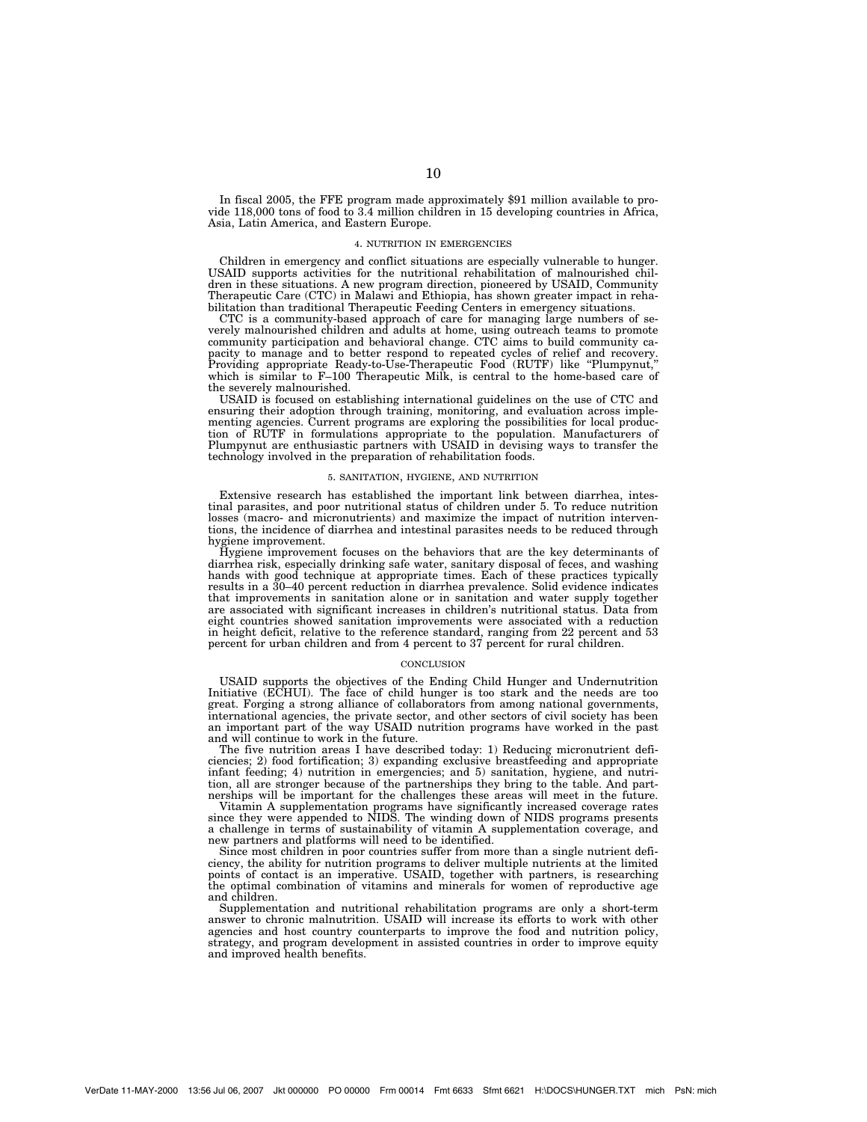In fiscal 2005, the FFE program made approximately \$91 million available to provide 118,000 tons of food to 3.4 million children in 15 developing countries in Africa, Asia, Latin America, and Eastern Europe.

# 4. NUTRITION IN EMERGENCIES

Children in emergency and conflict situations are especially vulnerable to hunger. USAID supports activities for the nutritional rehabilitation of malnourished children in these situations. A new program direction, pioneered by USAID, Community Therapeutic Care (CTC) in Malawi and Ethiopia, has shown greater impact in rehabilitation than traditional Therapeutic Feeding Centers in emergency situations.

CTC is a community-based approach of care for managing large numbers of severely malnourished children and adults at home, using outreach teams to promote community participation and behavioral change. CTC aims to build community capacity to manage and to better respond to repeated cycles of relief and recovery. Providing appropriate Ready-to-Use-Therapeutic Food (RUTF) like ''Plumpynut,'' which is similar to  $F-100$  Therapeutic Milk, is central to the home-based care of the severely malnourished.

USAID is focused on establishing international guidelines on the use of CTC and ensuring their adoption through training, monitoring, and evaluation across implementing agencies. Current programs are exploring the possibilities for local production of RUTF in formulations appropriate to the population. Manufacturers of Plumpynut are enthusiastic partners with USAID in devising ways to transfer the technology involved in the preparation of rehabilitation foods.

## 5. SANITATION, HYGIENE, AND NUTRITION

Extensive research has established the important link between diarrhea, intestinal parasites, and poor nutritional status of children under 5. To reduce nutrition losses (macro- and micronutrients) and maximize the impact of nutrition interventions, the incidence of diarrhea and intestinal parasites needs to be reduced through hygiene improvement.

Hygiene improvement focuses on the behaviors that are the key determinants of diarrhea risk, especially drinking safe water, sanitary disposal of feces, and washing hands with good technique at appropriate times. Each of these practices typically results in a 30–40 percent reduction in diarrhea prevalence. Solid evidence indicates that improvements in sanitation alone or in sanitation and water supply together are associated with significant increases in children's nutritional status. Data from eight countries showed sanitation improvements were associated with a reduction in height deficit, relative to the reference standard, ranging from 22 percent and 53 percent for urban children and from 4 percent to 37 percent for rural children.

## **CONCLUSION**

USAID supports the objectives of the Ending Child Hunger and Undernutrition Initiative (ECHUI). The face of child hunger is too stark and the needs are too great. Forging a strong alliance of collaborators from among national governments, international agencies, the private sector, and other sectors of civil society has been an important part of the way USAID nutrition programs have worked in the past and will continue to work in the future.

The five nutrition areas I have described today: 1) Reducing micronutrient deficiencies; 2) food fortification; 3) expanding exclusive breastfeeding and appropriate infant feeding; 4) nutrition in emergencies; and 5) sanitation, hygiene, and nutrition, all are stronger because of the partnerships they bring to the table. And partnerships will be important for the challenges these areas will meet in the future.

Vitamin A supplementation programs have significantly increased coverage rates since they were appended to NIDS. The winding down of NIDS programs presents a challenge in terms of sustainability of vitamin A supplementation coverage, and new partners and platforms will need to be identified.

Since most children in poor countries suffer from more than a single nutrient deficiency, the ability for nutrition programs to deliver multiple nutrients at the limited points of contact is an imperative. USAID, together with partners, is researching the optimal combination of vitamins and minerals for women of reproductive age and children.

Supplementation and nutritional rehabilitation programs are only a short-term answer to chronic malnutrition. USAID will increase its efforts to work with other agencies and host country counterparts to improve the food and nutrition policy, strategy, and program development in assisted countries in order to improve equity and improved health benefits.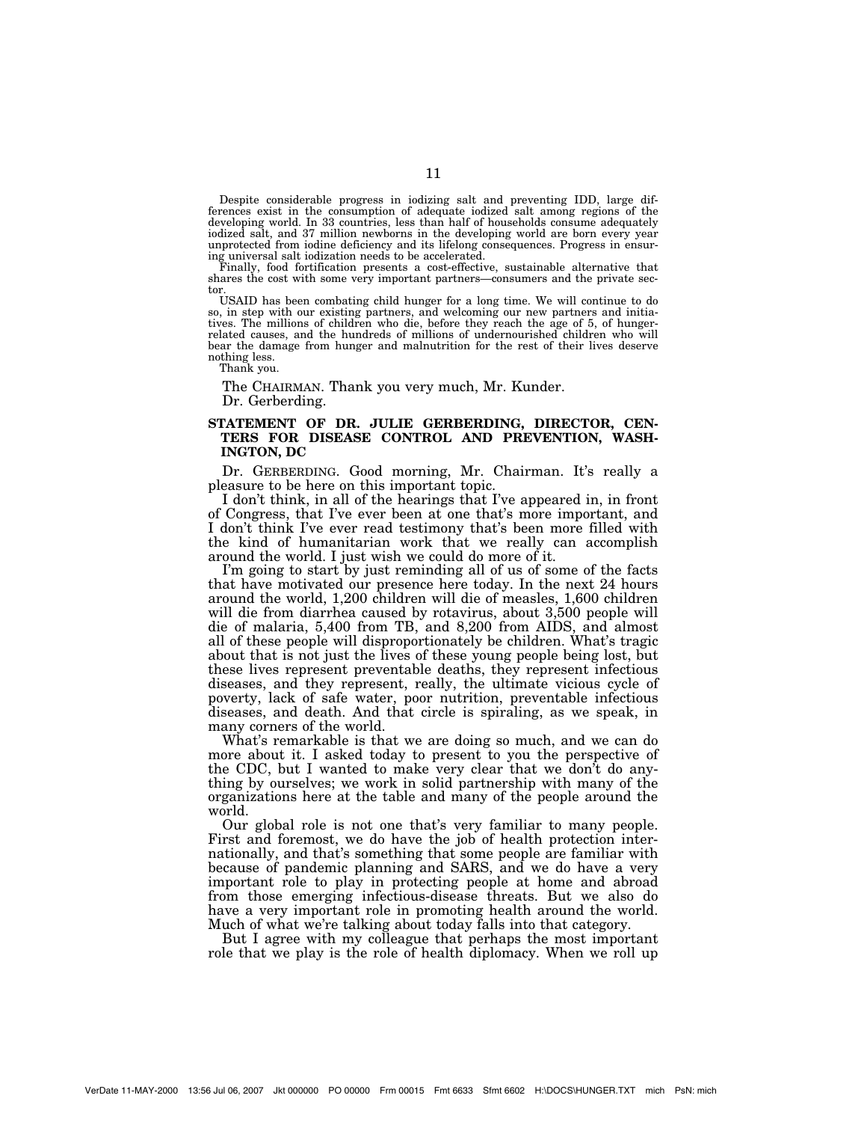Despite considerable progress in iodizing salt and preventing IDD, large differences exist in the consumption of adequate iodized salt among regions of the developing world. In 33 countries, less than half of households consume adequately iodized salt, and 37 million newborns in the developing world are born every year unprotected from iodine deficiency and its lifelong consequences. Progress in ensur-

ing universal salt iodization needs to be accelerated. Finally, food fortification presents a cost-effective, sustainable alternative that shares the cost with some very important partners—consumers and the private sector.

USAID has been combating child hunger for a long time. We will continue to do so, in step with our existing partners, and welcoming our new partners and initiatives. The millions of children who die, before they reach the age of 5, of hunger-related causes, and the hundreds of millions of undernourished children who will bear the damage from hunger and malnutrition for the rest of their lives deserve nothing less.

Thank you.

The CHAIRMAN. Thank you very much, Mr. Kunder. Dr. Gerberding.

# **STATEMENT OF DR. JULIE GERBERDING, DIRECTOR, CEN-TERS FOR DISEASE CONTROL AND PREVENTION, WASH-INGTON, DC**

Dr. GERBERDING. Good morning, Mr. Chairman. It's really a pleasure to be here on this important topic.

I don't think, in all of the hearings that I've appeared in, in front of Congress, that I've ever been at one that's more important, and I don't think I've ever read testimony that's been more filled with the kind of humanitarian work that we really can accomplish around the world. I just wish we could do more of it.

I'm going to start by just reminding all of us of some of the facts that have motivated our presence here today. In the next 24 hours around the world, 1,200 children will die of measles, 1,600 children will die from diarrhea caused by rotavirus, about 3,500 people will die of malaria, 5,400 from TB, and 8,200 from AIDS, and almost all of these people will disproportionately be children. What's tragic about that is not just the lives of these young people being lost, but these lives represent preventable deaths, they represent infectious diseases, and they represent, really, the ultimate vicious cycle of poverty, lack of safe water, poor nutrition, preventable infectious diseases, and death. And that circle is spiraling, as we speak, in many corners of the world.

What's remarkable is that we are doing so much, and we can do more about it. I asked today to present to you the perspective of the CDC, but I wanted to make very clear that we don't do anything by ourselves; we work in solid partnership with many of the organizations here at the table and many of the people around the world.

Our global role is not one that's very familiar to many people. First and foremost, we do have the job of health protection internationally, and that's something that some people are familiar with because of pandemic planning and SARS, and we do have a very important role to play in protecting people at home and abroad from those emerging infectious-disease threats. But we also do have a very important role in promoting health around the world. Much of what we're talking about today falls into that category.

But I agree with my colleague that perhaps the most important role that we play is the role of health diplomacy. When we roll up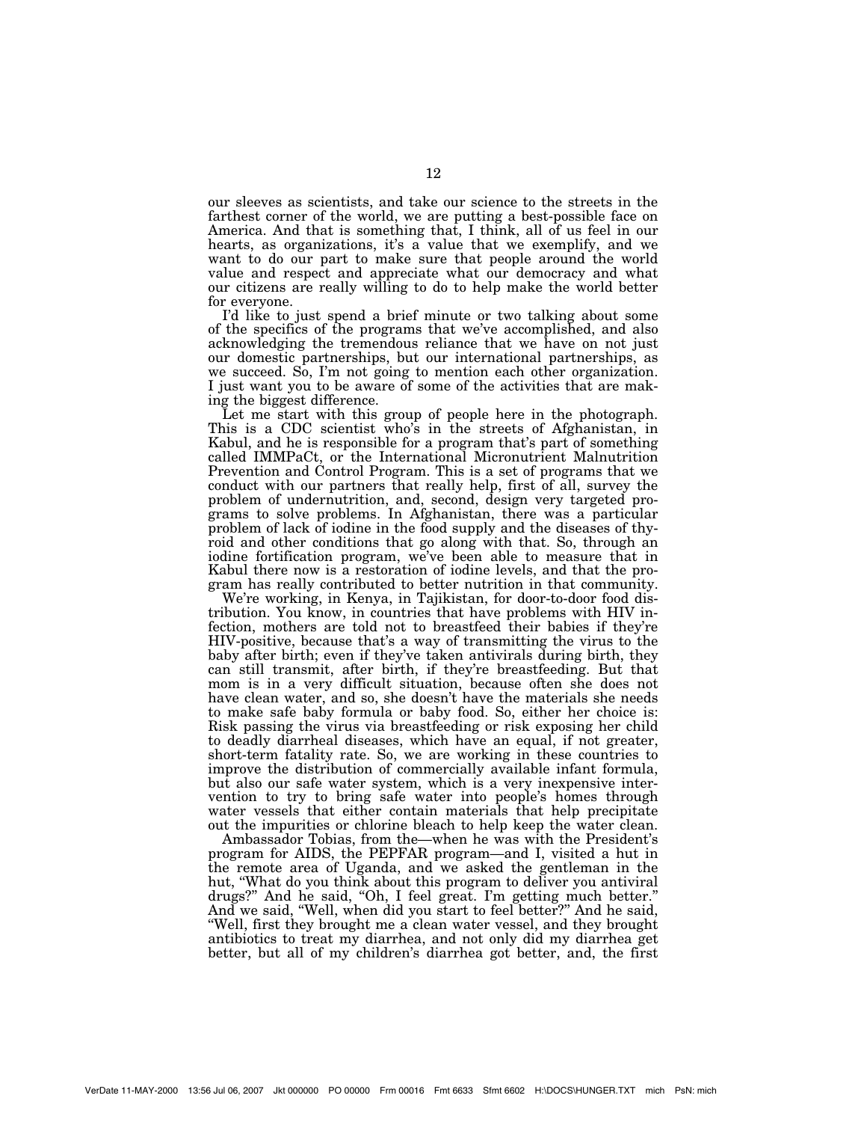our sleeves as scientists, and take our science to the streets in the farthest corner of the world, we are putting a best-possible face on America. And that is something that, I think, all of us feel in our hearts, as organizations, it's a value that we exemplify, and we want to do our part to make sure that people around the world value and respect and appreciate what our democracy and what our citizens are really willing to do to help make the world better for everyone.

I'd like to just spend a brief minute or two talking about some of the specifics of the programs that we've accomplished, and also acknowledging the tremendous reliance that we have on not just our domestic partnerships, but our international partnerships, as we succeed. So, I'm not going to mention each other organization. I just want you to be aware of some of the activities that are making the biggest difference.

Let me start with this group of people here in the photograph. This is a CDC scientist who's in the streets of Afghanistan, in Kabul, and he is responsible for a program that's part of something called IMMPaCt, or the International Micronutrient Malnutrition Prevention and Control Program. This is a set of programs that we conduct with our partners that really help, first of all, survey the problem of undernutrition, and, second, design very targeted programs to solve problems. In Afghanistan, there was a particular problem of lack of iodine in the food supply and the diseases of thyroid and other conditions that go along with that. So, through an iodine fortification program, we've been able to measure that in Kabul there now is a restoration of iodine levels, and that the program has really contributed to better nutrition in that community.

We're working, in Kenya, in Tajikistan, for door-to-door food distribution. You know, in countries that have problems with HIV infection, mothers are told not to breastfeed their babies if they're HIV-positive, because that's a way of transmitting the virus to the baby after birth; even if they've taken antivirals during birth, they can still transmit, after birth, if they're breastfeeding. But that mom is in a very difficult situation, because often she does not have clean water, and so, she doesn't have the materials she needs to make safe baby formula or baby food. So, either her choice is: Risk passing the virus via breastfeeding or risk exposing her child to deadly diarrheal diseases, which have an equal, if not greater, short-term fatality rate. So, we are working in these countries to improve the distribution of commercially available infant formula, but also our safe water system, which is a very inexpensive intervention to try to bring safe water into people's homes through water vessels that either contain materials that help precipitate out the impurities or chlorine bleach to help keep the water clean.

Ambassador Tobias, from the—when he was with the President's program for AIDS, the PEPFAR program—and I, visited a hut in the remote area of Uganda, and we asked the gentleman in the hut, ''What do you think about this program to deliver you antiviral drugs?'' And he said, ''Oh, I feel great. I'm getting much better.'' And we said, ''Well, when did you start to feel better?'' And he said, ''Well, first they brought me a clean water vessel, and they brought antibiotics to treat my diarrhea, and not only did my diarrhea get better, but all of my children's diarrhea got better, and, the first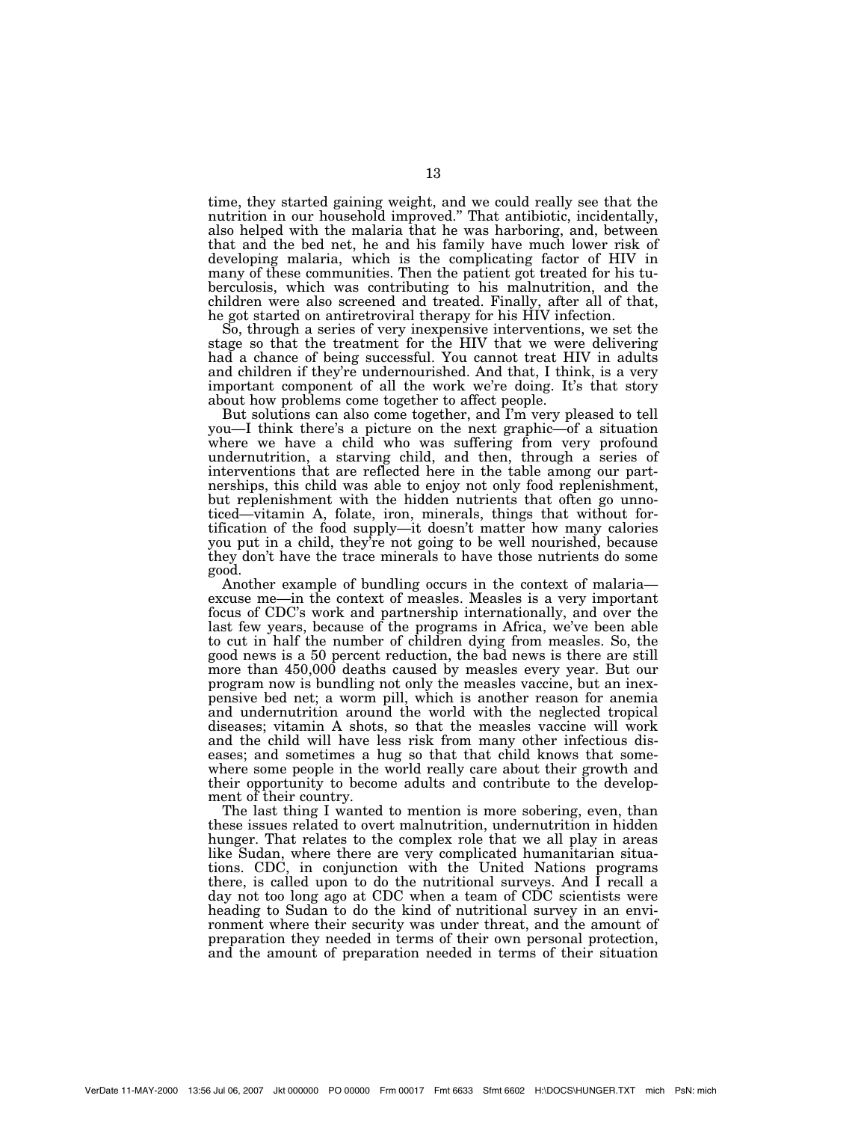time, they started gaining weight, and we could really see that the nutrition in our household improved.'' That antibiotic, incidentally, also helped with the malaria that he was harboring, and, between that and the bed net, he and his family have much lower risk of developing malaria, which is the complicating factor of HIV in many of these communities. Then the patient got treated for his tuberculosis, which was contributing to his malnutrition, and the children were also screened and treated. Finally, after all of that, he got started on antiretroviral therapy for his HIV infection.

So, through a series of very inexpensive interventions, we set the stage so that the treatment for the HIV that we were delivering had a chance of being successful. You cannot treat HIV in adults and children if they're undernourished. And that, I think, is a very important component of all the work we're doing. It's that story about how problems come together to affect people.

But solutions can also come together, and I'm very pleased to tell you—I think there's a picture on the next graphic—of a situation where we have a child who was suffering from very profound undernutrition, a starving child, and then, through a series of interventions that are reflected here in the table among our partnerships, this child was able to enjoy not only food replenishment, but replenishment with the hidden nutrients that often go unnoticed—vitamin A, folate, iron, minerals, things that without fortification of the food supply—it doesn't matter how many calories you put in a child, they're not going to be well nourished, because they don't have the trace minerals to have those nutrients do some good.

Another example of bundling occurs in the context of malaria excuse me—in the context of measles. Measles is a very important focus of CDC's work and partnership internationally, and over the last few years, because of the programs in Africa, we've been able to cut in half the number of children dying from measles. So, the good news is a 50 percent reduction, the bad news is there are still more than 450,000 deaths caused by measles every year. But our program now is bundling not only the measles vaccine, but an inexpensive bed net; a worm pill, which is another reason for anemia and undernutrition around the world with the neglected tropical diseases; vitamin A shots, so that the measles vaccine will work and the child will have less risk from many other infectious diseases; and sometimes a hug so that that child knows that somewhere some people in the world really care about their growth and their opportunity to become adults and contribute to the development of their country.

The last thing I wanted to mention is more sobering, even, than these issues related to overt malnutrition, undernutrition in hidden hunger. That relates to the complex role that we all play in areas like Sudan, where there are very complicated humanitarian situations. CDC, in conjunction with the United Nations programs there, is called upon to do the nutritional surveys. And I recall a day not too long ago at CDC when a team of CDC scientists were heading to Sudan to do the kind of nutritional survey in an environment where their security was under threat, and the amount of preparation they needed in terms of their own personal protection, and the amount of preparation needed in terms of their situation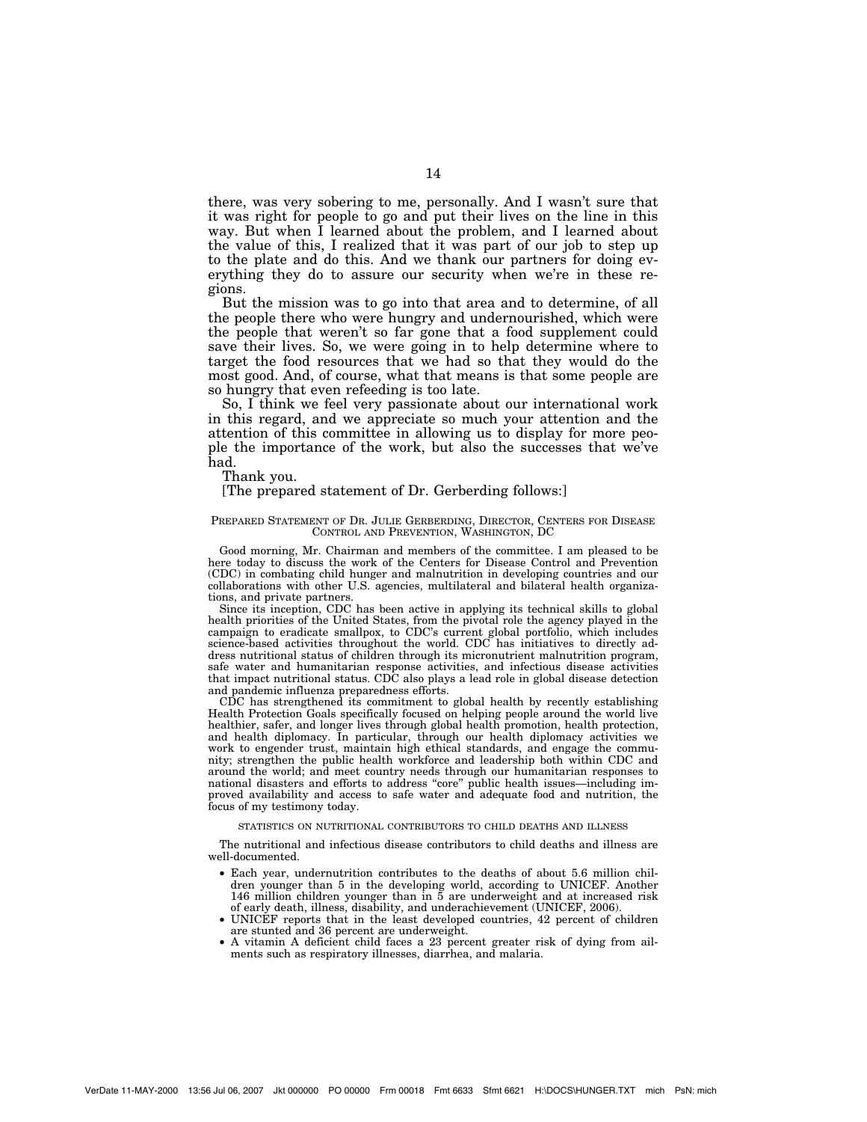there, was very sobering to me, personally. And I wasn't sure that it was right for people to go and put their lives on the line in this way. But when I learned about the problem, and I learned about the value of this, I realized that it was part of our job to step up to the plate and do this. And we thank our partners for doing everything they do to assure our security when we're in these regions.

But the mission was to go into that area and to determine, of all the people there who were hungry and undernourished, which were the people that weren't so far gone that a food supplement could save their lives. So, we were going in to help determine where to target the food resources that we had so that they would do the most good. And, of course, what that means is that some people are so hungry that even refeeding is too late.

So, I think we feel very passionate about our international work in this regard, and we appreciate so much your attention and the attention of this committee in allowing us to display for more people the importance of the work, but also the successes that we've had.

Thank you.

# [The prepared statement of Dr. Gerberding follows:]

# PREPARED STATEMENT OF DR. JULIE GERBERDING, DIRECTOR, CENTERS FOR DISEASE CONTROL AND PREVENTION, WASHINGTON, DC

Good morning, Mr. Chairman and members of the committee. I am pleased to be here today to discuss the work of the Centers for Disease Control and Prevention (CDC) in combating child hunger and malnutrition in developing countries and our collaborations with other U.S. agencies, multilateral and bilateral health organizations, and private partners.

Since its inception, CDC has been active in applying its technical skills to global health priorities of the United States, from the pivotal role the agency played in the campaign to eradicate smallpox, to CDC's current global portfolio, which includes science-based activities throughout the world. CDC has initiatives to directly address nutritional status of children through its micronutrient malnutrition program, safe water and humanitarian response activities, and infectious disease activities that impact nutritional status. CDC also plays a lead role in global disease detection and pandemic influenza preparedness efforts.

CDC has strengthened its commitment to global health by recently establishing Health Protection Goals specifically focused on helping people around the world live healthier, safer, and longer lives through global health promotion, health protection, and health diplomacy. In particular, through our health diplomacy activities we work to engender trust, maintain high ethical standards, and engage the community; strengthen the public health workforce and leadership both within CDC and around the world; and meet country needs through our humanitarian responses to national disasters and efforts to address ''core'' public health issues—including improved availability and access to safe water and adequate food and nutrition, the focus of my testimony today.

# STATISTICS ON NUTRITIONAL CONTRIBUTORS TO CHILD DEATHS AND ILLNESS

The nutritional and infectious disease contributors to child deaths and illness are well-documented.

- Each year, undernutrition contributes to the deaths of about 5.6 million children younger than 5 in the developing world, according to UNICEF. Another 146 million children younger than in 5 are underweight and at increased risk of early death, illness, disability, and underachievement (UNICEF, 2006).
- UNICEF reports that in the least developed countries, 42 percent of children are stunted and 36 percent are underweight.
- A vitamin A deficient child faces a 23 percent greater risk of dying from ailments such as respiratory illnesses, diarrhea, and malaria.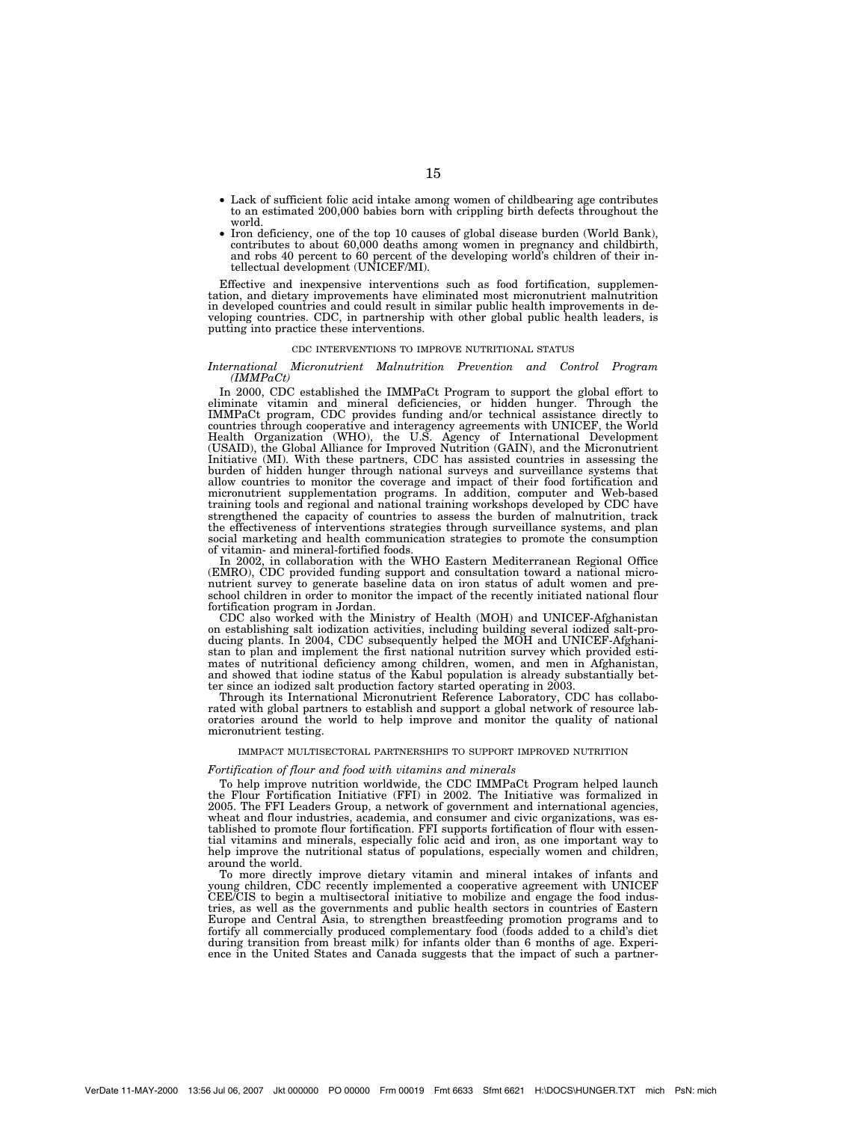- Lack of sufficient folic acid intake among women of childbearing age contributes to an estimated 200,000 babies born with crippling birth defects throughout the
- Iron deficiency, one of the top 10 causes of global disease burden (World Bank), contributes to about 60,000 deaths among women in pregnancy and childbirth, and robs 40 percent to 60 percent of the developing world's children of their in-tellectual development (UNICEF/MI).

Effective and inexpensive interventions such as food fortification, supplementation, and dietary improvements have eliminated most micronutrient malnutrition in developed countries and could result in similar public health improvements in developing countries. CDC, in partnership with other global public health leaders, is putting into practice these interventions.

# CDC INTERVENTIONS TO IMPROVE NUTRITIONAL STATUS

## *International Micronutrient Malnutrition Prevention and Control Program (IMMPaCt)*

In 2000, CDC established the IMMPaCt Program to support the global effort to<br>eliminate vitamin and mineral deficiencies, or hidden hunger. Through the<br>IMMPaCt program, CDC provides funding and/or technical assistance direc countries through cooperative and interagency agreements with UNICEF, the World Health Organization (WHO), the U.S. Agency of International Development (USAID), the Global Alliance for Improved Nutrition (GAIN), and the Micronutrient Initiative (MI). With these partners, CDC has assisted countries in assessing the burden of hidden hunger through national surveys and surveillance systems that allow countries to monitor the coverage and impact of their food fortification and micronutrient supplementation programs. In addition, computer and Web-based training tools and regional and national training workshops developed by CDC have strengthened the capacity of countries to assess the burden of malnutrition, track the effectiveness of interventions strategies through surveillance systems, and plan social marketing and health communication strategies to promote the consumption of vitamin- and mineral-fortified foods.

In 2002, in collaboration with the WHO Eastern Mediterranean Regional Office (EMRO), CDC provided funding support and consultation toward a national micronutrient survey to generate baseline data on iron status of adult women and preschool children in order to monitor the impact of the recently initiated national flour fortification program in Jordan.

CDC also worked with the Ministry of Health (MOH) and UNICEF-Afghanistan on establishing salt iodization activities, including building several iodized salt-producing plants. In 2004, CDC subsequently helped the MOH and UNICEF-Afghanistan to plan and implement the first national nutrition survey which provided estimates of nutritional deficiency among children, women, and men in Afghanistan, and showed that iodine status of the Kabul population is already substantially better since an iodized salt production factory started operating in 2003.

Through its International Micronutrient Reference Laboratory, CDC has collaborated with global partners to establish and support a global network of resource laboratories around the world to help improve and monitor the quality of national micronutrient testing.

#### IMMPACT MULTISECTORAL PARTNERSHIPS TO SUPPORT IMPROVED NUTRITION

## *Fortification of flour and food with vitamins and minerals*

To help improve nutrition worldwide, the CDC IMMPaCt Program helped launch the Flour Fortification Initiative (FFI) in 2002. The Initiative was formalized in 2005. The FFI Leaders Group, a network of government and international agencies, wheat and flour industries, academia, and consumer and civic organizations, was established to promote flour fortification. FFI supports fortification of flour with essential vitamins and minerals, especially folic acid and iron, as one important way to help improve the nutritional status of populations, especially women and children, around the world.

To more directly improve dietary vitamin and mineral intakes of infants and young children, CDC recently implemented a cooperative agreement with UNICEF CEE/CIS to begin a multisectoral initiative to mobilize and engage the food industries, as well as the governments and public health sectors in countries of Eastern Europe and Central Asia, to strengthen breastfeeding promotion programs and to fortify all commercially produced complementary food (foods added to a child's diet during transition from breast milk) for infants older than 6 months of age. Experience in the United States and Canada suggests that the impact of such a partner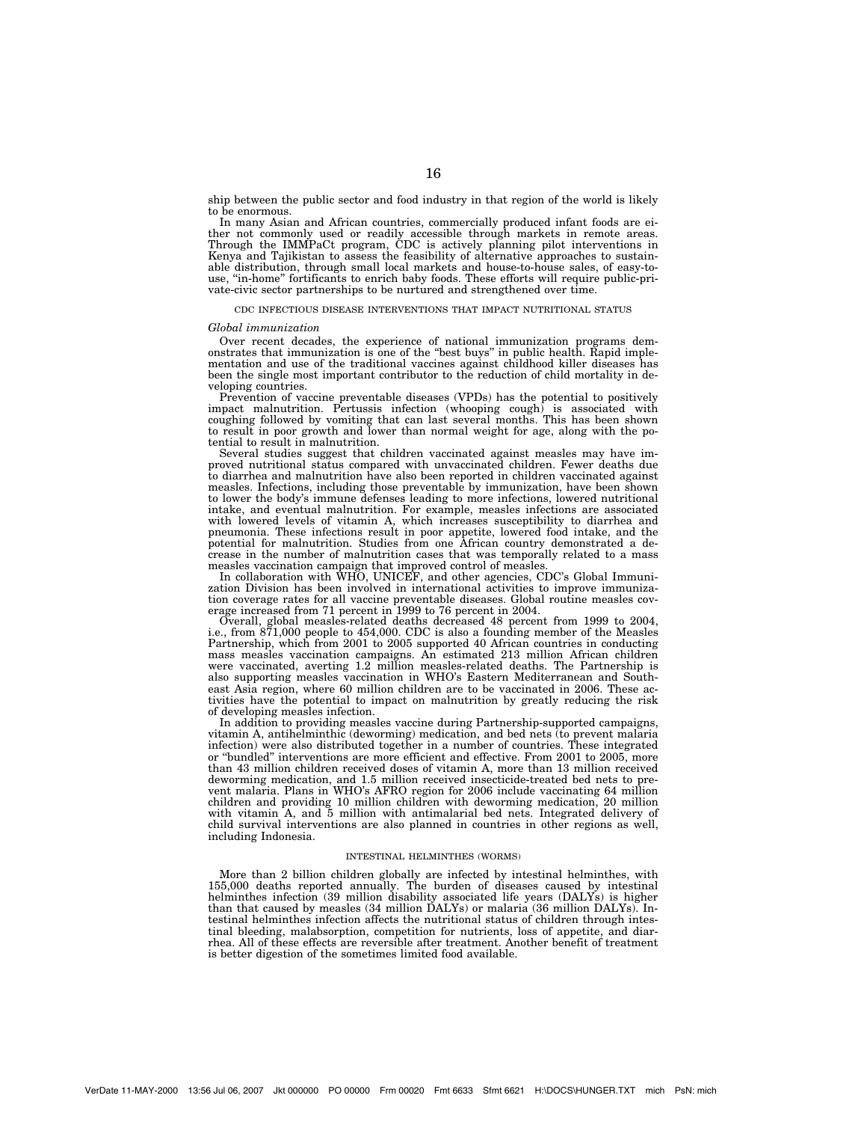ship between the public sector and food industry in that region of the world is likely to be enormous.

In many Asian and African countries, commercially produced infant foods are either not commonly used or readily accessible through markets in remote areas. Through the IMMPaCt program, CDC is actively planning pilot interventions in Kenya and Tajikistan to assess the feasibility of alternative approaches to sustainable distribution, through small local markets and house-to-house sales, of easy-touse, "in-home" fortificants to enrich baby foods. These efforts will require public-private-civic sector partnerships to be nurtured and strengthened over time.

## CDC INFECTIOUS DISEASE INTERVENTIONS THAT IMPACT NUTRITIONAL STATUS

## *Global immunization*

Over recent decades, the experience of national immunization programs demonstrates that immunization is one of the ''best buys'' in public health. Rapid implementation and use of the traditional vaccines against childhood killer diseases has been the single most important contributor to the reduction of child mortality in developing countries.

Prevention of vaccine preventable diseases (VPDs) has the potential to positively impact malnutrition. Pertussis infection (whooping cough) is associated with coughing followed by vomiting that can last several months. This has been shown to result in poor growth and lower than normal weight for age, along with the potential to result in malnutrition.

Several studies suggest that children vaccinated against measles may have improved nutritional status compared with unvaccinated children. Fewer deaths due to diarrhea and malnutrition have also been reported in children vaccinated against measles. Infections, including those preventable by immunization, have been shown to lower the body's immune defenses leading to more infections, lowered nutritional intake, and eventual malnutrition. For example, measles infections are associated with lowered levels of vitamin A, which increases susceptibility to diarrhea and<br>pneumonia. These infections result in poor appetite, lowered food intake, and the<br>potential for malnutrition. Studies from one African countr

crease in the number of malnutrition cases that was temporally related to a mass<br>measles vaccination campaign that improved control of measles.<br>In collaboration with WHO, UNICEF, and other agencies, CDC's Global Immuni-<br>za tion coverage rates for all vaccine preventable diseases. Global routine measles coverage increased from 71 percent in 1999 to 76 percent in 2004.

Overall, global measles-related deaths decreased 48 percent from 1999 to 2004, i.e., from 871,000 people to 454,000. CDC is also a founding member of the Measles Partnership, which from 2001 to 2005 supported 40 African countries in conducting mass measles vaccination campaigns. An estimated 213 million African children were vaccinated, averting 1.2 million measles-related deaths. The Partnership is also supporting measles vaccination in WHO's Eastern Mediterranean and Southeast Asia region, where 60 million children are to be vaccinated in 2006. These activities have the potential to impact on malnutrition by greatly reducing the risk of developing measles infection.

In addition to providing measles vaccine during Partnership-supported campaigns, vitamin A, antihelminthic (deworming) medication, and bed nets (to prevent malaria infection) were also distributed together in a number of countries. These integrated or ''bundled'' interventions are more efficient and effective. From 2001 to 2005, more than 43 million children received doses of vitamin A, more than 13 million received deworming medication, and 1.5 million received insecticide-treated bed nets to prevent malaria. Plans in WHO's AFRO region for 2006 include vaccinating 64 million children and providing 10 million children with deworming medication, 20 million with vitamin A, and 5 million with antimalarial bed nets. Integrated delivery of child survival interventions are also planned in countries in other regions as well, including Indonesia.

## INTESTINAL HELMINTHES (WORMS)

More than 2 billion children globally are infected by intestinal helminthes, with 155,000 deaths reported annually. The burden of diseases caused by intestinal helminthes infection (39 million disability associated life years (DALYs) is higher than that caused by measles (34 million DALYs) or malaria (36 million DALYs). Intestinal helminthes infection affects the nutritional status of children through intestinal bleeding, malabsorption, competition for nutrients, loss of appetite, and diarrhea. All of these effects are reversible after treatment. Another benefit of treatment is better digestion of the sometimes limited food available.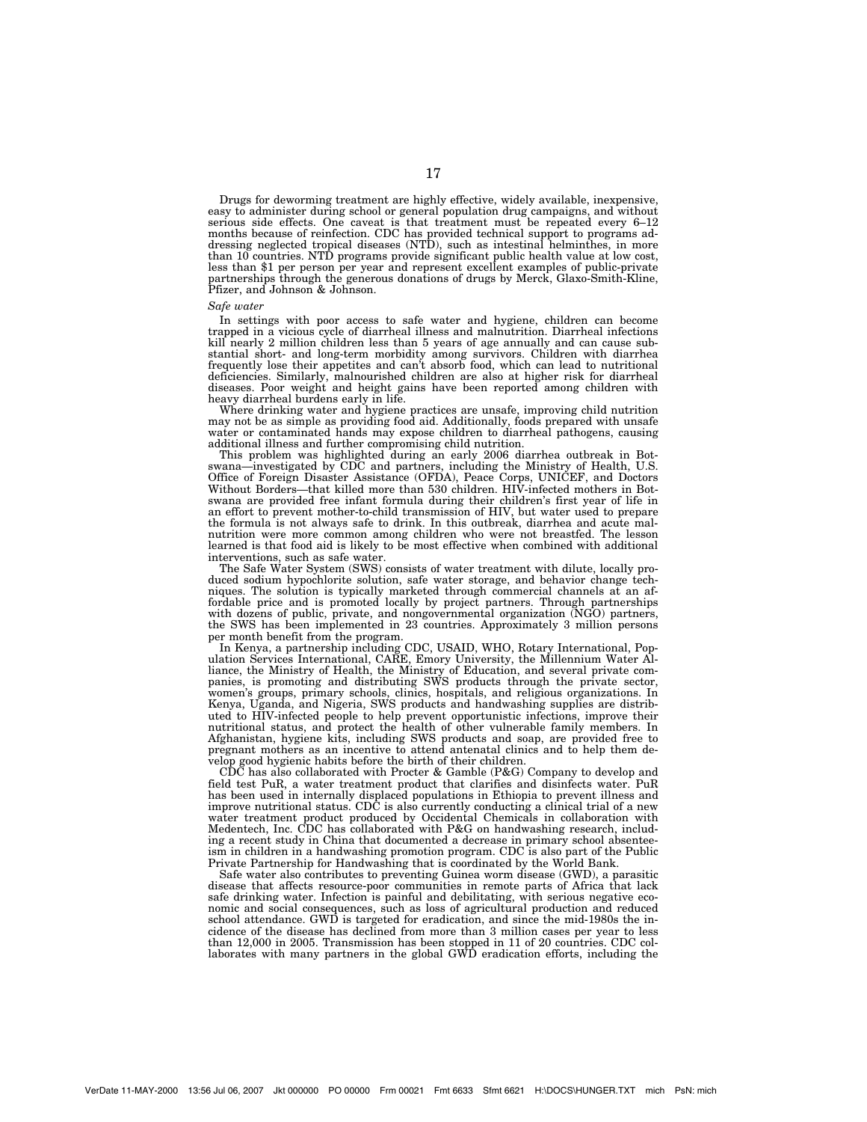Drugs for deworming treatment are highly effective, widely available, inexpensive, easy to administer during school or general population drug campaigns, and without serious side effects. One caveat is that treatment must be repeated every 6–12 months because of reinfection. CDC has provided technical support to programs ad-dressing neglected tropical diseases (NTD), such as intestinal helminthes, in more than 10 countries. NTD programs provide significant public health value at low cost, less than \$1 per person per year and represent excellent examples of public-private partnerships through the generous donations of drugs by Merck, Glaxo-Smith-Kline, partnerships director in the Division.<br>Pfizer, and Johnson & Johnson.

#### *Safe water*

In settings with poor access to safe water and hygiene, children can become trapped in a vicious cycle of diarrheal illness and malnutrition. Diarrheal infections kill nearly 2 million children less than 5 years of age annually and can cause substantial short- and long-term morbidity among survivors. Children with diarrhea frequently lose their appetites and can't absorb food, which can lead to nutritional deficiencies. Similarly, malnourished children are also at higher risk for diarrheal diseases. Poor weight and height gains have been reported among children with heavy diarrheal burdens early in life.

Where drinking water and hygiene practices are unsafe, improving child nutrition may not be as simple as providing food aid. Additionally, foods prepared with unsafe water or contaminated hands may expose children to diarrheal pathogens, causing additional illness and further compromising child nutrition.

This problem was highlighted during an early 2006 diarrhea outbreak in Botswana—investigated by CDC and partners, including the Ministry of Health, U.S. Office of Foreign Disaster Assistance (OFDA), Peace Corps, UNICEF, and Doctors Without Borders—that killed more than 530 children. HIV-infected mothers in Botswana are provided free infant formula during their children's first year of life in an effort to prevent mother-to-child transmission of HIV, but water used to prepare the formula is not always safe to drink. In this outbreak, diarrhea and acute malnutrition were more common among children who were not breastfed. The lesson learned is that food aid is likely to be most effective when combined with additional interventions, such as safe water.

The Safe Water System (SWS) consists of water treatment with dilute, locally produced sodium hypochlorite solution, safe water storage, and behavior change techniques. The solution is typically marketed through commercial channels at an affordable price and is promoted locally by project partners. Through partnerships with dozens of public, private, and nongovernmental organization (NGO) partners, the SWS has been implemented in 23 countries. Approximately 3 million persons per month benefit from the program.

In Kenya, a partnership including CDC, USAID, WHO, Rotary International, Population Services International, CARE, Emory University, the Millennium Water Alliance, the Ministry of Health, the Ministry of Education, and several private companies, is promoting and distributing SWS products through the private sector, women's groups, primary schools, clinics, hospitals, and religious organizations. In Kenya, Uganda, and Nigeria, SWS products and handwashing supplies are distributed to HIV-infected people to help prevent opportunistic infections, improve their nutritional status, and protect the health of other vulnerable family members. In Afghanistan, hygiene kits, including SWS products and soap, are provided free to pregnant mothers as an incentive to attend antenatal clinics and to help them develop good hygienic habits before the birth of their children.

CDC has also collaborated with Procter & Gamble (P&G) Company to develop and field test PuR, a water treatment product that clarifies and disinfects water. PuR has been used in internally displaced populations in Ethiopia to prevent illness and improve nutritional status. CDC is also currently conducting a clinical trial of a new water treatment product produced by Occidental Chemicals in collaboration with Medentech, Inc. CDC has collaborated with P&G on handwashing research, including a recent study in China that documented a decrease in primary school absenteeism in children in a handwashing promotion program. CDC is also part of the Public Private Partnership for Handwashing that is coordinated by the World Bank.

Safe water also contributes to preventing Guinea worm disease (GWD), a parasitic disease that affects resource-poor communities in remote parts of Africa that lack safe drinking water. Infection is painful and debilitating, with serious negative economic and social consequences, such as loss of agricultural production and reduced school attendance. GWD is targeted for eradication, and since the mid-1980s the incidence of the disease has declined from more than 3 million cases per year to less than 12,000 in 2005. Transmission has been stopped in 11 of 20 countries. CDC col-laborates with many partners in the global GWD eradication efforts, including the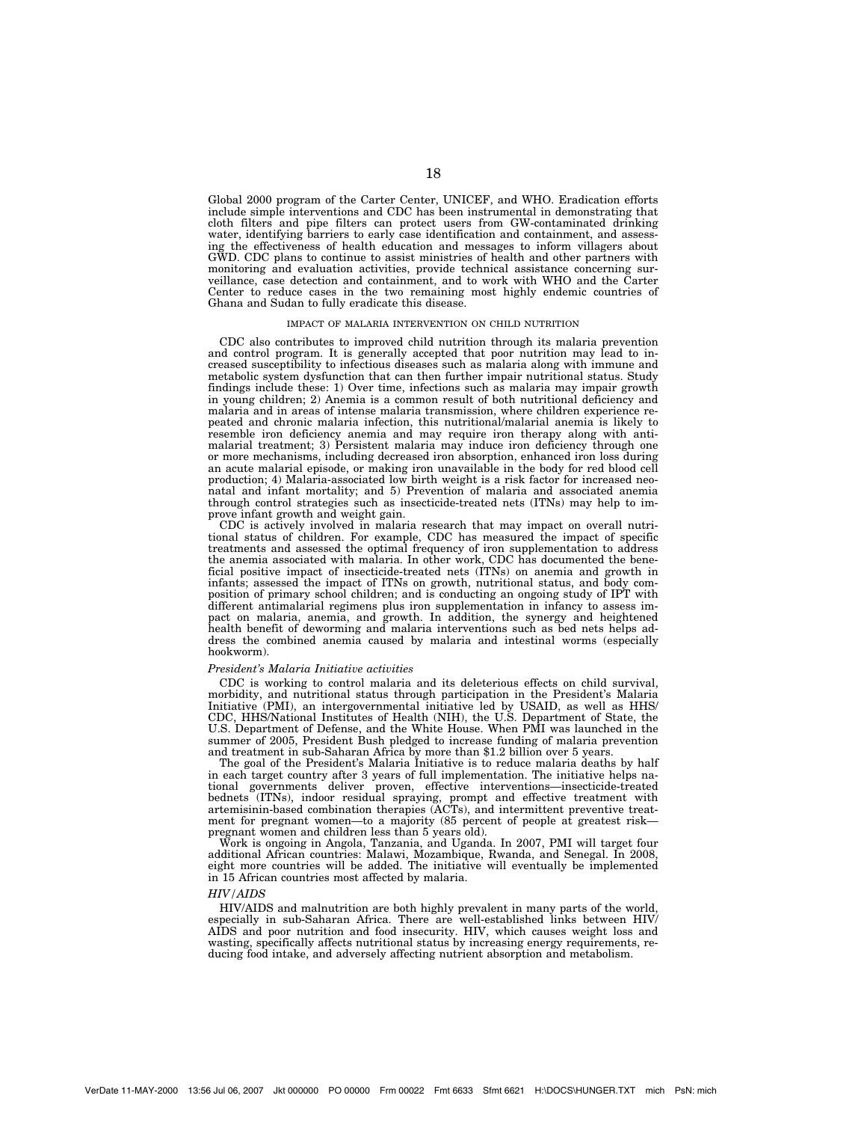Global 2000 program of the Carter Center, UNICEF, and WHO. Eradication efforts include simple interventions and CDC has been instrumental in demonstrating that cloth filters and pipe filters can protect users from GW-contaminated drinking water, identifying barriers to early case identification and containment, and assessing the effectiveness of health education and messages to inform villagers about GWD. CDC plans to continue to assist ministries of health and other partners with monitoring and evaluation activities, provide technical assistance concerning surveillance, case detection and containment, and to work with WHO and the Carter Center to reduce cases in the two remaining most highly endemic countries of Ghana and Sudan to fully eradicate this disease.

#### IMPACT OF MALARIA INTERVENTION ON CHILD NUTRITION

CDC also contributes to improved child nutrition through its malaria prevention and control program. It is generally accepted that poor nutrition may lead to increased susceptibility to infectious diseases such as malaria along with immune and metabolic system dysfunction that can then further impair nutritional status. Study findings include these: 1) Over time, infections such as malaria may impair growth in young children; 2) Anemia is a common result of both nutritional deficiency and malaria and in areas of intense malaria transmission, where children experience repeated and chronic malaria infection, this nutritional/malarial anemia is likely to resemble iron deficiency anemia and may require iron therapy along with antimalarial treatment; 3) Persistent malaria may induce iron deficiency through one or more mechanisms, including decreased iron absorption, enhanced iron loss during an acute malarial episode, or making iron unavailable in the body for red blood cell production; 4) Malaria-associated low birth weight is a risk factor for increased neonatal and infant mortality; and 5) Prevention of malaria and associated anemia through control strategies such as insecticide-treated nets (ITNs) may help to improve infant growth and weight gain.

CDC is actively involved in malaria research that may impact on overall nutritional status of children. For example, CDC has measured the impact of specific treatments and assessed the optimal frequency of iron supplementation to address the anemia associated with malaria. In other work, CDC has documented the beneficial positive impact of insecticide-treated nets (ITNs) on anemia and growth in infants; assessed the impact of ITNs on growth, nutritional status, and body composition of primary school children; and is conducting an ongoing study of IPT with different antimalarial regimens plus iron supplementation in infancy to assess impact on malaria, anemia, and growth. In addition, the synergy and heightened health benefit of deworming and malaria interventions such as bed nets helps address the combined anemia caused by malaria and intestinal worms (especially hookworm).

## *President's Malaria Initiative activities*

CDC is working to control malaria and its deleterious effects on child survival, morbidity, and nutritional status through participation in the President's Malaria Initiative (PMI), an intergovernmental initiative led by USAID, as well as HHS/ CDC, HHS/National Institutes of Health (NIH), the U.S. Department of State, the U.S. Department of Defense, and the White House. When PMI was launched in the summer of 2005, President Bush pledged to increase funding of malaria prevention and treatment in sub-Saharan Africa by more than \$1.2 billion over 5 years.

The goal of the President's Malaria Initiative is to reduce malaria deaths by half in each target country after 3 years of full implementation. The initiative helps national governments deliver proven, effective interventions—insecticide-treated bednets (ITNs), indoor residual spraying, prompt and effective treatment with artemisinin-based combination therapies (ACTs), and intermittent preventive treatment for pregnant women—to a majority (85 percent of people at greatest risk pregnant women and children less than 5 years old).

Work is ongoing in Angola, Tanzania, and Uganda. In 2007, PMI will target four additional African countries: Malawi, Mozambique, Rwanda, and Senegal. In 2008, eight more countries will be added. The initiative will eventually be implemented in 15 African countries most affected by malaria.

## *HIV/AIDS*

HIV/AIDS and malnutrition are both highly prevalent in many parts of the world, especially in sub-Saharan Africa. There are well-established links between HIV/ AIDS and poor nutrition and food insecurity. HIV, which causes weight loss and wasting, specifically affects nutritional status by increasing energy requirements, reducing food intake, and adversely affecting nutrient absorption and metabolism.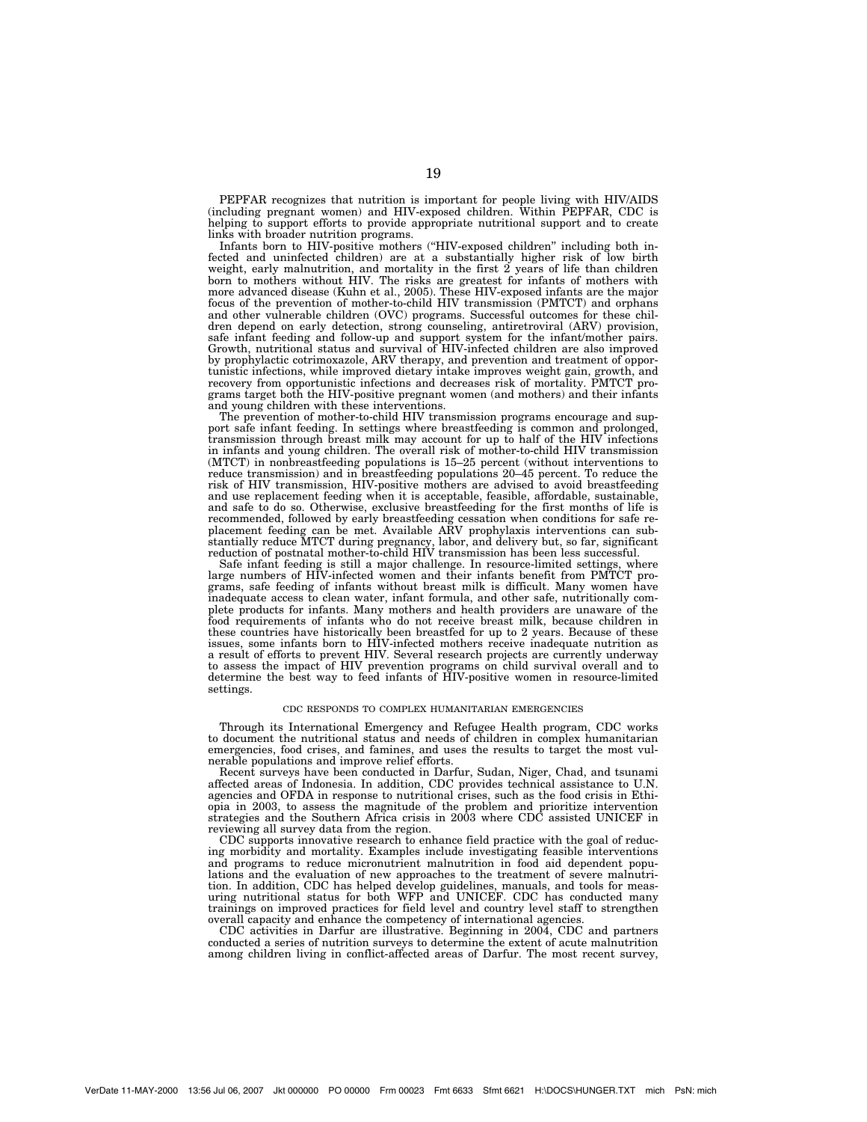PEPFAR recognizes that nutrition is important for people living with HIV/AIDS (including pregnant women) and HIV-exposed children. Within PEPFAR, CDC is helping to support efforts to provide appropriate nutritional support and to create links with broader nutrition programs.

Infants born to HIV-positive mothers (''HIV-exposed children'' including both infected and uninfected children) are at a substantially higher risk of low birth weight, early malnutrition, and mortality in the first 2 years of life than children born to mothers without HIV. The risks are greatest for infants of mothers with more advanced disease (Kuhn et al., 2005). These HIV-exposed infants are the major focus of the prevention of mother-to-child HIV transmission (PMTCT) and orphans and other vulnerable children (OVC) programs. Successful outcomes for these children depend on early detection, strong counseling, antiretroviral (ARV) provision, safe infant feeding and follow-up and support system for the infant/mother pairs. Growth, nutritional status and survival of HIV-infected children are also improved by prophylactic cotrimoxazole, ARV therapy, and prevention and treatment of opportunistic infections, while improved dietary intake improves weight gain, growth, and recovery from opportunistic infections and decreases risk of mortality. PMTCT programs target both the HIV-positive pregnant women (and mothers) and their infants and young children with these interventions.

The prevention of mother-to-child HIV transmission programs encourage and support safe infant feeding. In settings where breastfeeding is common and prolonged, transmission through breast milk may account for up to half of the HIV infections in infants and young children. The overall risk of mother-to-child HIV transmission (MTCT) in nonbreastfeeding populations is 15–25 percent (without interventions to reduce transmission) and in breastfeeding populations 20–45 percent. To reduce the risk of HIV transmission, HIV-positive mothers are advised to avoid breastfeeding and use replacement feeding when it is acceptable, feasible, affordable, sustainable, and safe to do so. Otherwise, exclusive breastfeeding for the first months of life is recommended, followed by early breastfeeding cessation when conditions for safe replacement feeding can be met. Available ARV prophylaxis interventions can substantially reduce MTCT during pregnancy, labor, and delivery but, so far, significant reduction of postnatal mother-to-child HIV transmission has been less successful.

Safe infant feeding is still a major challenge. In resource-limited settings, where large numbers of HIV-infected women and their infants benefit from PMTCT programs, safe feeding of infants without breast milk is difficult. Many women have inadequate access to clean water, infant formula, and other safe, nutritionally complete products for infants. Many mothers and health providers are unaware of the food requirements of infants who do not receive breast milk, because children in these countries have historically been breastfed for up to 2 years. Because of these issues, some infants born to HIV-infected mothers receive inadequate nutrition as a result of efforts to prevent HIV. Several research projects are currently underway to assess the impact of HIV prevention programs on child survival overall and to determine the best way to feed infants of HIV-positive women in resource-limited settings.

## CDC RESPONDS TO COMPLEX HUMANITARIAN EMERGENCIES

Through its International Emergency and Refugee Health program, CDC works to document the nutritional status and needs of children in complex humanitarian emergencies, food crises, and famines, and uses the results to target the most vulnerable populations and improve relief efforts.

Recent surveys have been conducted in Darfur, Sudan, Niger, Chad, and tsunami affected areas of Indonesia. In addition, CDC provides technical assistance to U.N. agencies and OFDA in response to nutritional crises, such as the food crisis in Ethiopia in 2003, to assess the magnitude of the problem and prioritize intervention strategies and the Southern Africa crisis in 2003 where CDC assisted UNICEF in reviewing all survey data from the region.

CDC supports innovative research to enhance field practice with the goal of reducing morbidity and mortality. Examples include investigating feasible interventions and programs to reduce micronutrient malnutrition in food aid dependent populations and the evaluation of new approaches to the treatment of severe malnutrition. In addition, CDC has helped develop guidelines, manuals, and tools for measuring nutritional status for both WFP and UNICEF. CDC has conducted many trainings on improved practices for field level and country level staff to strengthen overall capacity and enhance the competency of international agencies.

CDC activities in Darfur are illustrative. Beginning in 2004, CDC and partners conducted a series of nutrition surveys to determine the extent of acute malnutrition among children living in conflict-affected areas of Darfur. The most recent survey,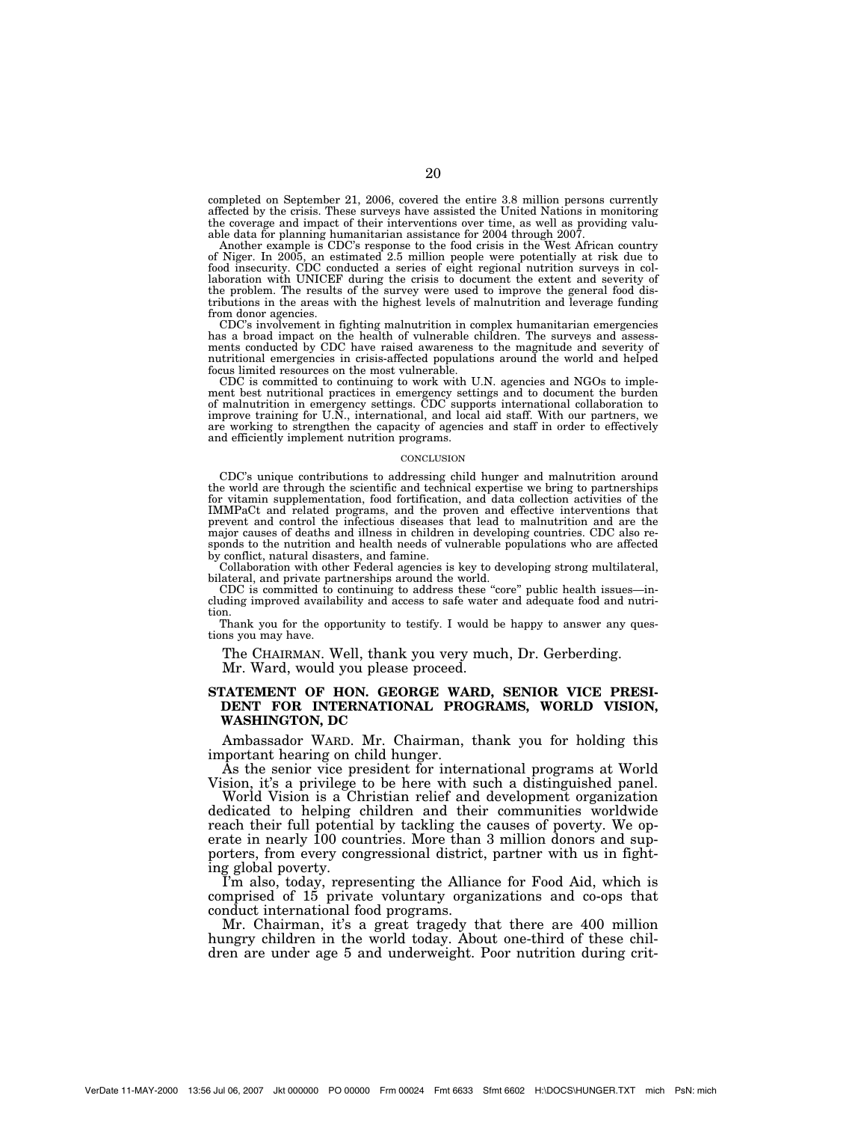completed on September 21, 2006, covered the entire 3.8 million persons currently affected by the crisis. These surveys have assisted the United Nations in monitoring the coverage and impact of their interventions over time, as well as providing valuable data for planning humanitarian assistance for 2004 through 2007.

Another example is CDC's response to the food crisis in the West African country of Niger. In 2005, an estimated 2.5 million people were potentially at risk due to food insecurity. CDC conducted a series of eight regional nutrition surveys in collaboration with UNICEF during the crisis to document the extent and severity of the problem. The results of the survey were used to improve the general food distributions in the areas with the highest levels of malnutrition and leverage funding from donor agencies.

CDC's involvement in fighting malnutrition in complex humanitarian emergencies has a broad impact on the health of vulnerable children. The surveys and assessments conducted by CDC have raised awareness to the magnitude and severity of nutritional emergencies in crisis-affected populations around the world and helped focus limited resources on the most vulnerable.

CDC is committed to continuing to work with U.N. agencies and NGOs to implement best nutritional practices in emergency settings and to document the burden of malnutrition in emergency settings. CDC supports international collaboration to improve training for U.N., international, and local aid staff. With our partners, we are working to strengthen the capacity of agencies and staff in order to effectively and efficiently implement nutrition programs.

#### **CONCLUSION**

CDC's unique contributions to addressing child hunger and malnutrition around the world are through the scientific and technical expertise we bring to partnerships for vitamin supplementation, food fortification, and data collection activities of the IMMPaCt and related programs, and the proven and effective interventions that prevent and control the infectious diseases that lead to malnutrition and are the major causes of deaths and illness in children in developing countries. CDC also responds to the nutrition and health needs of vulnerable populations who are affected by conflict, natural disasters, and famine.

Collaboration with other Federal agencies is key to developing strong multilateral, bilateral, and private partnerships around the world.

CDC is committed to continuing to address these ''core'' public health issues—including improved availability and access to safe water and adequate food and nutrition.

Thank you for the opportunity to testify. I would be happy to answer any questions you may have.

The CHAIRMAN. Well, thank you very much, Dr. Gerberding.

Mr. Ward, would you please proceed.

# **STATEMENT OF HON. GEORGE WARD, SENIOR VICE PRESI-DENT FOR INTERNATIONAL PROGRAMS, WORLD VISION, WASHINGTON, DC**

Ambassador WARD. Mr. Chairman, thank you for holding this important hearing on child hunger.

As the senior vice president for international programs at World Vision, it's a privilege to be here with such a distinguished panel.

World Vision is a Christian relief and development organization dedicated to helping children and their communities worldwide reach their full potential by tackling the causes of poverty. We operate in nearly 100 countries. More than 3 million donors and supporters, from every congressional district, partner with us in fighting global poverty.

I'm also, today, representing the Alliance for Food Aid, which is comprised of 15 private voluntary organizations and co-ops that conduct international food programs.

Mr. Chairman, it's a great tragedy that there are 400 million hungry children in the world today. About one-third of these children are under age 5 and underweight. Poor nutrition during crit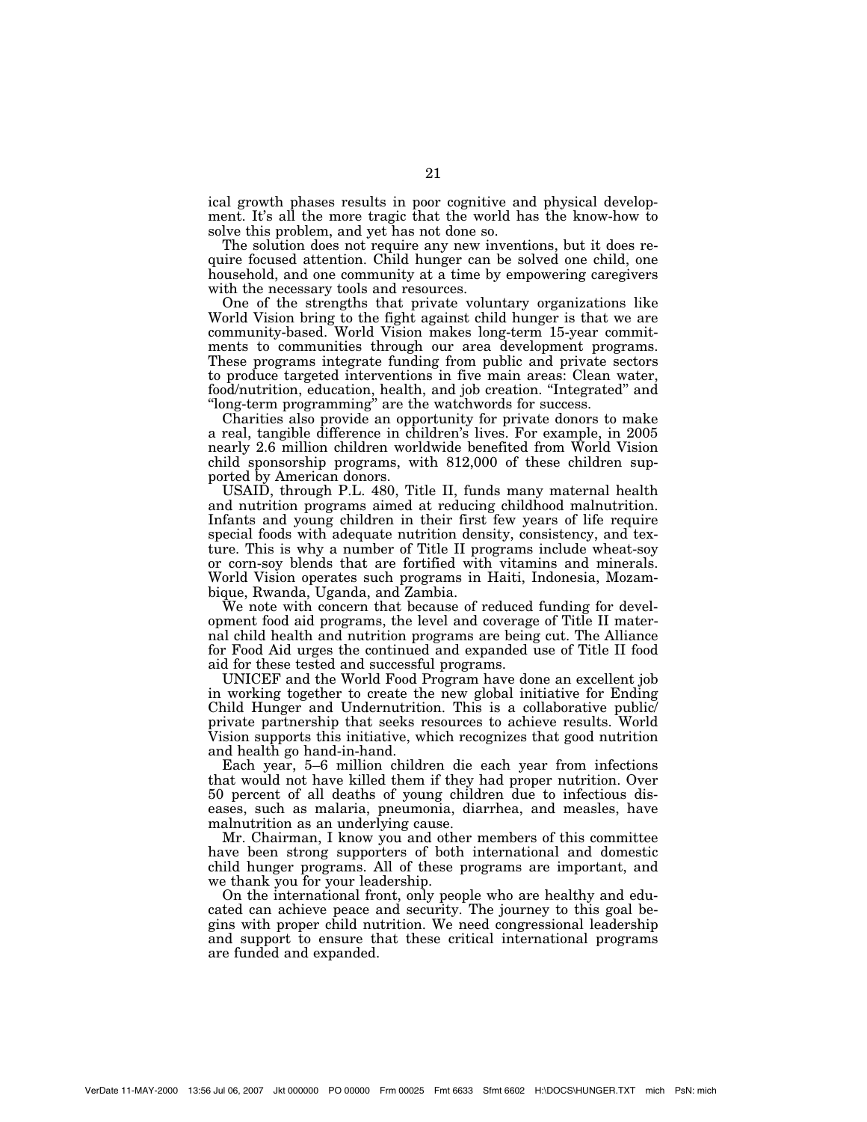ical growth phases results in poor cognitive and physical development. It's all the more tragic that the world has the know-how to solve this problem, and yet has not done so.

The solution does not require any new inventions, but it does require focused attention. Child hunger can be solved one child, one household, and one community at a time by empowering caregivers with the necessary tools and resources.

One of the strengths that private voluntary organizations like World Vision bring to the fight against child hunger is that we are community-based. World Vision makes long-term 15-year commitments to communities through our area development programs. These programs integrate funding from public and private sectors to produce targeted interventions in five main areas: Clean water, food/nutrition, education, health, and job creation. ''Integrated'' and ''long-term programming'' are the watchwords for success.

Charities also provide an opportunity for private donors to make a real, tangible difference in children's lives. For example, in 2005 nearly 2.6 million children worldwide benefited from World Vision child sponsorship programs, with 812,000 of these children supported by American donors.

USAID, through P.L. 480, Title II, funds many maternal health and nutrition programs aimed at reducing childhood malnutrition. Infants and young children in their first few years of life require special foods with adequate nutrition density, consistency, and texture. This is why a number of Title II programs include wheat-soy or corn-soy blends that are fortified with vitamins and minerals. World Vision operates such programs in Haiti, Indonesia, Mozambique, Rwanda, Uganda, and Zambia.

We note with concern that because of reduced funding for development food aid programs, the level and coverage of Title II maternal child health and nutrition programs are being cut. The Alliance for Food Aid urges the continued and expanded use of Title II food aid for these tested and successful programs.

UNICEF and the World Food Program have done an excellent job in working together to create the new global initiative for Ending Child Hunger and Undernutrition. This is a collaborative public/ private partnership that seeks resources to achieve results. World Vision supports this initiative, which recognizes that good nutrition and health go hand-in-hand.

Each year, 5–6 million children die each year from infections that would not have killed them if they had proper nutrition. Over 50 percent of all deaths of young children due to infectious diseases, such as malaria, pneumonia, diarrhea, and measles, have malnutrition as an underlying cause.

Mr. Chairman, I know you and other members of this committee have been strong supporters of both international and domestic child hunger programs. All of these programs are important, and we thank you for your leadership.

On the international front, only people who are healthy and educated can achieve peace and security. The journey to this goal begins with proper child nutrition. We need congressional leadership and support to ensure that these critical international programs are funded and expanded.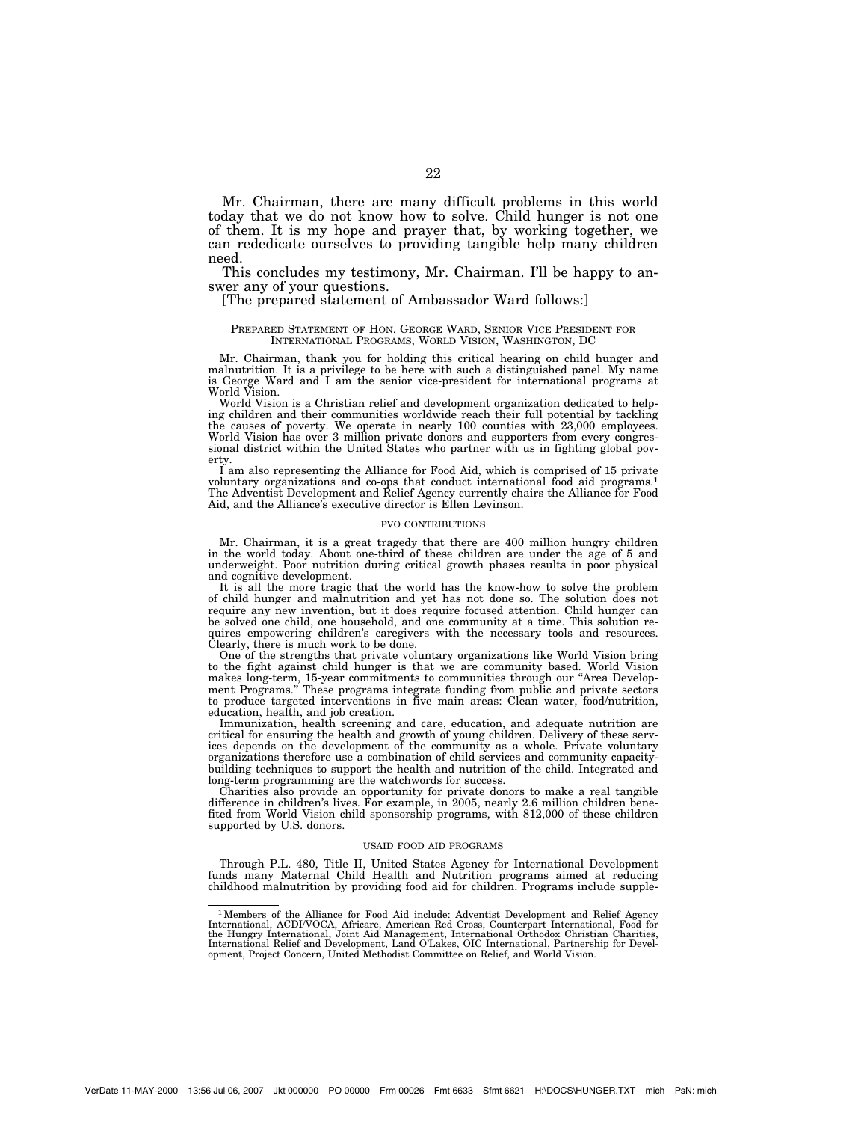Mr. Chairman, there are many difficult problems in this world today that we do not know how to solve. Child hunger is not one of them. It is my hope and prayer that, by working together, we can rededicate ourselves to providing tangible help many children need.

This concludes my testimony, Mr. Chairman. I'll be happy to answer any of your questions.

# [The prepared statement of Ambassador Ward follows:]

## PREPARED STATEMENT OF HON. GEORGE WARD, SENIOR VICE PRESIDENT FOR INTERNATIONAL PROGRAMS, WORLD VISION, WASHINGTON, DC

Mr. Chairman, thank you for holding this critical hearing on child hunger and malnutrition. It is a privilege to be here with such a distinguished panel. My name is George Ward and I am the senior vice-president for international programs at World Vision.

World Vision is a Christian relief and development organization dedicated to helping children and their communities worldwide reach their full potential by tackling the causes of poverty. We operate in nearly 100 counties with 23,000 employees. World Vision has over 3 million private donors and supporters from every congressional district within the United States who partner with us in fighting global poverty.

I am also representing the Alliance for Food Aid, which is comprised of 15 private voluntary organizations and co-ops that conduct international food aid programs.<sup>1</sup> The Adventist Development and Relief Agency currently chairs the Alliance for Food Aid, and the Alliance's executive director is Ellen Levinson.

#### PVO CONTRIBUTIONS

Mr. Chairman, it is a great tragedy that there are 400 million hungry children in the world today. About one-third of these children are under the age of 5 and underweight. Poor nutrition during critical growth phases results in poor physical and cognitive development.

It is all the more tragic that the world has the know-how to solve the problem of child hunger and malnutrition and yet has not done so. The solution does not require any new invention, but it does require focused attention. Child hunger can be solved one child, one household, and one community at a time. This solution requires empowering children's caregivers with the necessary tools and resources. Clearly, there is much work to be done.

One of the strengths that private voluntary organizations like World Vision bring to the fight against child hunger is that we are community based. World Vision makes long-term, 15-year commitments to communities through our ''Area Development Programs.'' These programs integrate funding from public and private sectors to produce targeted interventions in five main areas: Clean water, food/nutrition, education, health, and job creation.

Immunization, health screening and care, education, and adequate nutrition are critical for ensuring the health and growth of young children. Delivery of these services depends on the development of the community as a whole. Private voluntary organizations therefore use a combination of child services and community capacitybuilding techniques to support the health and nutrition of the child. Integrated and long-term programming are the watchwords for success.

Charities also provide an opportunity for private donors to make a real tangible difference in children's lives. For example, in 2005, nearly 2.6 million children benefited from World Vision child sponsorship programs, with 812,000 of these children supported by U.S. donors.

#### USAID FOOD AID PROGRAMS

Through P.L. 480, Title II, United States Agency for International Development funds many Maternal Child Health and Nutrition programs aimed at reducing childhood malnutrition by providing food aid for children. Programs include supple-

 $^1$  Members of the Alliance for Food Aid include: Adventist Development and Relief Agency International, ACDI/VOCA, Africare, American Red Cross, Counterpart International, Food for the Hungry International, Joint Aid Ma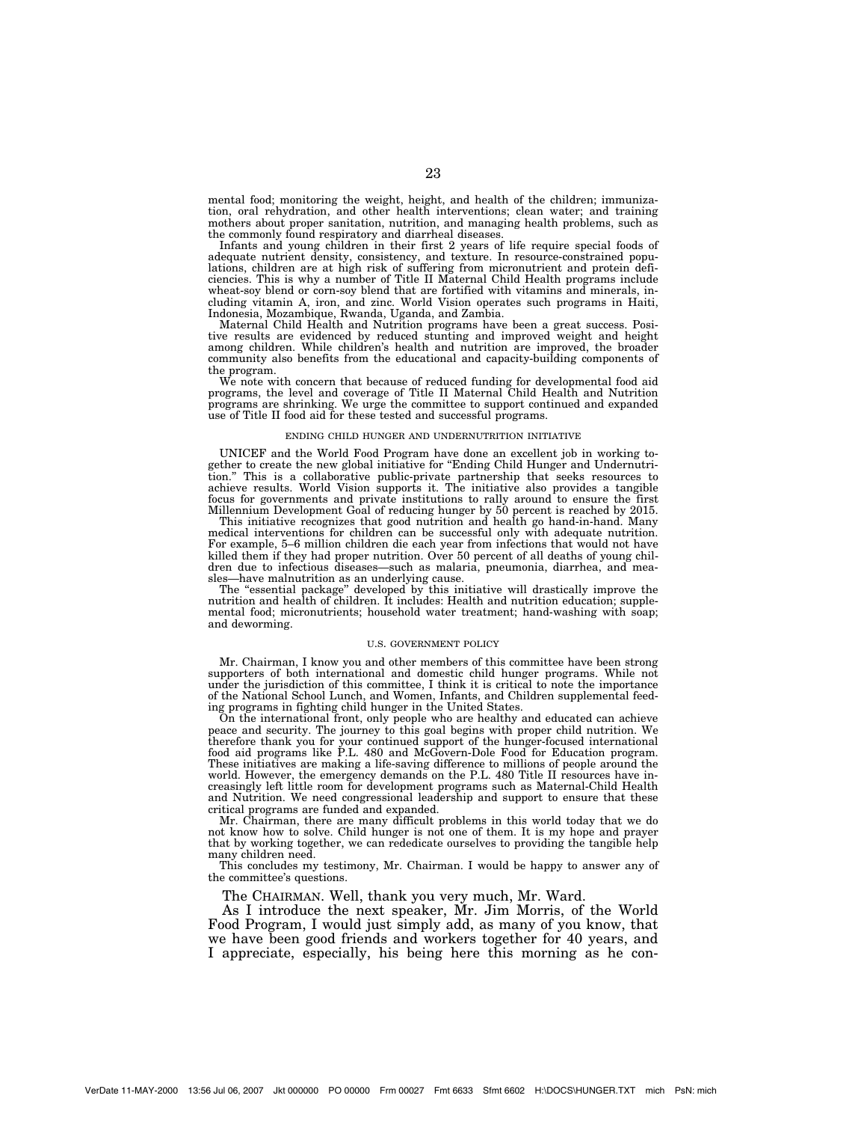mental food; monitoring the weight, height, and health of the children; immunization, oral rehydration, and other health interventions; clean water; and training mothers about proper sanitation, nutrition, and managing health problems, such as the commonly found respiratory and diarrheal diseases.

Infants and young children in their first 2 years of life require special foods of adequate nutrient density, consistency, and texture. In resource-constrained populations, children are at high risk of suffering from micronutrient and protein deficiencies. This is why a number of Title II Maternal Child Health programs include wheat-soy blend or corn-soy blend that are fortified with vitamins and minerals, including vitamin A, iron, and zinc. World Vision operates such programs in Haiti, Indonesia, Mozambique, Rwanda, Uganda, and Zambia.

Maternal Child Health and Nutrition programs have been a great success. Positive results are evidenced by reduced stunting and improved weight and height among children. While children's health and nutrition are improved, the broader community also benefits from the educational and capacity-building components of the program.

We note with concern that because of reduced funding for developmental food aid programs, the level and coverage of Title II Maternal Child Health and Nutrition programs are shrinking. We urge the committee to support continued and expanded use of Title II food aid for these tested and successful programs.

#### ENDING CHILD HUNGER AND UNDERNUTRITION INITIATIVE

UNICEF and the World Food Program have done an excellent job in working together to create the new global initiative for ''Ending Child Hunger and Undernutrition.'' This is a collaborative public-private partnership that seeks resources to achieve results. World Vision supports it. The initiative also provides a tangible focus for governments and private institutions to rally around to ensure the first Millennium Development Goal of reducing hunger by 50 percent is reached by 2015.

This initiative recognizes that good nutrition and health go hand-in-hand. Many medical interventions for children can be successful only with adequate nutrition. For example, 5–6 million children die each year from infections that would not have killed them if they had proper nutrition. Over 50 percent of all deaths of young children due to infectious diseases—such as malaria, pneumonia, diarrhea, and measles—have malnutrition as an underlying cause.

The "essential package" developed by this initiative will drastically improve the nutrition and health of children. It includes: Health and nutrition education; supplemental food; micronutrients; household water treatment; hand-washing with soap; and deworming.

#### U.S. GOVERNMENT POLICY

Mr. Chairman, I know you and other members of this committee have been strong supporters of both international and domestic child hunger programs. While not under the jurisdiction of this committee, I think it is critical to note the importance of the National School Lunch, and Women, Infants, and Children supplemental feeding programs in fighting child hunger in the United States.

On the international front, only people who are healthy and educated can achieve peace and security. The journey to this goal begins with proper child nutrition. We therefore thank you for your continued support of the hunger-focused international food aid programs like P.L. 480 and McGovern-Dole Food for Education program. These initiatives are making a life-saving difference to millions of people around the world. However, the emergency demands on the P.L. 480 Title II resources have increasingly left little room for development programs such as Maternal-Child Health and Nutrition. We need congressional leadership and support to ensure that these critical programs are funded and expanded.

Mr. Chairman, there are many difficult problems in this world today that we do not know how to solve. Child hunger is not one of them. It is my hope and prayer that by working together, we can rededicate ourselves to providing the tangible help many children need.

This concludes my testimony, Mr. Chairman. I would be happy to answer any of the committee's questions.

The CHAIRMAN. Well, thank you very much, Mr. Ward.

As I introduce the next speaker, Mr. Jim Morris, of the World Food Program, I would just simply add, as many of you know, that we have been good friends and workers together for 40 years, and I appreciate, especially, his being here this morning as he con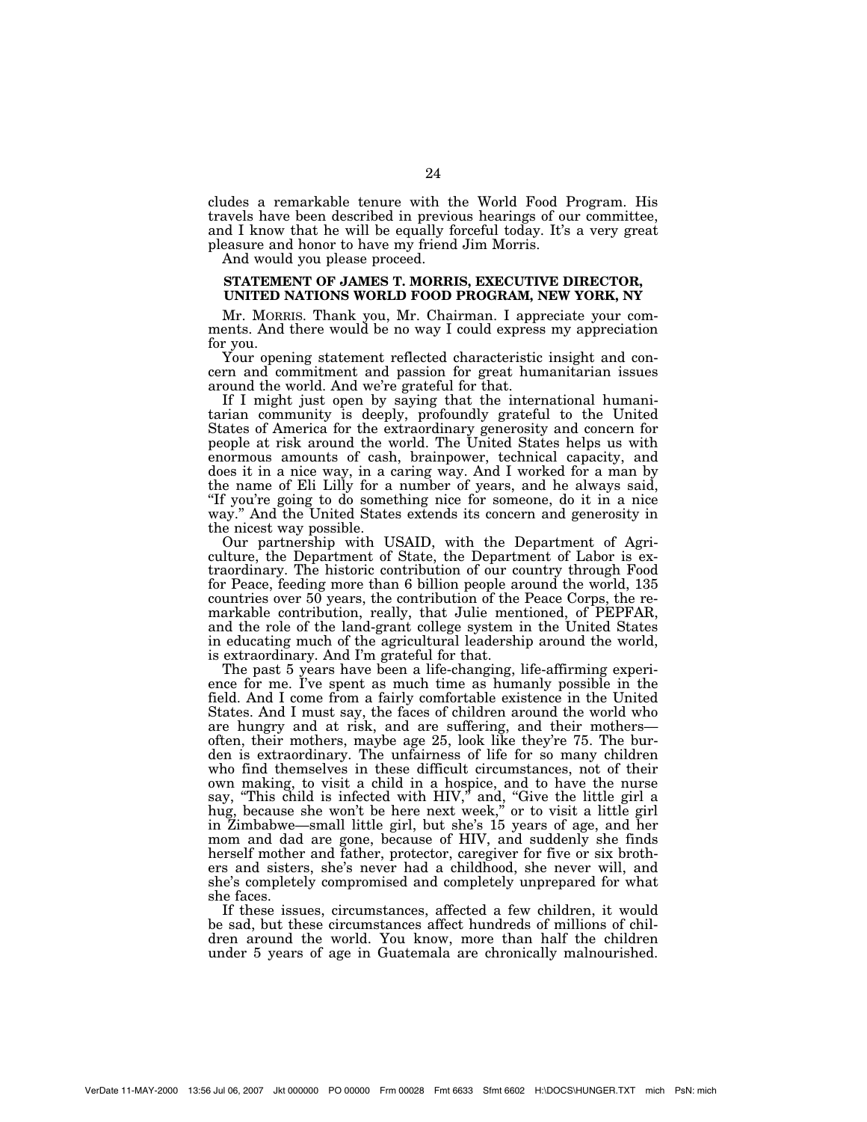cludes a remarkable tenure with the World Food Program. His travels have been described in previous hearings of our committee, and I know that he will be equally forceful today. It's a very great pleasure and honor to have my friend Jim Morris.

And would you please proceed.

# **STATEMENT OF JAMES T. MORRIS, EXECUTIVE DIRECTOR, UNITED NATIONS WORLD FOOD PROGRAM, NEW YORK, NY**

Mr. MORRIS. Thank you, Mr. Chairman. I appreciate your comments. And there would be no way I could express my appreciation for you.

Your opening statement reflected characteristic insight and concern and commitment and passion for great humanitarian issues around the world. And we're grateful for that.

If I might just open by saying that the international humanitarian community is deeply, profoundly grateful to the United States of America for the extraordinary generosity and concern for people at risk around the world. The United States helps us with enormous amounts of cash, brainpower, technical capacity, and does it in a nice way, in a caring way. And I worked for a man by the name of Eli Lilly for a number of years, and he always said, ''If you're going to do something nice for someone, do it in a nice way.'' And the United States extends its concern and generosity in the nicest way possible.

Our partnership with USAID, with the Department of Agriculture, the Department of State, the Department of Labor is extraordinary. The historic contribution of our country through Food for Peace, feeding more than 6 billion people around the world, 135 countries over 50 years, the contribution of the Peace Corps, the remarkable contribution, really, that Julie mentioned, of PEPFAR, and the role of the land-grant college system in the United States in educating much of the agricultural leadership around the world, is extraordinary. And I'm grateful for that.

The past 5 years have been a life-changing, life-affirming experience for me. I've spent as much time as humanly possible in the field. And I come from a fairly comfortable existence in the United States. And I must say, the faces of children around the world who are hungry and at risk, and are suffering, and their mothers often, their mothers, maybe age 25, look like they're 75. The burden is extraordinary. The unfairness of life for so many children who find themselves in these difficult circumstances, not of their own making, to visit a child in a hospice, and to have the nurse say, "This child is infected with HIV," and, "Give the little girl a hug, because she won't be here next week,'' or to visit a little girl in Zimbabwe—small little girl, but she's 15 years of age, and her mom and dad are gone, because of HIV, and suddenly she finds herself mother and father, protector, caregiver for five or six brothers and sisters, she's never had a childhood, she never will, and she's completely compromised and completely unprepared for what she faces.

If these issues, circumstances, affected a few children, it would be sad, but these circumstances affect hundreds of millions of children around the world. You know, more than half the children under 5 years of age in Guatemala are chronically malnourished.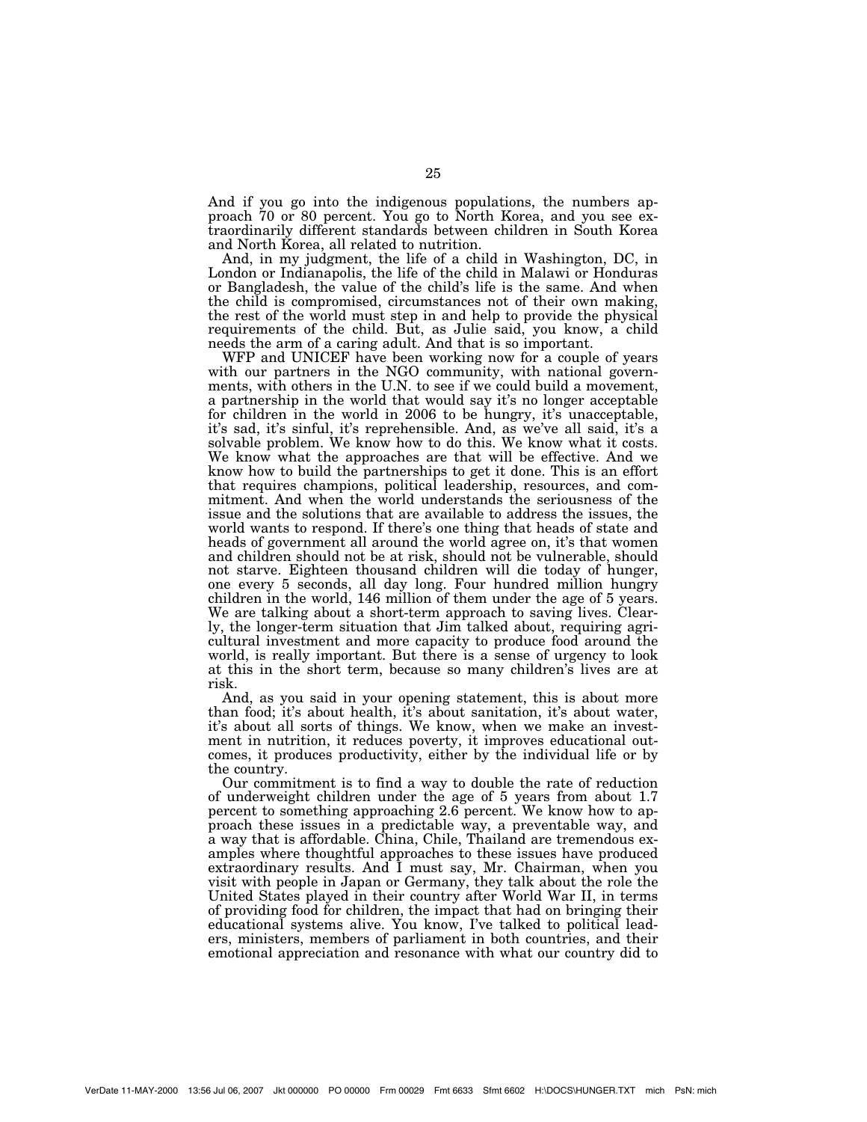And if you go into the indigenous populations, the numbers approach 70 or 80 percent. You go to North Korea, and you see extraordinarily different standards between children in South Korea and North Korea, all related to nutrition.

And, in my judgment, the life of a child in Washington, DC, in London or Indianapolis, the life of the child in Malawi or Honduras or Bangladesh, the value of the child's life is the same. And when the child is compromised, circumstances not of their own making, the rest of the world must step in and help to provide the physical requirements of the child. But, as Julie said, you know, a child needs the arm of a caring adult. And that is so important.

WFP and UNICEF have been working now for a couple of years with our partners in the NGO community, with national governments, with others in the U.N. to see if we could build a movement, a partnership in the world that would say it's no longer acceptable for children in the world in 2006 to be hungry, it's unacceptable, it's sad, it's sinful, it's reprehensible. And, as we've all said, it's a solvable problem. We know how to do this. We know what it costs. We know what the approaches are that will be effective. And we know how to build the partnerships to get it done. This is an effort that requires champions, political leadership, resources, and commitment. And when the world understands the seriousness of the issue and the solutions that are available to address the issues, the world wants to respond. If there's one thing that heads of state and heads of government all around the world agree on, it's that women and children should not be at risk, should not be vulnerable, should not starve. Eighteen thousand children will die today of hunger, one every 5 seconds, all day long. Four hundred million hungry children in the world, 146 million of them under the age of 5 years. We are talking about a short-term approach to saving lives. Clearly, the longer-term situation that Jim talked about, requiring agricultural investment and more capacity to produce food around the world, is really important. But there is a sense of urgency to look at this in the short term, because so many children's lives are at risk.

And, as you said in your opening statement, this is about more than food; it's about health, it's about sanitation, it's about water, it's about all sorts of things. We know, when we make an investment in nutrition, it reduces poverty, it improves educational outcomes, it produces productivity, either by the individual life or by the country.

Our commitment is to find a way to double the rate of reduction of underweight children under the age of 5 years from about 1.7 percent to something approaching 2.6 percent. We know how to approach these issues in a predictable way, a preventable way, and a way that is affordable. China, Chile, Thailand are tremendous examples where thoughtful approaches to these issues have produced extraordinary results. And I must say, Mr. Chairman, when you visit with people in Japan or Germany, they talk about the role the United States played in their country after World War II, in terms of providing food for children, the impact that had on bringing their educational systems alive. You know, I've talked to political leaders, ministers, members of parliament in both countries, and their emotional appreciation and resonance with what our country did to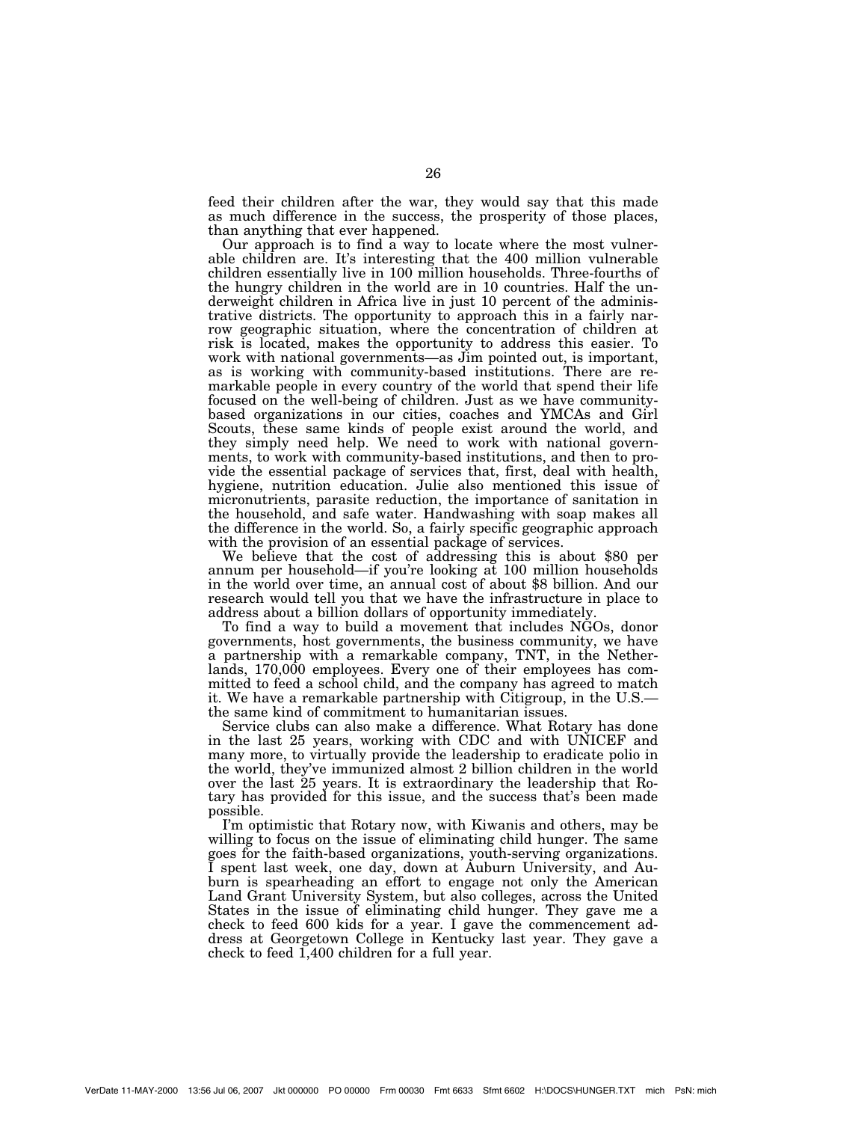feed their children after the war, they would say that this made as much difference in the success, the prosperity of those places, than anything that ever happened.

Our approach is to find a way to locate where the most vulnerable children are. It's interesting that the 400 million vulnerable children essentially live in 100 million households. Three-fourths of the hungry children in the world are in 10 countries. Half the underweight children in Africa live in just 10 percent of the administrative districts. The opportunity to approach this in a fairly narrow geographic situation, where the concentration of children at risk is located, makes the opportunity to address this easier. To work with national governments—as Jim pointed out, is important, as is working with community-based institutions. There are remarkable people in every country of the world that spend their life focused on the well-being of children. Just as we have communitybased organizations in our cities, coaches and YMCAs and Girl Scouts, these same kinds of people exist around the world, and they simply need help. We need to work with national governments, to work with community-based institutions, and then to provide the essential package of services that, first, deal with health, hygiene, nutrition education. Julie also mentioned this issue of micronutrients, parasite reduction, the importance of sanitation in the household, and safe water. Handwashing with soap makes all the difference in the world. So, a fairly specific geographic approach with the provision of an essential package of services.

We believe that the cost of addressing this is about \$80 per annum per household—if you're looking at 100 million households in the world over time, an annual cost of about \$8 billion. And our research would tell you that we have the infrastructure in place to address about a billion dollars of opportunity immediately.

To find a way to build a movement that includes NGOs, donor governments, host governments, the business community, we have a partnership with a remarkable company, TNT, in the Netherlands, 170,000 employees. Every one of their employees has committed to feed a school child, and the company has agreed to match it. We have a remarkable partnership with Citigroup, in the U.S. the same kind of commitment to humanitarian issues.

Service clubs can also make a difference. What Rotary has done in the last 25 years, working with CDC and with UNICEF and many more, to virtually provide the leadership to eradicate polio in the world, they've immunized almost 2 billion children in the world over the last 25 years. It is extraordinary the leadership that Rotary has provided for this issue, and the success that's been made possible.

I'm optimistic that Rotary now, with Kiwanis and others, may be willing to focus on the issue of eliminating child hunger. The same goes for the faith-based organizations, youth-serving organizations. I spent last week, one day, down at Auburn University, and Auburn is spearheading an effort to engage not only the American Land Grant University System, but also colleges, across the United States in the issue of eliminating child hunger. They gave me a check to feed 600 kids for a year. I gave the commencement address at Georgetown College in Kentucky last year. They gave a check to feed 1,400 children for a full year.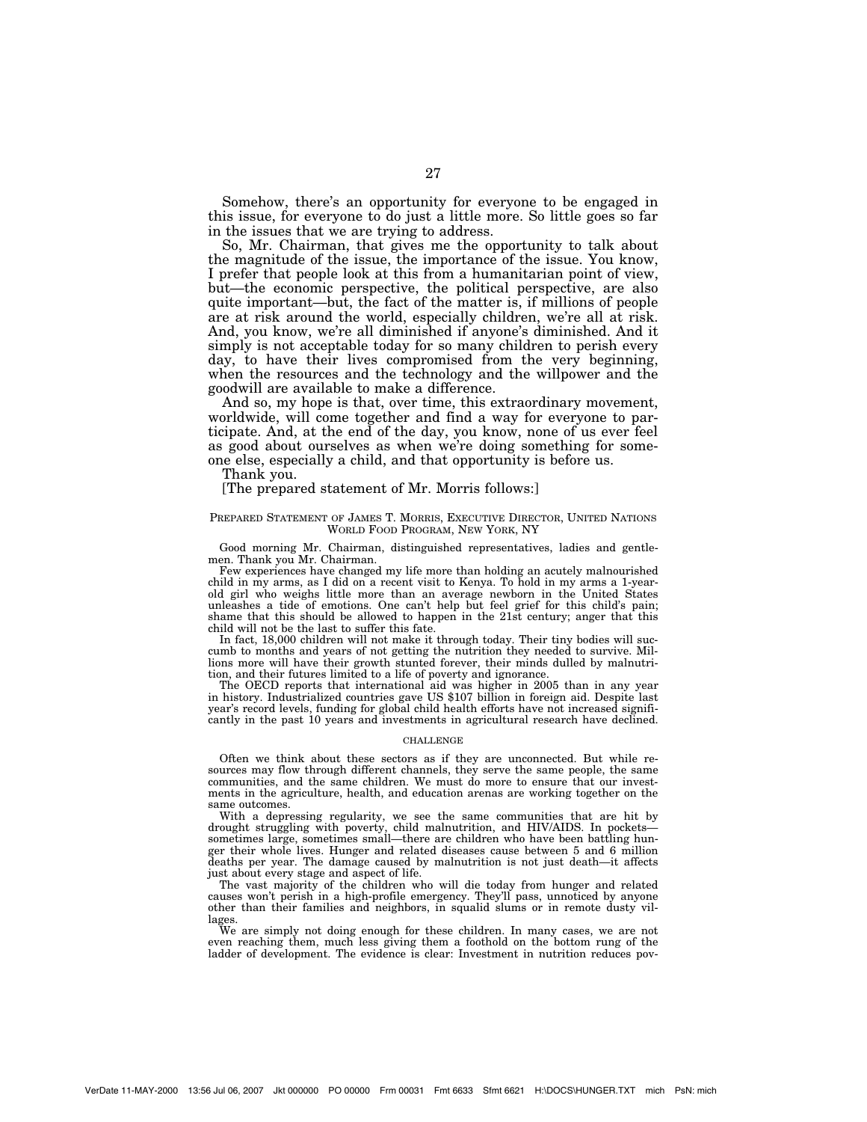Somehow, there's an opportunity for everyone to be engaged in this issue, for everyone to do just a little more. So little goes so far in the issues that we are trying to address.

So, Mr. Chairman, that gives me the opportunity to talk about the magnitude of the issue, the importance of the issue. You know, I prefer that people look at this from a humanitarian point of view, but—the economic perspective, the political perspective, are also quite important—but, the fact of the matter is, if millions of people are at risk around the world, especially children, we're all at risk. And, you know, we're all diminished if anyone's diminished. And it simply is not acceptable today for so many children to perish every day, to have their lives compromised from the very beginning, when the resources and the technology and the willpower and the goodwill are available to make a difference.

And so, my hope is that, over time, this extraordinary movement, worldwide, will come together and find a way for everyone to participate. And, at the end of the day, you know, none of us ever feel as good about ourselves as when we're doing something for someone else, especially a child, and that opportunity is before us.

Thank you.

# [The prepared statement of Mr. Morris follows:]

# PREPARED STATEMENT OF JAMES T. MORRIS, EXECUTIVE DIRECTOR, UNITED NATIONS WORLD FOOD PROGRAM, NEW YORK, NY

Good morning Mr. Chairman, distinguished representatives, ladies and gentlemen. Thank you Mr. Chairman.

Few experiences have changed my life more than holding an acutely malnourished child in my arms, as I did on a recent visit to Kenya. To hold in my arms a 1-yearold girl who weighs little more than an average newborn in the United States unleashes a tide of emotions. One can't help but feel grief for this child's pain; shame that this should be allowed to happen in the 21st century; anger that this child will not be the last to suffer this fate.

In fact, 18,000 children will not make it through today. Their tiny bodies will succumb to months and years of not getting the nutrition they needed to survive. Millions more will have their growth stunted forever, their minds dulled by malnutrition, and their futures limited to a life of poverty and ignorance.

The OECD reports that international aid was higher in 2005 than in any year in history. Industrialized countries gave US \$107 billion in foreign aid. Despite last year's record levels, funding for global child health efforts have not increased significantly in the past 10 years and investments in agricultural research have declined.

#### **CHALLENGE**

Often we think about these sectors as if they are unconnected. But while resources may flow through different channels, they serve the same people, the same communities, and the same children. We must do more to ensure that our investments in the agriculture, health, and education arenas are working together on the same outcomes.

With a depressing regularity, we see the same communities that are hit by drought struggling with poverty, child malnutrition, and HIV/AIDS. In pockets sometimes large, sometimes small—there are children who have been battling hunger their whole lives. Hunger and related diseases cause between 5 and 6 million deaths per year. The damage caused by malnutrition is not just death—it affects just about every stage and aspect of life.

The vast majority of the children who will die today from hunger and related causes won't perish in a high-profile emergency. They'll pass, unnoticed by anyone other than their families and neighbors, in squalid slums or in remote dusty villages.

We are simply not doing enough for these children. In many cases, we are not even reaching them, much less giving them a foothold on the bottom rung of the ladder of development. The evidence is clear: Investment in nutrition reduces pov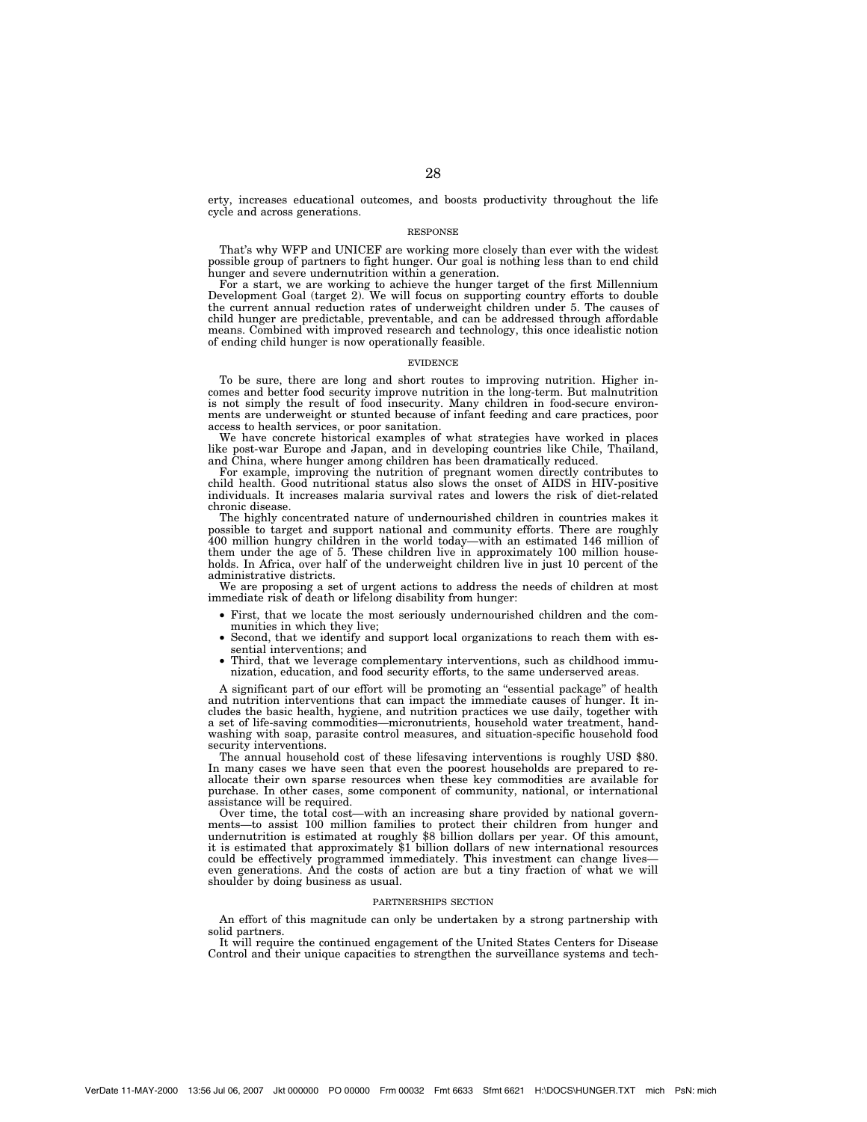erty, increases educational outcomes, and boosts productivity throughout the life cycle and across generations.

## RESPONSE

That's why WFP and UNICEF are working more closely than ever with the widest possible group of partners to fight hunger. Our goal is nothing less than to end child hunger and severe undernutrition within a generation.

For a start, we are working to achieve the hunger target of the first Millennium Development Goal (target 2). We will focus on supporting country efforts to double the current annual reduction rates of underweight children under 5. The causes of child hunger are predictable, preventable, and can be addressed through affordable means. Combined with improved research and technology, this once idealistic notion of ending child hunger is now operationally feasible.

#### **EVIDENCE**

To be sure, there are long and short routes to improving nutrition. Higher incomes and better food security improve nutrition in the long-term. But malnutrition is not simply the result of food insecurity. Many children in food-secure environments are underweight or stunted because of infant feeding and care practices, poor access to health services, or poor sanitation.

We have concrete historical examples of what strategies have worked in places like post-war Europe and Japan, and in developing countries like Chile, Thailand, and China, where hunger among children has been dramatically reduced.

For example, improving the nutrition of pregnant women directly contributes to child health. Good nutritional status also slows the onset of AIDS in HIV-positive individuals. It increases malaria survival rates and lowers the risk of diet-related chronic disease.

The highly concentrated nature of undernourished children in countries makes it possible to target and support national and community efforts. There are roughly 400 million hungry children in the world today—with an estimated 146 million of them under the age of 5. These children live in approximately 100 million households. In Africa, over half of the underweight children live in just 10 percent of the administrative districts.

We are proposing a set of urgent actions to address the needs of children at most immediate risk of death or lifelong disability from hunger:

- First, that we locate the most seriously undernourished children and the communities in which they live;
- Second, that we identify and support local organizations to reach them with essential interventions; and
- Third, that we leverage complementary interventions, such as childhood immunization, education, and food security efforts, to the same underserved areas.

A significant part of our effort will be promoting an ''essential package'' of health and nutrition interventions that can impact the immediate causes of hunger. It includes the basic health, hygiene, and nutrition practices we use daily, together with a set of life-saving commodities—micronutrients, household water treatment, handwashing with soap, parasite control measures, and situation-specific household food security interventions.

The annual household cost of these lifesaving interventions is roughly USD \$80. In many cases we have seen that even the poorest households are prepared to reallocate their own sparse resources when these key commodities are available for purchase. In other cases, some component of community, national, or international assistance will be required.

Over time, the total cost—with an increasing share provided by national governments—to assist 100 million families to protect their children from hunger and undernutrition is estimated at roughly \$8 billion dollars per year. Of this amount, it is estimated that approximately \$1 billion dollars of new international resources could be effectively programmed immediately. This investment can change lives even generations. And the costs of action are but a tiny fraction of what we will shoulder by doing business as usual.

# PARTNERSHIPS SECTION

An effort of this magnitude can only be undertaken by a strong partnership with solid partners.

It will require the continued engagement of the United States Centers for Disease Control and their unique capacities to strengthen the surveillance systems and tech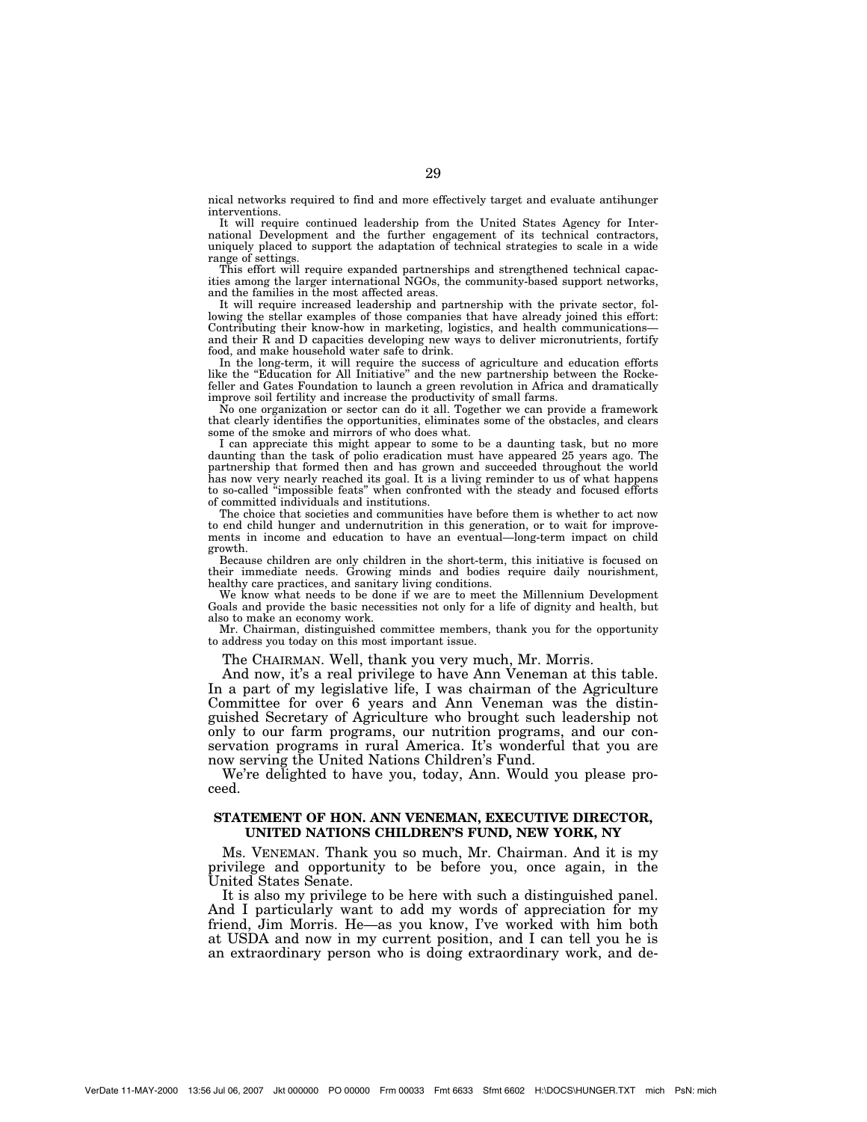nical networks required to find and more effectively target and evaluate antihunger interventions.

It will require continued leadership from the United States Agency for International Development and the further engagement of its technical contractors, uniquely placed to support the adaptation of technical strategies to scale in a wide range of settings.

This effort will require expanded partnerships and strengthened technical capacities among the larger international NGOs, the community-based support networks, and the families in the most affected areas.

It will require increased leadership and partnership with the private sector, following the stellar examples of those companies that have already joined this effort: Contributing their know-how in marketing, logistics, and health communications and their  $\overline{R}$  and  $\overline{D}$  capacities developing new ways to deliver micronutrients, fortify food, and make household water safe to drink.

In the long-term, it will require the success of agriculture and education efforts like the "Education for All Initiative" and the new partnership between the Rockefeller and Gates Foundation to launch a green revolution in Africa and dramatically improve soil fertility and increase the productivity of small farms.

No one organization or sector can do it all. Together we can provide a framework that clearly identifies the opportunities, eliminates some of the obstacles, and clears some of the smoke and mirrors of who does what.

I can appreciate this might appear to some to be a daunting task, but no more daunting than the task of polio eradication must have appeared 25 years ago. The partnership that formed then and has grown and succeeded throughout the world has now very nearly reached its goal. It is a living reminder to us of what happens to so-called ''impossible feats'' when confronted with the steady and focused efforts of committed individuals and institutions.

The choice that societies and communities have before them is whether to act now to end child hunger and undernutrition in this generation, or to wait for improvements in income and education to have an eventual—long-term impact on child growth.

Because children are only children in the short-term, this initiative is focused on their immediate needs. Growing minds and bodies require daily nourishment, healthy care practices, and sanitary living conditions.

We know what needs to be done if we are to meet the Millennium Development Goals and provide the basic necessities not only for a life of dignity and health, but also to make an economy work.

Mr. Chairman, distinguished committee members, thank you for the opportunity to address you today on this most important issue.

The CHAIRMAN. Well, thank you very much, Mr. Morris.

And now, it's a real privilege to have Ann Veneman at this table. In a part of my legislative life, I was chairman of the Agriculture Committee for over 6 years and Ann Veneman was the distinguished Secretary of Agriculture who brought such leadership not only to our farm programs, our nutrition programs, and our conservation programs in rural America. It's wonderful that you are now serving the United Nations Children's Fund.

We're delighted to have you, today, Ann. Would you please proceed.

# **STATEMENT OF HON. ANN VENEMAN, EXECUTIVE DIRECTOR, UNITED NATIONS CHILDREN'S FUND, NEW YORK, NY**

Ms. VENEMAN. Thank you so much, Mr. Chairman. And it is my privilege and opportunity to be before you, once again, in the United States Senate.

It is also my privilege to be here with such a distinguished panel. And I particularly want to add my words of appreciation for my friend, Jim Morris. He—as you know, I've worked with him both at USDA and now in my current position, and I can tell you he is an extraordinary person who is doing extraordinary work, and de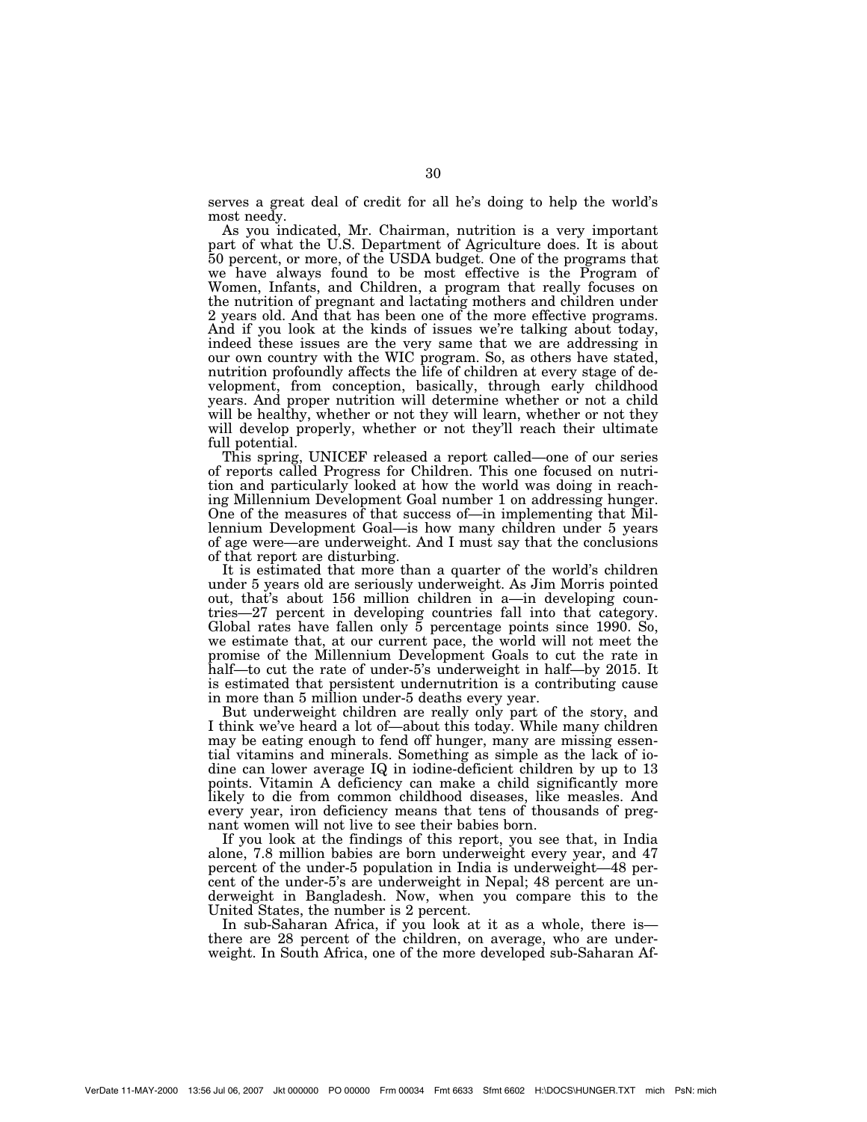serves a great deal of credit for all he's doing to help the world's most needy.

As you indicated, Mr. Chairman, nutrition is a very important part of what the U.S. Department of Agriculture does. It is about 50 percent, or more, of the USDA budget. One of the programs that we have always found to be most effective is the Program of Women, Infants, and Children, a program that really focuses on the nutrition of pregnant and lactating mothers and children under 2 years old. And that has been one of the more effective programs. And if you look at the kinds of issues we're talking about today, indeed these issues are the very same that we are addressing in our own country with the WIC program. So, as others have stated, nutrition profoundly affects the life of children at every stage of development, from conception, basically, through early childhood years. And proper nutrition will determine whether or not a child will be healthy, whether or not they will learn, whether or not they will develop properly, whether or not they'll reach their ultimate full potential.

This spring, UNICEF released a report called—one of our series of reports called Progress for Children. This one focused on nutrition and particularly looked at how the world was doing in reaching Millennium Development Goal number 1 on addressing hunger. One of the measures of that success of—in implementing that Millennium Development Goal—is how many children under 5 years of age were—are underweight. And I must say that the conclusions of that report are disturbing.

It is estimated that more than a quarter of the world's children under 5 years old are seriously underweight. As Jim Morris pointed out, that's about 156 million children in a—in developing countries—27 percent in developing countries fall into that category. Global rates have fallen only 5 percentage points since 1990. So, we estimate that, at our current pace, the world will not meet the promise of the Millennium Development Goals to cut the rate in half—to cut the rate of under-5's underweight in half—by 2015. It is estimated that persistent undernutrition is a contributing cause in more than 5 million under-5 deaths every year.

But underweight children are really only part of the story, and I think we've heard a lot of—about this today. While many children may be eating enough to fend off hunger, many are missing essential vitamins and minerals. Something as simple as the lack of iodine can lower average IQ in iodine-deficient children by up to 13 points. Vitamin A deficiency can make a child significantly more likely to die from common childhood diseases, like measles. And every year, iron deficiency means that tens of thousands of pregnant women will not live to see their babies born.

If you look at the findings of this report, you see that, in India alone, 7.8 million babies are born underweight every year, and 47 percent of the under-5 population in India is underweight—48 percent of the under-5's are underweight in Nepal; 48 percent are underweight in Bangladesh. Now, when you compare this to the United States, the number is 2 percent.

In sub-Saharan Africa, if you look at it as a whole, there is there are 28 percent of the children, on average, who are underweight. In South Africa, one of the more developed sub-Saharan Af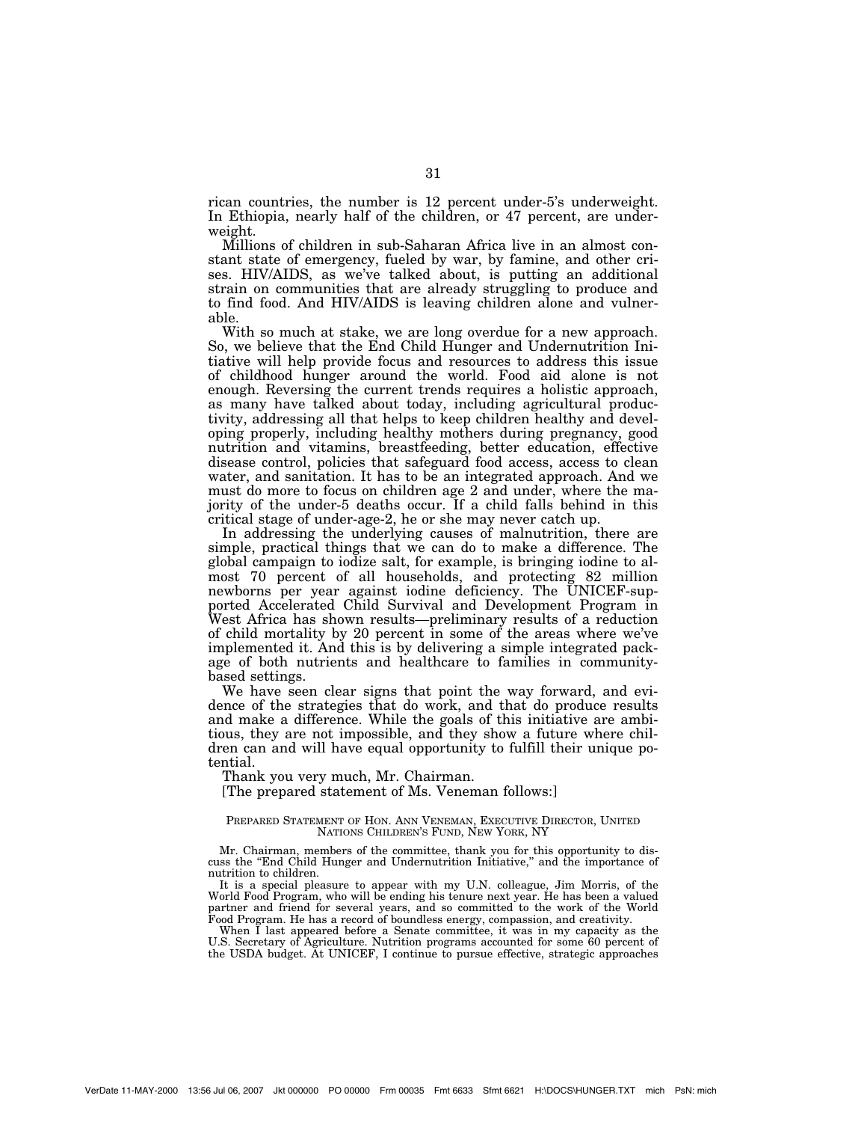rican countries, the number is 12 percent under-5's underweight. In Ethiopia, nearly half of the children, or 47 percent, are underweight.

Millions of children in sub-Saharan Africa live in an almost constant state of emergency, fueled by war, by famine, and other crises. HIV/AIDS, as we've talked about, is putting an additional strain on communities that are already struggling to produce and to find food. And HIV/AIDS is leaving children alone and vulnerable.

With so much at stake, we are long overdue for a new approach. So, we believe that the End Child Hunger and Undernutrition Initiative will help provide focus and resources to address this issue of childhood hunger around the world. Food aid alone is not enough. Reversing the current trends requires a holistic approach, as many have talked about today, including agricultural productivity, addressing all that helps to keep children healthy and developing properly, including healthy mothers during pregnancy, good nutrition and vitamins, breastfeeding, better education, effective disease control, policies that safeguard food access, access to clean water, and sanitation. It has to be an integrated approach. And we must do more to focus on children age 2 and under, where the majority of the under-5 deaths occur. If a child falls behind in this critical stage of under-age-2, he or she may never catch up.

In addressing the underlying causes of malnutrition, there are simple, practical things that we can do to make a difference. The global campaign to iodize salt, for example, is bringing iodine to almost 70 percent of all households, and protecting 82 million newborns per year against iodine deficiency. The UNICEF-supported Accelerated Child Survival and Development Program in West Africa has shown results—preliminary results of a reduction of child mortality by 20 percent in some of the areas where we've implemented it. And this is by delivering a simple integrated package of both nutrients and healthcare to families in communitybased settings.

We have seen clear signs that point the way forward, and evidence of the strategies that do work, and that do produce results and make a difference. While the goals of this initiative are ambitious, they are not impossible, and they show a future where children can and will have equal opportunity to fulfill their unique potential.

Thank you very much, Mr. Chairman.

[The prepared statement of Ms. Veneman follows:]

# PREPARED STATEMENT OF HON. ANN VENEMAN, EXECUTIVE DIRECTOR, UNITED NATIONS CHILDREN'S FUND, NEW YORK, NY

Mr. Chairman, members of the committee, thank you for this opportunity to discuss the ''End Child Hunger and Undernutrition Initiative,'' and the importance of nutrition to children.

It is a special pleasure to appear with my U.N. colleague, Jim Morris, of the World Food Program, who will be ending his tenure next year. He has been a valued partner and friend for several years, and so committed to the work of the World Food Program. He has a record of boundless energy, compassion, and creativity.

When  $\tilde{I}$  last appeared before a Senate committee, it was in my capacity as the U.S. Secretary of Agriculture. Nutrition programs accounted for some 60 percent of the USDA budget. At UNICEF, I continue to pursue effective, strategic approaches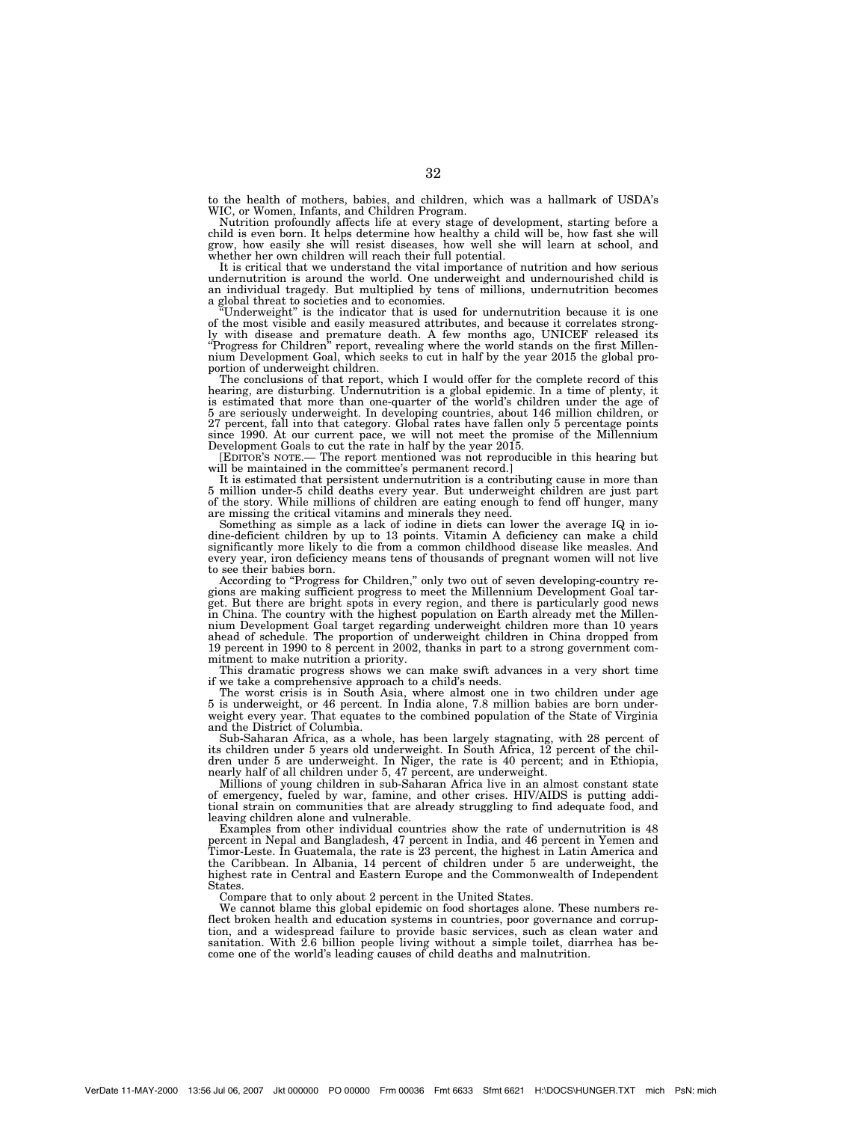to the health of mothers, babies, and children, which was a hallmark of USDA's WIC, or Women, Infants, and Children Program.

Nutrition profoundly affects life at every stage of development, starting before a child is even born. It helps determine how healthy a child will be, how fast she will grow, how easily she will resist diseases, how well she will learn at school, and whether her own children will reach their full potential.

It is critical that we understand the vital importance of nutrition and how serious undernutrition is around the world. One underweight and undernourished child is an individual tragedy. But multiplied by tens of millions, undernutrition becomes

a global threat to societies and to economies. ''Underweight'' is the indicator that is used for undernutrition because it is one of the most visible and easily measured attributes, and because it correlates strong-ly with disease and premature death. A few months ago, UNICEF released its ''Progress for Children'' report, revealing where the world stands on the first Millen-nium Development Goal, which seeks to cut in half by the year 2015 the global proportion of underweight children.

The conclusions of that report, which I would offer for the complete record of this hearing, are disturbing. Undernutrition is a global epidemic. In a time of plenty, it is estimated that more than one-quarter of the world's children under the age of 5 are seriously underweight. In developing countries, about 146 million children, or 27 percent, fall into that category. Global rates have fallen only 5 percentage points since 1990. At our current pace, we will not meet the promise of the Millennium

Development Goals to cut the rate in half by the year 2015. [EDITOR'S NOTE.— The report mentioned was not reproducible in this hearing but will be maintained in the committee's permanent record.]

It is estimated that persistent undernutrition is a contributing cause in more than<br>5 million under-5 child deaths every year. But underweight children are just part<br>of the story. While millions of children are eating enou

Something as simple as a lack of iodine in diets can lower the average IQ in io-dine-deficient children by up to 13 points. Vitamin A deficiency can make a child significantly more likely to die from a common childhood disease like measles. And every year, iron deficiency means tens of thousands of pregnant women will not live to see their babies born.

According to "Progress for Children," only two out of seven developing-country regions are making sufficient progress to meet the Millennium Development Goal tar-get. But there are bright spots in every region, and there is particularly good news in China. The country with the highest population on Earth already met the Millen-nium Development Goal target regarding underweight children more than 10 years ahead of schedule. The proportion of underweight children in China dropped from 19 percent in 1990 to 8 percent in 2002, thanks in part to a strong government commitment to make nutrition a priority.

This dramatic progress shows we can make swift advances in a very short time if we take a comprehensive approach to a child's needs.

The worst crisis is in South Asia, where almost one in two children under age 5 is underweight, or 46 percent. In India alone, 7.8 million babies are born underweight every year. That equates to the combined population of the State of Virginia and the District of Columbia.

Sub-Saharan Africa, as a whole, has been largely stagnating, with 28 percent of its children under 5 years old underweight. In South Africa, 12 percent of the children under 5 are underweight. In Niger, the rate is 40 percent; and in Ethiopia, nearly half of all children under 5, 47 percent, are underweight.

Millions of young children in sub-Saharan Africa live in an almost constant state of emergency, fueled by war, famine, and other crises. HIV/AIDS is putting additional strain on communities that are already struggling to find adequate food, and leaving children alone and vulnerable.

Examples from other individual countries show the rate of undernutrition is 48 percent in Nepal and Bangladesh, 47 percent in India, and 46 percent in Yemen and Timor-Leste. In Guatemala, the rate is 23 percent, the highest in Latin America and the Caribbean. In Albania, 14 percent of children under 5 are underweight, the highest rate in Central and Eastern Europe and the Commonwealth of Independent States.

Compare that to only about 2 percent in the United States.

We cannot blame this global epidemic on food shortages alone. These numbers reflect broken health and education systems in countries, poor governance and corruption, and a widespread failure to provide basic services, such as clean water and<br>sanitation. With 2.6 billion people living without a simple toilet, diarrhea has be-<br>come one of the world's leading causes of child deaths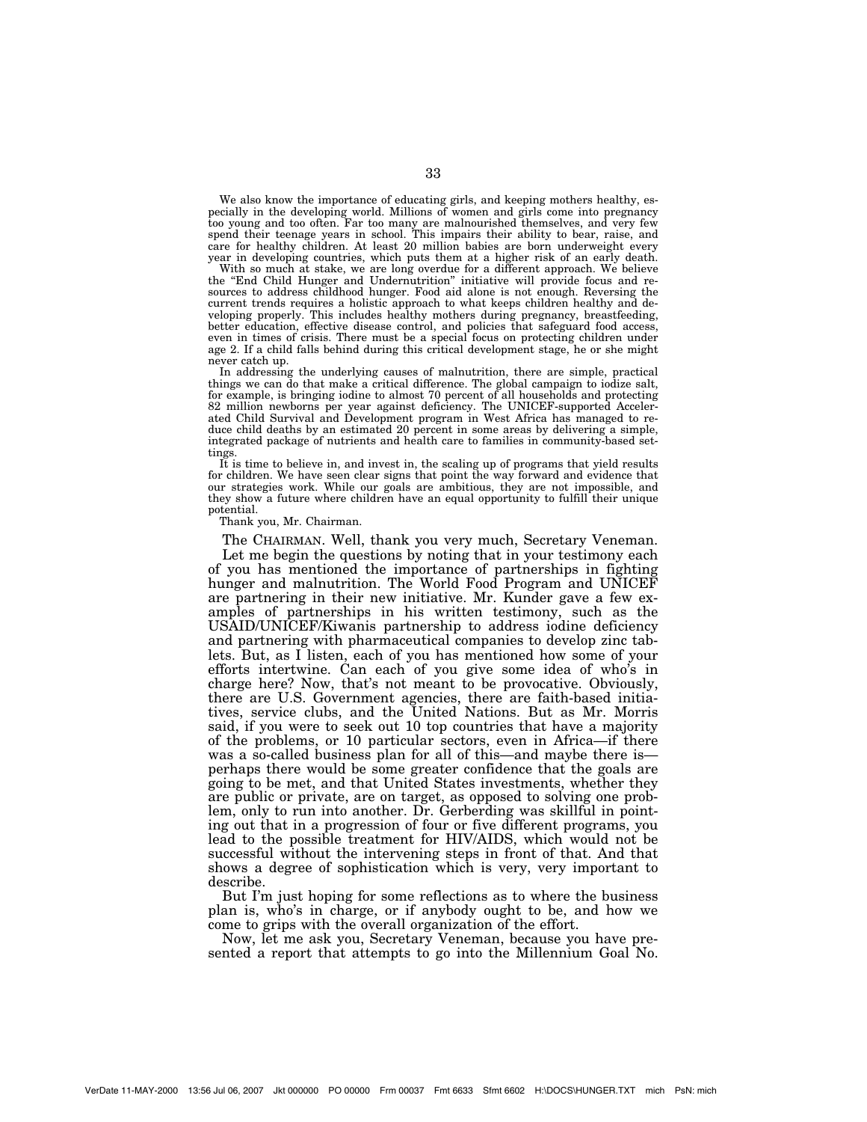We also know the importance of educating girls, and keeping mothers healthy, especially in the developing world. Millions of women and girls come into pregnancy too young and too often. Far too many are malnourished themselves, and very few spend their teenage years in school. This impairs their ability to bear, raise, and care for healthy children. At least 20 million babies are born underweight every year in developing countries, which puts them at a higher risk of an early death.

With so much at stake, we are long overdue for a different approach. We believe the "End Child Hunger and Undernutrition" initiative will provide focus and resources to address childhood hunger. Food aid alone is not enough. Reversing the current trends requires a holistic approach to what keeps children healthy and developing properly. This includes healthy mothers during pregnancy, breastfeeding, better education, effective disease control, and policies that safeguard food access, even in times of crisis. There must be a special focus on protecting children under age 2. If a child falls behind during this critical development stage, he or she might never catch up.

In addressing the underlying causes of malnutrition, there are simple, practical things we can do that make a critical difference. The global campaign to iodize salt, for example, is bringing iodine to almost 70 percent of all households and protecting 82 million newborns per year against deficiency. The UNICEF-supported Accelerated Child Survival and Development program in West Africa has managed to reduce child deaths by an estimated 20 percent in some areas by delivering a simple, integrated package of nutrients and health care to families in community-based settings.

It is time to believe in, and invest in, the scaling up of programs that yield results for children. We have seen clear signs that point the way forward and evidence that our strategies work. While our goals are ambitious, they are not impossible, and they show a future where children have an equal opportunity to fulfill their unique potential.

Thank you, Mr. Chairman.

The CHAIRMAN. Well, thank you very much, Secretary Veneman. Let me begin the questions by noting that in your testimony each of you has mentioned the importance of partnerships in fighting hunger and malnutrition. The World Food Program and UNICEF are partnering in their new initiative. Mr. Kunder gave a few examples of partnerships in his written testimony, such as the USAID/UNICEF/Kiwanis partnership to address iodine deficiency and partnering with pharmaceutical companies to develop zinc tablets. But, as I listen, each of you has mentioned how some of your efforts intertwine. Can each of you give some idea of who's in charge here? Now, that's not meant to be provocative. Obviously, there are U.S. Government agencies, there are faith-based initiatives, service clubs, and the United Nations. But as Mr. Morris said, if you were to seek out 10 top countries that have a majority of the problems, or 10 particular sectors, even in Africa—if there was a so-called business plan for all of this—and maybe there is perhaps there would be some greater confidence that the goals are going to be met, and that United States investments, whether they are public or private, are on target, as opposed to solving one problem, only to run into another. Dr. Gerberding was skillful in pointing out that in a progression of four or five different programs, you lead to the possible treatment for HIV/AIDS, which would not be successful without the intervening steps in front of that. And that shows a degree of sophistication which is very, very important to describe.

But I'm just hoping for some reflections as to where the business plan is, who's in charge, or if anybody ought to be, and how we come to grips with the overall organization of the effort.

Now, let me ask you, Secretary Veneman, because you have presented a report that attempts to go into the Millennium Goal No.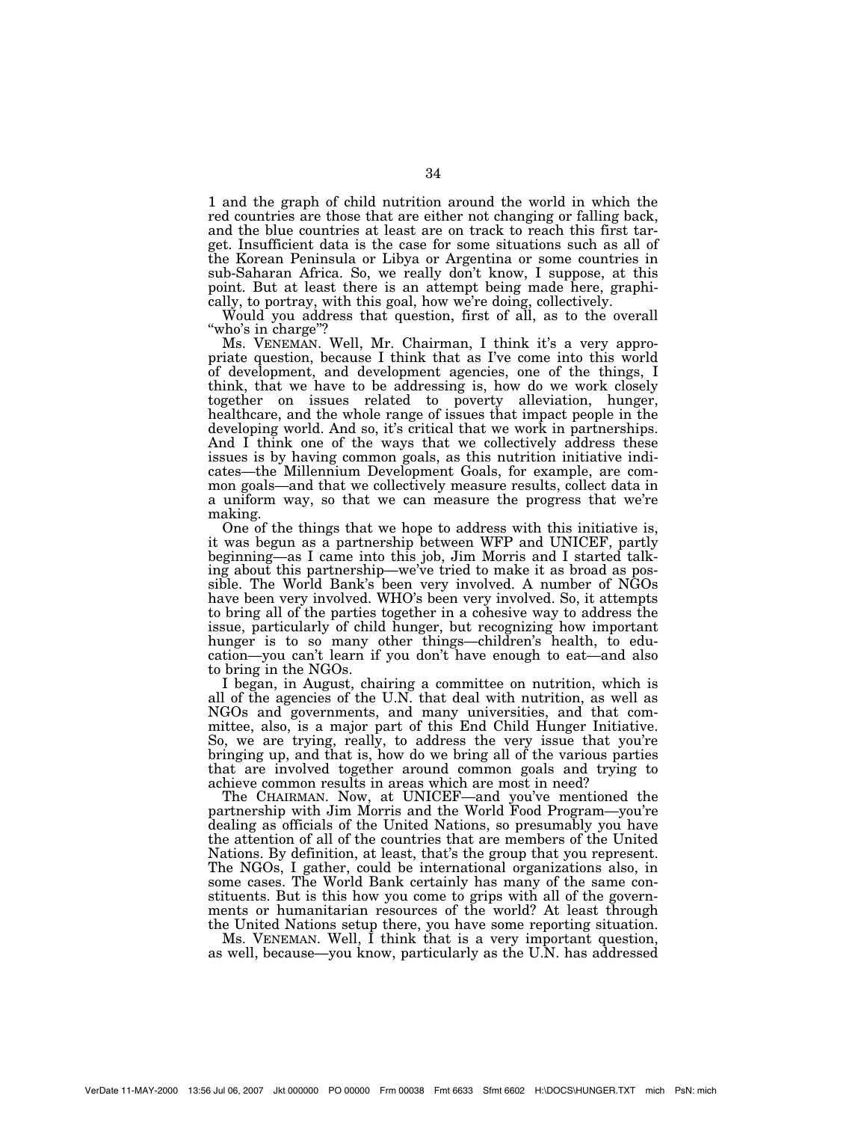1 and the graph of child nutrition around the world in which the red countries are those that are either not changing or falling back, and the blue countries at least are on track to reach this first target. Insufficient data is the case for some situations such as all of the Korean Peninsula or Libya or Argentina or some countries in sub-Saharan Africa. So, we really don't know, I suppose, at this point. But at least there is an attempt being made here, graphically, to portray, with this goal, how we're doing, collectively.

Would you address that question, first of all, as to the overall "who's in charge"?

Ms. VENEMAN. Well, Mr. Chairman, I think it's a very appropriate question, because I think that as I've come into this world of development, and development agencies, one of the things, I think, that we have to be addressing is, how do we work closely together on issues related to poverty alleviation, hunger, healthcare, and the whole range of issues that impact people in the developing world. And so, it's critical that we work in partnerships. And I think one of the ways that we collectively address these issues is by having common goals, as this nutrition initiative indicates—the Millennium Development Goals, for example, are common goals—and that we collectively measure results, collect data in a uniform way, so that we can measure the progress that we're making.

One of the things that we hope to address with this initiative is, it was begun as a partnership between WFP and UNICEF, partly beginning—as I came into this job, Jim Morris and I started talking about this partnership—we've tried to make it as broad as possible. The World Bank's been very involved. A number of NGOs have been very involved. WHO's been very involved. So, it attempts to bring all of the parties together in a cohesive way to address the issue, particularly of child hunger, but recognizing how important hunger is to so many other things—children's health, to education—you can't learn if you don't have enough to eat—and also to bring in the NGOs.

I began, in August, chairing a committee on nutrition, which is all of the agencies of the U.N. that deal with nutrition, as well as NGOs and governments, and many universities, and that committee, also, is a major part of this End Child Hunger Initiative. So, we are trying, really, to address the very issue that you're bringing up, and that is, how do we bring all of the various parties that are involved together around common goals and trying to achieve common results in areas which are most in need?

The CHAIRMAN. Now, at UNICEF—and you've mentioned the partnership with Jim Morris and the World Food Program—you're dealing as officials of the United Nations, so presumably you have the attention of all of the countries that are members of the United Nations. By definition, at least, that's the group that you represent. The NGOs, I gather, could be international organizations also, in some cases. The World Bank certainly has many of the same constituents. But is this how you come to grips with all of the governments or humanitarian resources of the world? At least through the United Nations setup there, you have some reporting situation.

Ms. VENEMAN. Well, I think that is a very important question, as well, because—you know, particularly as the U.N. has addressed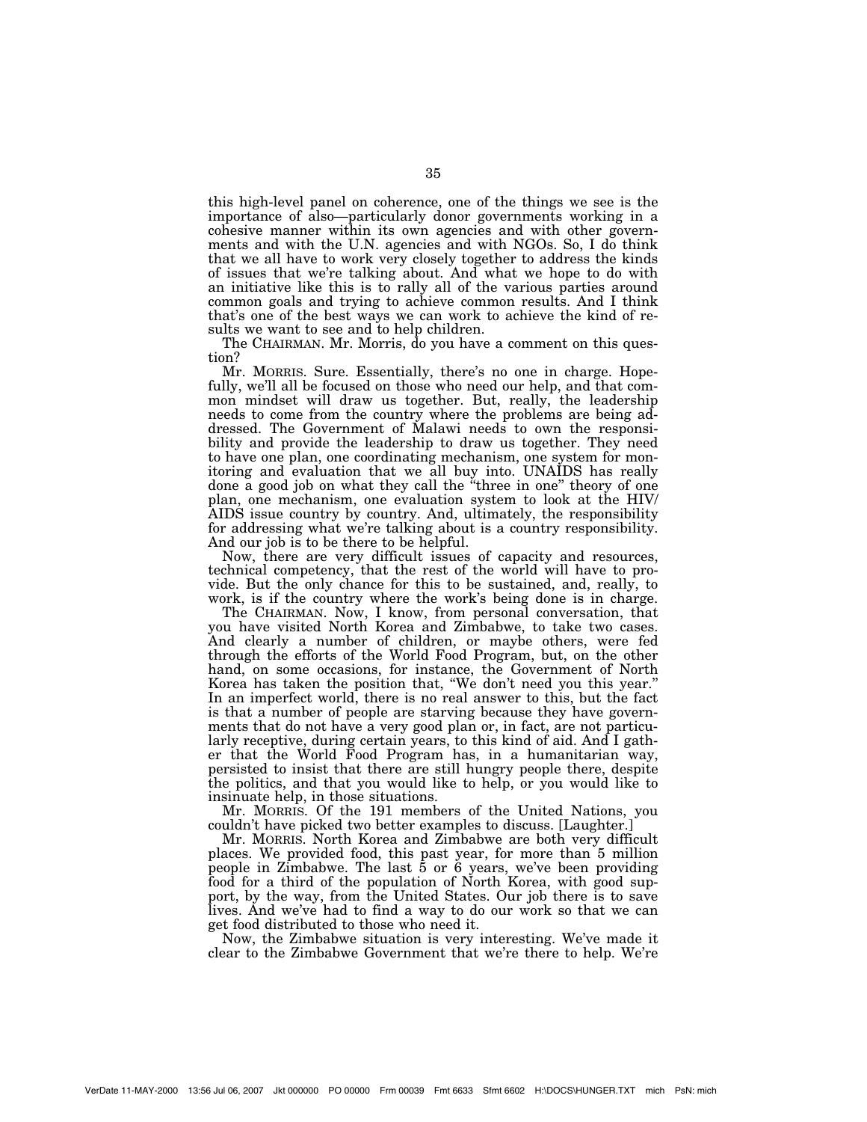this high-level panel on coherence, one of the things we see is the importance of also—particularly donor governments working in a cohesive manner within its own agencies and with other governments and with the U.N. agencies and with NGOs. So, I do think that we all have to work very closely together to address the kinds of issues that we're talking about. And what we hope to do with an initiative like this is to rally all of the various parties around common goals and trying to achieve common results. And I think that's one of the best ways we can work to achieve the kind of results we want to see and to help children.

The CHAIRMAN. Mr. Morris, do you have a comment on this question?

Mr. MORRIS. Sure. Essentially, there's no one in charge. Hopefully, we'll all be focused on those who need our help, and that common mindset will draw us together. But, really, the leadership needs to come from the country where the problems are being addressed. The Government of Malawi needs to own the responsibility and provide the leadership to draw us together. They need to have one plan, one coordinating mechanism, one system for monitoring and evaluation that we all buy into. UNAIDS has really done a good job on what they call the ''three in one'' theory of one plan, one mechanism, one evaluation system to look at the HIV/ AIDS issue country by country. And, ultimately, the responsibility for addressing what we're talking about is a country responsibility. And our job is to be there to be helpful.

Now, there are very difficult issues of capacity and resources, technical competency, that the rest of the world will have to provide. But the only chance for this to be sustained, and, really, to work, is if the country where the work's being done is in charge.

The CHAIRMAN. Now, I know, from personal conversation, that you have visited North Korea and Zimbabwe, to take two cases. And clearly a number of children, or maybe others, were fed through the efforts of the World Food Program, but, on the other hand, on some occasions, for instance, the Government of North Korea has taken the position that, ''We don't need you this year.'' In an imperfect world, there is no real answer to this, but the fact is that a number of people are starving because they have governments that do not have a very good plan or, in fact, are not particularly receptive, during certain years, to this kind of aid. And I gather that the World Food Program has, in a humanitarian way, persisted to insist that there are still hungry people there, despite the politics, and that you would like to help, or you would like to insinuate help, in those situations.

Mr. MORRIS. Of the 191 members of the United Nations, you couldn't have picked two better examples to discuss. [Laughter.]

Mr. MORRIS. North Korea and Zimbabwe are both very difficult places. We provided food, this past year, for more than 5 million people in Zimbabwe. The last 5 or 6 years, we've been providing food for a third of the population of North Korea, with good support, by the way, from the United States. Our job there is to save lives. And we've had to find a way to do our work so that we can get food distributed to those who need it.

Now, the Zimbabwe situation is very interesting. We've made it clear to the Zimbabwe Government that we're there to help. We're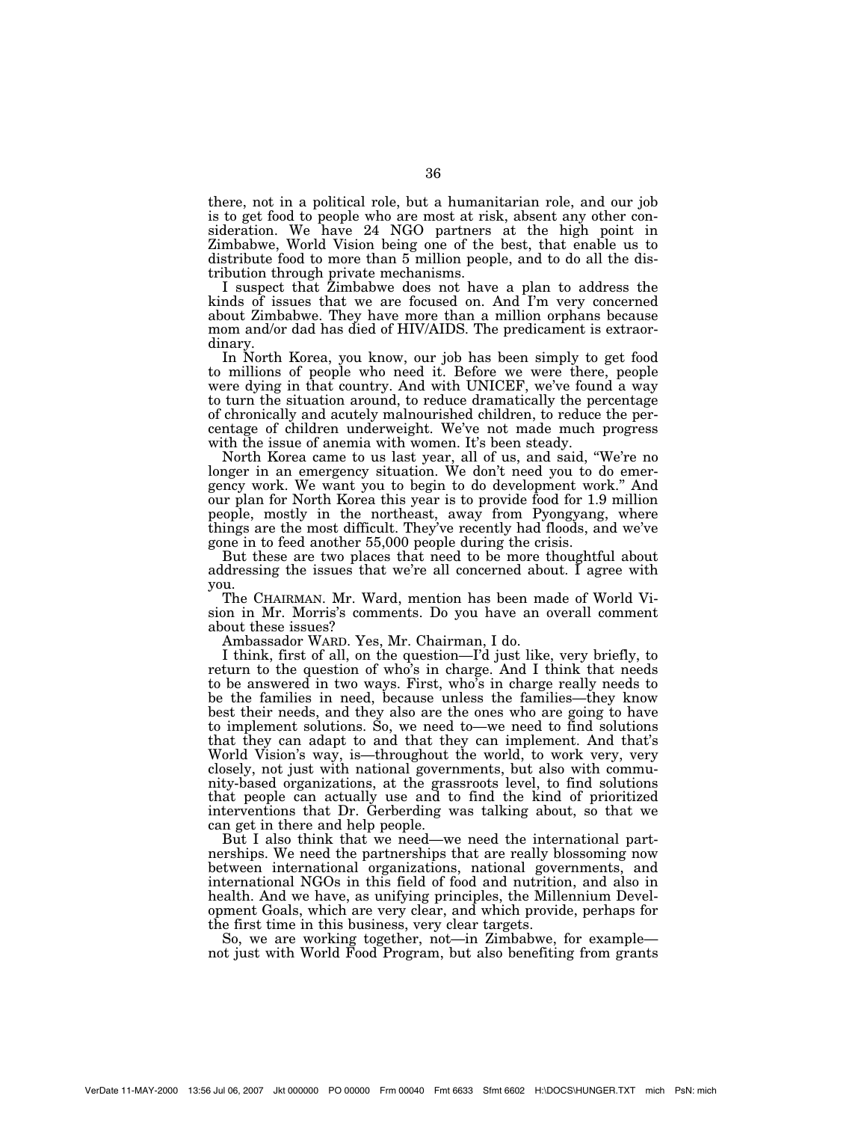there, not in a political role, but a humanitarian role, and our job is to get food to people who are most at risk, absent any other consideration. We have 24 NGO partners at the high point in Zimbabwe, World Vision being one of the best, that enable us to distribute food to more than 5 million people, and to do all the distribution through private mechanisms.

I suspect that Zimbabwe does not have a plan to address the kinds of issues that we are focused on. And I'm very concerned about Zimbabwe. They have more than a million orphans because mom and/or dad has died of HIV/AIDS. The predicament is extraordinary.

In North Korea, you know, our job has been simply to get food to millions of people who need it. Before we were there, people were dying in that country. And with UNICEF, we've found a way to turn the situation around, to reduce dramatically the percentage of chronically and acutely malnourished children, to reduce the percentage of children underweight. We've not made much progress with the issue of anemia with women. It's been steady.

North Korea came to us last year, all of us, and said, ''We're no longer in an emergency situation. We don't need you to do emergency work. We want you to begin to do development work.'' And our plan for North Korea this year is to provide food for 1.9 million people, mostly in the northeast, away from Pyongyang, where things are the most difficult. They've recently had floods, and we've gone in to feed another 55,000 people during the crisis.

But these are two places that need to be more thoughtful about addressing the issues that we're all concerned about. I agree with you.

The CHAIRMAN. Mr. Ward, mention has been made of World Vision in Mr. Morris's comments. Do you have an overall comment about these issues?

Ambassador WARD. Yes, Mr. Chairman, I do.

I think, first of all, on the question—I'd just like, very briefly, to return to the question of who's in charge. And I think that needs to be answered in two ways. First, who's in charge really needs to be the families in need, because unless the families—they know best their needs, and they also are the ones who are going to have to implement solutions. So, we need to—we need to find solutions that they can adapt to and that they can implement. And that's World Vision's way, is—throughout the world, to work very, very closely, not just with national governments, but also with community-based organizations, at the grassroots level, to find solutions that people can actually use and to find the kind of prioritized interventions that Dr. Gerberding was talking about, so that we can get in there and help people.

But I also think that we need—we need the international partnerships. We need the partnerships that are really blossoming now between international organizations, national governments, and international NGOs in this field of food and nutrition, and also in health. And we have, as unifying principles, the Millennium Development Goals, which are very clear, and which provide, perhaps for the first time in this business, very clear targets.

So, we are working together, not—in Zimbabwe, for example not just with World Food Program, but also benefiting from grants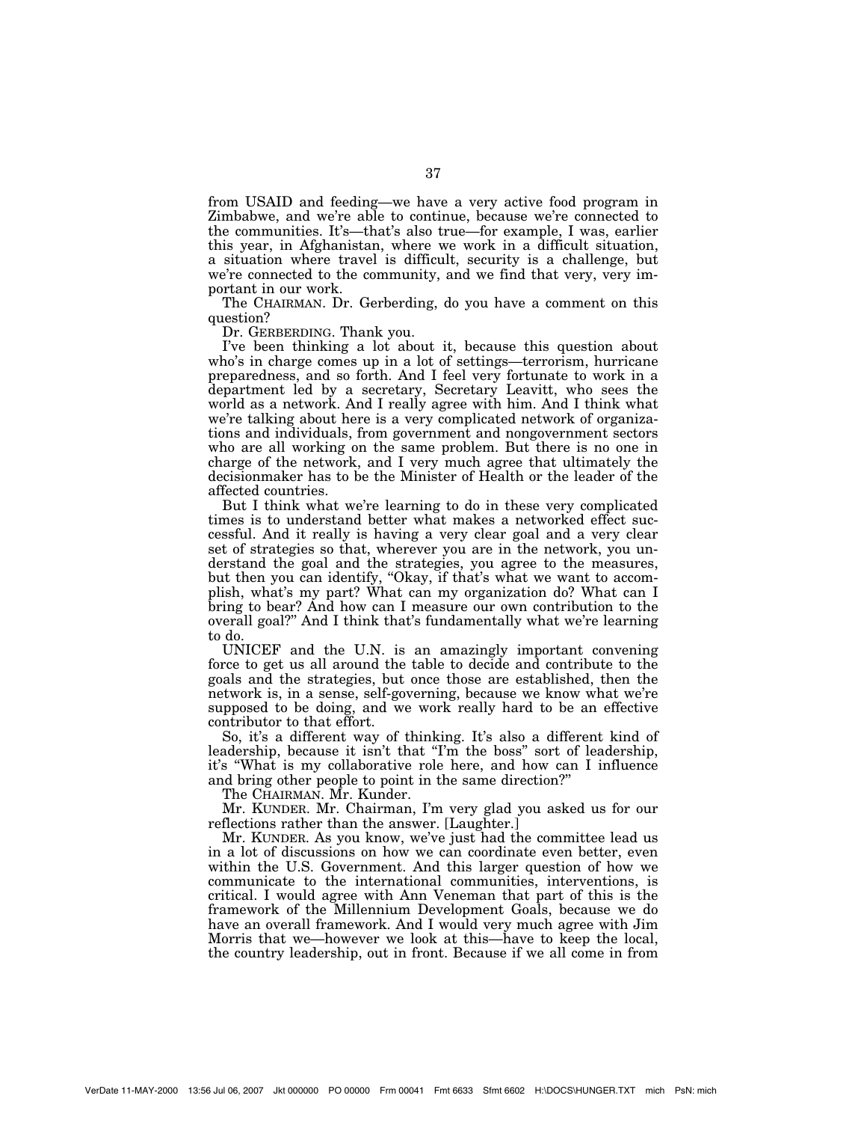from USAID and feeding—we have a very active food program in Zimbabwe, and we're able to continue, because we're connected to the communities. It's—that's also true—for example, I was, earlier this year, in Afghanistan, where we work in a difficult situation, a situation where travel is difficult, security is a challenge, but we're connected to the community, and we find that very, very important in our work.

The CHAIRMAN. Dr. Gerberding, do you have a comment on this question?

Dr. GERBERDING. Thank you.

I've been thinking a lot about it, because this question about who's in charge comes up in a lot of settings—terrorism, hurricane preparedness, and so forth. And I feel very fortunate to work in a department led by a secretary, Secretary Leavitt, who sees the world as a network. And I really agree with him. And I think what we're talking about here is a very complicated network of organizations and individuals, from government and nongovernment sectors who are all working on the same problem. But there is no one in charge of the network, and I very much agree that ultimately the decisionmaker has to be the Minister of Health or the leader of the affected countries.

But I think what we're learning to do in these very complicated times is to understand better what makes a networked effect successful. And it really is having a very clear goal and a very clear set of strategies so that, wherever you are in the network, you understand the goal and the strategies, you agree to the measures, but then you can identify, "Okay, if that's what we want to accomplish, what's my part? What can my organization do? What can I bring to bear? And how can I measure our own contribution to the overall goal?'' And I think that's fundamentally what we're learning to do.

UNICEF and the U.N. is an amazingly important convening force to get us all around the table to decide and contribute to the goals and the strategies, but once those are established, then the network is, in a sense, self-governing, because we know what we're supposed to be doing, and we work really hard to be an effective contributor to that effort.

So, it's a different way of thinking. It's also a different kind of leadership, because it isn't that "I'm the boss" sort of leadership, it's ''What is my collaborative role here, and how can I influence and bring other people to point in the same direction?''

The CHAIRMAN. Mr. Kunder.

Mr. KUNDER. Mr. Chairman, I'm very glad you asked us for our reflections rather than the answer. [Laughter.]

Mr. KUNDER. As you know, we've just had the committee lead us in a lot of discussions on how we can coordinate even better, even within the U.S. Government. And this larger question of how we communicate to the international communities, interventions, is critical. I would agree with Ann Veneman that part of this is the framework of the Millennium Development Goals, because we do have an overall framework. And I would very much agree with Jim Morris that we—however we look at this—have to keep the local, the country leadership, out in front. Because if we all come in from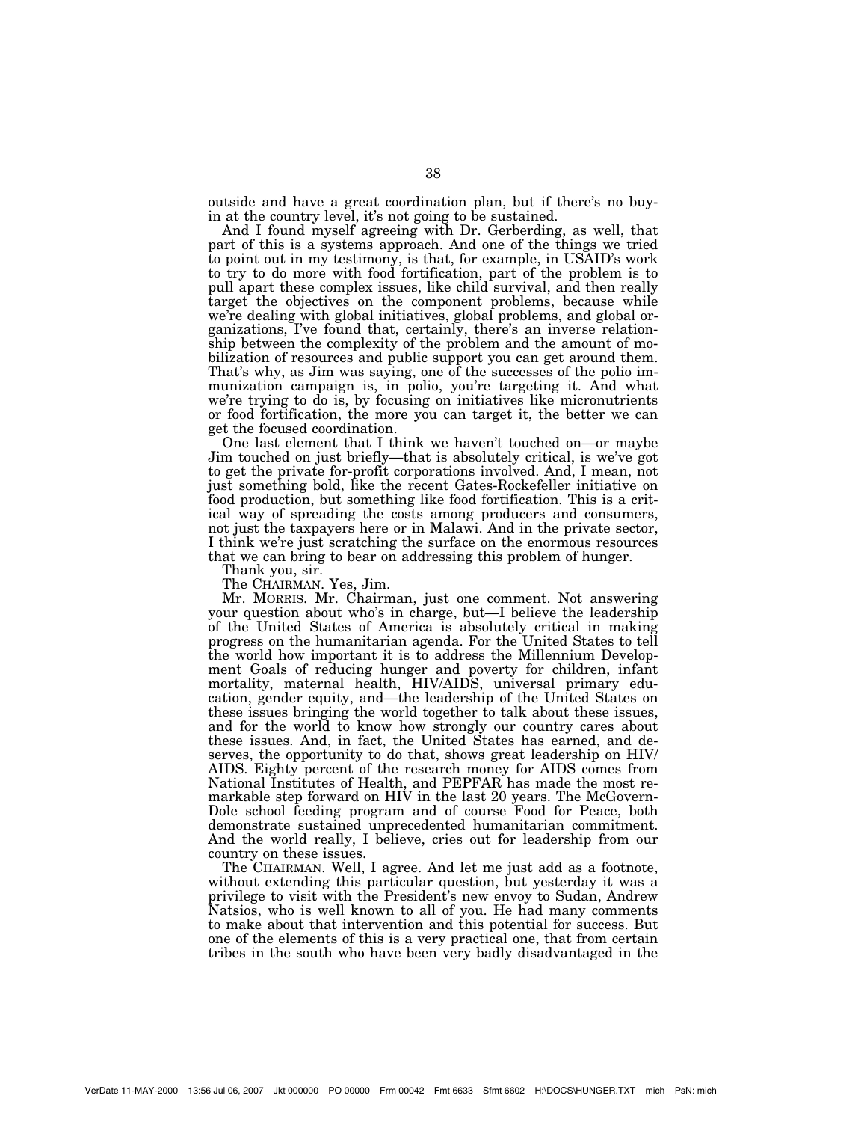outside and have a great coordination plan, but if there's no buyin at the country level, it's not going to be sustained.

And I found myself agreeing with Dr. Gerberding, as well, that part of this is a systems approach. And one of the things we tried to point out in my testimony, is that, for example, in USAID's work to try to do more with food fortification, part of the problem is to pull apart these complex issues, like child survival, and then really target the objectives on the component problems, because while we're dealing with global initiatives, global problems, and global organizations, I've found that, certainly, there's an inverse relationship between the complexity of the problem and the amount of mobilization of resources and public support you can get around them. That's why, as Jim was saying, one of the successes of the polio immunization campaign is, in polio, you're targeting it. And what we're trying to do is, by focusing on initiatives like micronutrients or food fortification, the more you can target it, the better we can get the focused coordination.

One last element that I think we haven't touched on—or maybe Jim touched on just briefly—that is absolutely critical, is we've got to get the private for-profit corporations involved. And, I mean, not just something bold, like the recent Gates-Rockefeller initiative on food production, but something like food fortification. This is a critical way of spreading the costs among producers and consumers, not just the taxpayers here or in Malawi. And in the private sector, I think we're just scratching the surface on the enormous resources that we can bring to bear on addressing this problem of hunger.

Thank you, sir.

The CHAIRMAN. Yes, Jim.

Mr. MORRIS. Mr. Chairman, just one comment. Not answering your question about who's in charge, but—I believe the leadership of the United States of America is absolutely critical in making progress on the humanitarian agenda. For the United States to tell the world how important it is to address the Millennium Development Goals of reducing hunger and poverty for children, infant mortality, maternal health, HIV/AIDS, universal primary education, gender equity, and—the leadership of the United States on these issues bringing the world together to talk about these issues, and for the world to know how strongly our country cares about these issues. And, in fact, the United States has earned, and deserves, the opportunity to do that, shows great leadership on HIV/ AIDS. Eighty percent of the research money for AIDS comes from National Institutes of Health, and PEPFAR has made the most remarkable step forward on HIV in the last 20 years. The McGovern-Dole school feeding program and of course Food for Peace, both demonstrate sustained unprecedented humanitarian commitment. And the world really, I believe, cries out for leadership from our country on these issues.

The CHAIRMAN. Well, I agree. And let me just add as a footnote, without extending this particular question, but yesterday it was a privilege to visit with the President's new envoy to Sudan, Andrew Natsios, who is well known to all of you. He had many comments to make about that intervention and this potential for success. But one of the elements of this is a very practical one, that from certain tribes in the south who have been very badly disadvantaged in the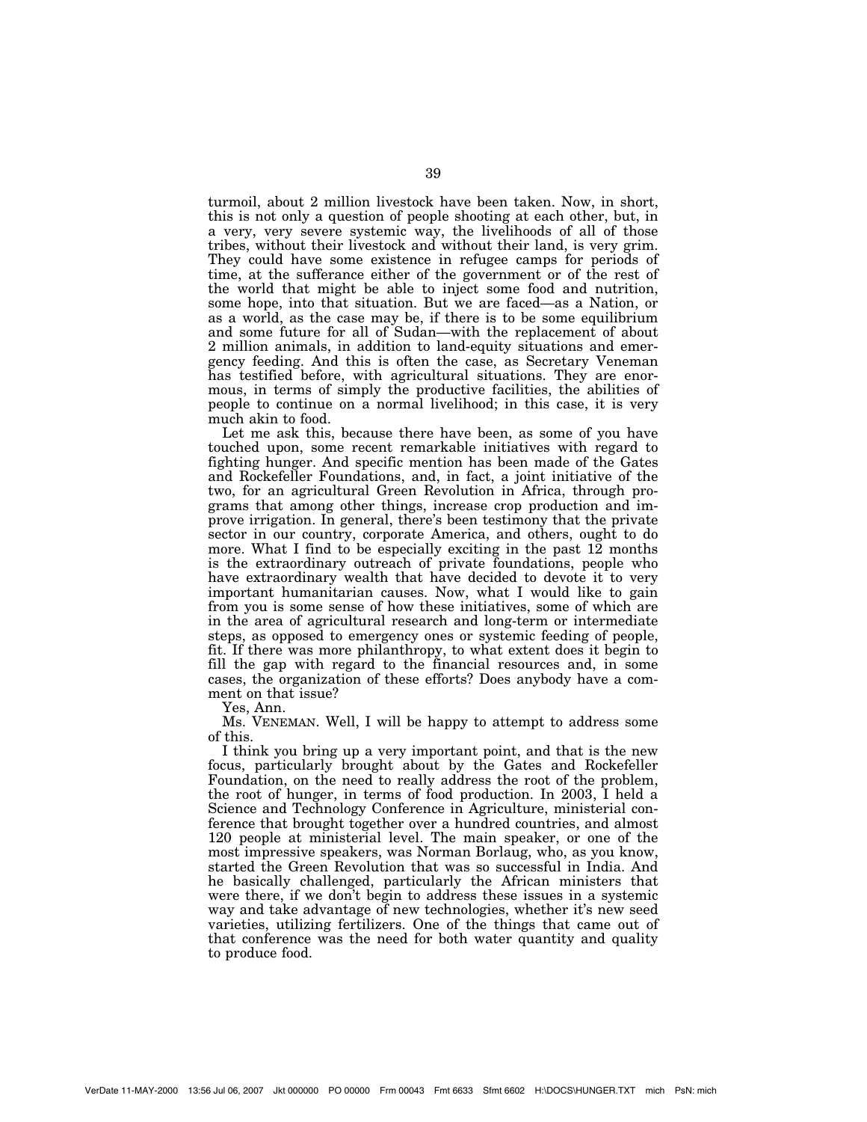turmoil, about 2 million livestock have been taken. Now, in short, this is not only a question of people shooting at each other, but, in a very, very severe systemic way, the livelihoods of all of those tribes, without their livestock and without their land, is very grim. They could have some existence in refugee camps for periods of time, at the sufferance either of the government or of the rest of the world that might be able to inject some food and nutrition, some hope, into that situation. But we are faced—as a Nation, or as a world, as the case may be, if there is to be some equilibrium and some future for all of Sudan—with the replacement of about 2 million animals, in addition to land-equity situations and emergency feeding. And this is often the case, as Secretary Veneman has testified before, with agricultural situations. They are enormous, in terms of simply the productive facilities, the abilities of people to continue on a normal livelihood; in this case, it is very much akin to food.

Let me ask this, because there have been, as some of you have touched upon, some recent remarkable initiatives with regard to fighting hunger. And specific mention has been made of the Gates and Rockefeller Foundations, and, in fact, a joint initiative of the two, for an agricultural Green Revolution in Africa, through programs that among other things, increase crop production and improve irrigation. In general, there's been testimony that the private sector in our country, corporate America, and others, ought to do more. What I find to be especially exciting in the past 12 months is the extraordinary outreach of private foundations, people who have extraordinary wealth that have decided to devote it to very important humanitarian causes. Now, what I would like to gain from you is some sense of how these initiatives, some of which are in the area of agricultural research and long-term or intermediate steps, as opposed to emergency ones or systemic feeding of people, fit. If there was more philanthropy, to what extent does it begin to fill the gap with regard to the financial resources and, in some cases, the organization of these efforts? Does anybody have a comment on that issue?

Yes, Ann.

Ms. VENEMAN. Well, I will be happy to attempt to address some of this.

I think you bring up a very important point, and that is the new focus, particularly brought about by the Gates and Rockefeller Foundation, on the need to really address the root of the problem, the root of hunger, in terms of food production. In 2003, I held a Science and Technology Conference in Agriculture, ministerial conference that brought together over a hundred countries, and almost 120 people at ministerial level. The main speaker, or one of the most impressive speakers, was Norman Borlaug, who, as you know, started the Green Revolution that was so successful in India. And he basically challenged, particularly the African ministers that were there, if we don't begin to address these issues in a systemic way and take advantage of new technologies, whether it's new seed varieties, utilizing fertilizers. One of the things that came out of that conference was the need for both water quantity and quality to produce food.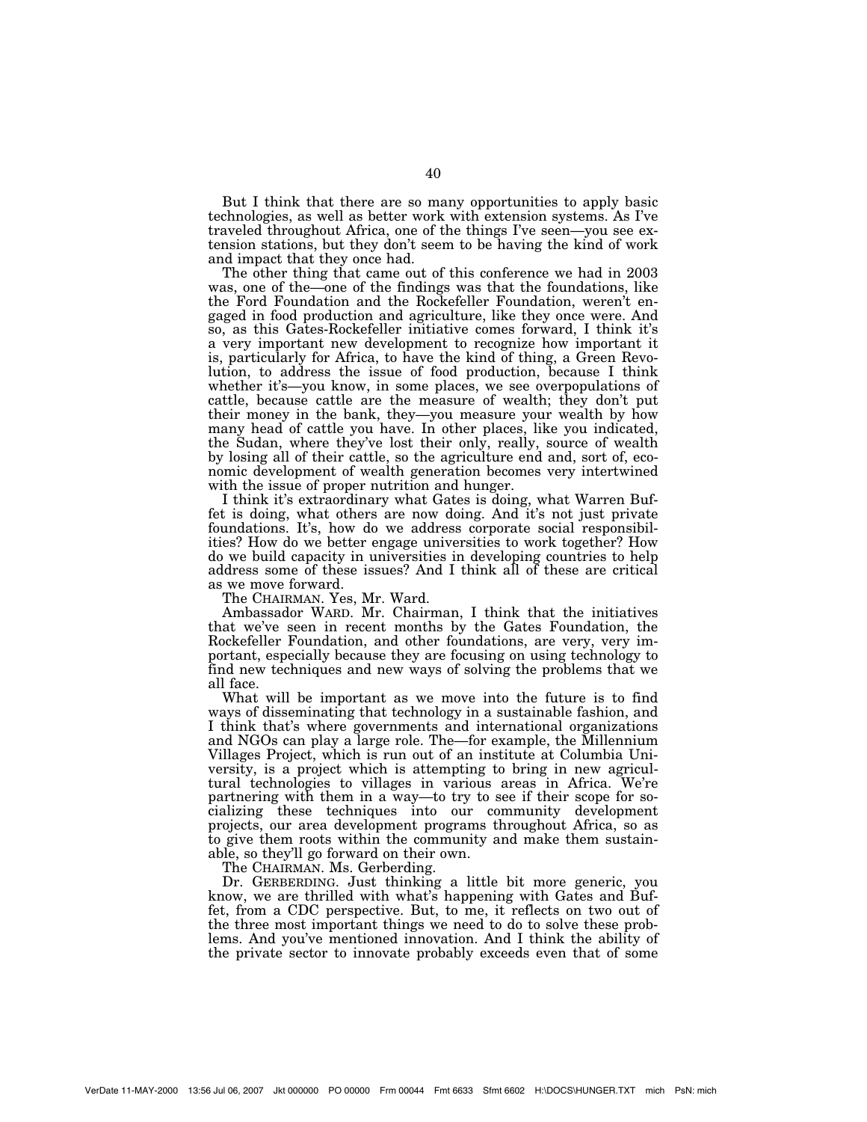But I think that there are so many opportunities to apply basic technologies, as well as better work with extension systems. As I've traveled throughout Africa, one of the things I've seen—you see extension stations, but they don't seem to be having the kind of work and impact that they once had.

The other thing that came out of this conference we had in 2003 was, one of the—one of the findings was that the foundations, like the Ford Foundation and the Rockefeller Foundation, weren't engaged in food production and agriculture, like they once were. And so, as this Gates-Rockefeller initiative comes forward, I think it's a very important new development to recognize how important it is, particularly for Africa, to have the kind of thing, a Green Revolution, to address the issue of food production, because I think whether it's—you know, in some places, we see overpopulations of cattle, because cattle are the measure of wealth; they don't put their money in the bank, they—you measure your wealth by how many head of cattle you have. In other places, like you indicated, the Sudan, where they've lost their only, really, source of wealth by losing all of their cattle, so the agriculture end and, sort of, economic development of wealth generation becomes very intertwined with the issue of proper nutrition and hunger.

I think it's extraordinary what Gates is doing, what Warren Buffet is doing, what others are now doing. And it's not just private foundations. It's, how do we address corporate social responsibilities? How do we better engage universities to work together? How do we build capacity in universities in developing countries to help address some of these issues? And I think all of these are critical as we move forward.

The CHAIRMAN. Yes, Mr. Ward.

Ambassador WARD. Mr. Chairman, I think that the initiatives that we've seen in recent months by the Gates Foundation, the Rockefeller Foundation, and other foundations, are very, very important, especially because they are focusing on using technology to find new techniques and new ways of solving the problems that we all face.

What will be important as we move into the future is to find ways of disseminating that technology in a sustainable fashion, and I think that's where governments and international organizations and NGOs can play a large role. The—for example, the Millennium Villages Project, which is run out of an institute at Columbia University, is a project which is attempting to bring in new agricultural technologies to villages in various areas in Africa. We're partnering with them in a way—to try to see if their scope for socializing these techniques into our community development projects, our area development programs throughout Africa, so as to give them roots within the community and make them sustainable, so they'll go forward on their own.

The CHAIRMAN. Ms. Gerberding.

Dr. GERBERDING. Just thinking a little bit more generic, you know, we are thrilled with what's happening with Gates and Buffet, from a CDC perspective. But, to me, it reflects on two out of the three most important things we need to do to solve these problems. And you've mentioned innovation. And I think the ability of the private sector to innovate probably exceeds even that of some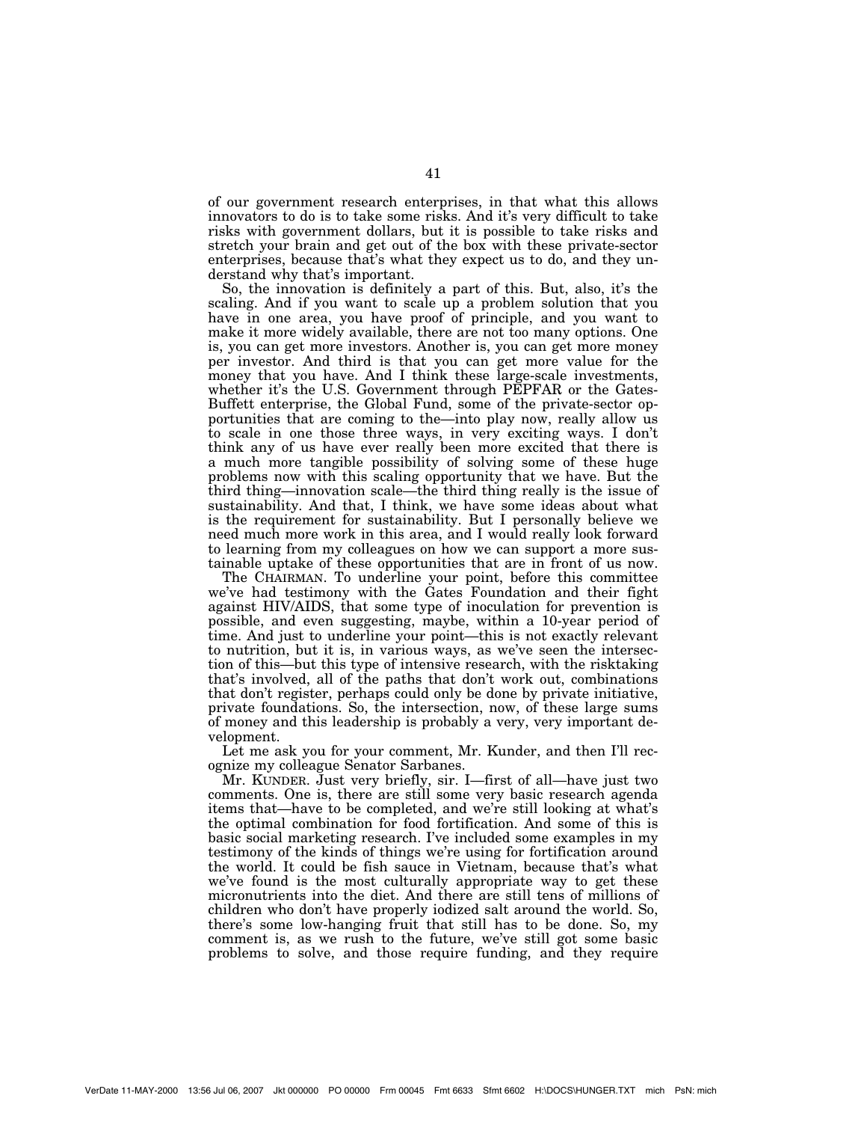of our government research enterprises, in that what this allows innovators to do is to take some risks. And it's very difficult to take risks with government dollars, but it is possible to take risks and stretch your brain and get out of the box with these private-sector enterprises, because that's what they expect us to do, and they understand why that's important.

So, the innovation is definitely a part of this. But, also, it's the scaling. And if you want to scale up a problem solution that you have in one area, you have proof of principle, and you want to make it more widely available, there are not too many options. One is, you can get more investors. Another is, you can get more money per investor. And third is that you can get more value for the money that you have. And I think these large-scale investments, whether it's the U.S. Government through PEPFAR or the Gates-Buffett enterprise, the Global Fund, some of the private-sector opportunities that are coming to the—into play now, really allow us to scale in one those three ways, in very exciting ways. I don't think any of us have ever really been more excited that there is a much more tangible possibility of solving some of these huge problems now with this scaling opportunity that we have. But the third thing—innovation scale—the third thing really is the issue of sustainability. And that, I think, we have some ideas about what is the requirement for sustainability. But I personally believe we need much more work in this area, and I would really look forward to learning from my colleagues on how we can support a more sustainable uptake of these opportunities that are in front of us now.

The CHAIRMAN. To underline your point, before this committee we've had testimony with the Gates Foundation and their fight against HIV/AIDS, that some type of inoculation for prevention is possible, and even suggesting, maybe, within a 10-year period of time. And just to underline your point—this is not exactly relevant to nutrition, but it is, in various ways, as we've seen the intersection of this—but this type of intensive research, with the risktaking that's involved, all of the paths that don't work out, combinations that don't register, perhaps could only be done by private initiative, private foundations. So, the intersection, now, of these large sums of money and this leadership is probably a very, very important development.

Let me ask you for your comment, Mr. Kunder, and then I'll recognize my colleague Senator Sarbanes.

Mr. KUNDER. Just very briefly, sir. I—first of all—have just two comments. One is, there are still some very basic research agenda items that—have to be completed, and we're still looking at what's the optimal combination for food fortification. And some of this is basic social marketing research. I've included some examples in my testimony of the kinds of things we're using for fortification around the world. It could be fish sauce in Vietnam, because that's what we've found is the most culturally appropriate way to get these micronutrients into the diet. And there are still tens of millions of children who don't have properly iodized salt around the world. So, there's some low-hanging fruit that still has to be done. So, my comment is, as we rush to the future, we've still got some basic problems to solve, and those require funding, and they require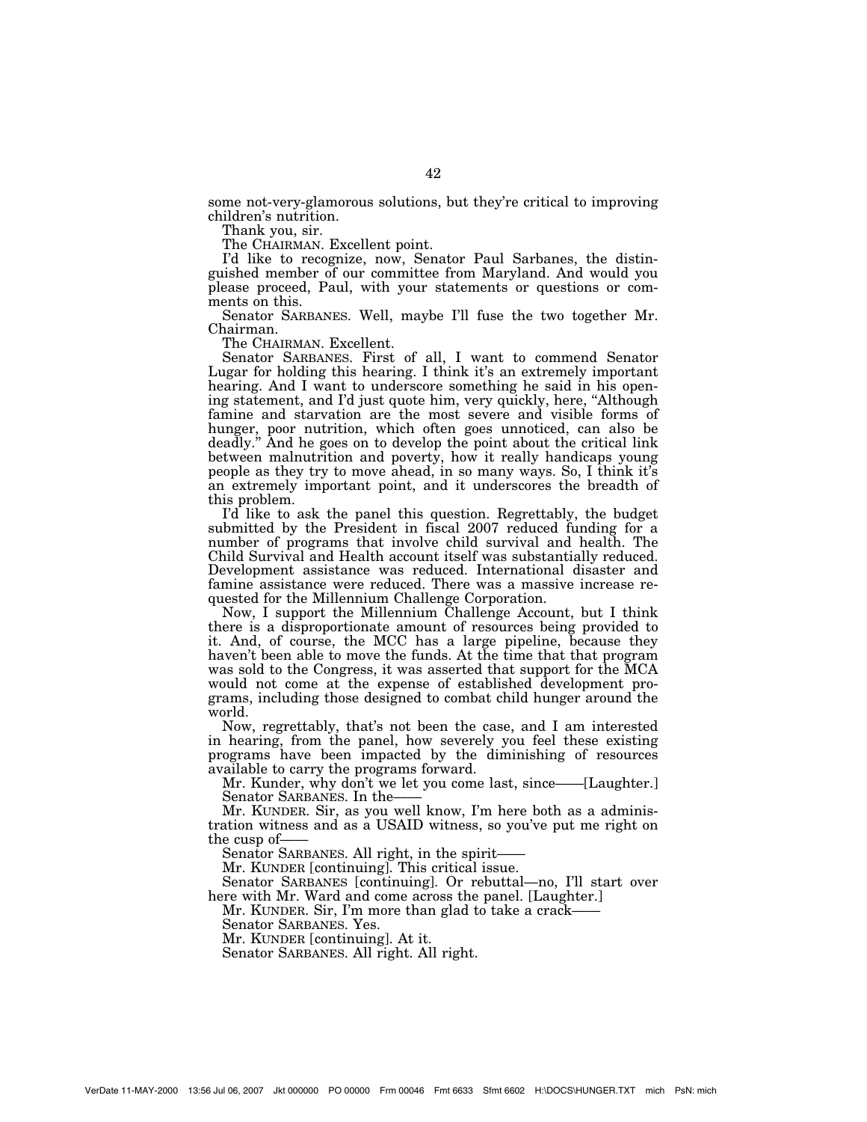some not-very-glamorous solutions, but they're critical to improving children's nutrition.

Thank you, sir.

The CHAIRMAN. Excellent point.

I'd like to recognize, now, Senator Paul Sarbanes, the distinguished member of our committee from Maryland. And would you please proceed, Paul, with your statements or questions or comments on this.

Senator SARBANES. Well, maybe I'll fuse the two together Mr. Chairman.

The CHAIRMAN. Excellent.

Senator SARBANES. First of all, I want to commend Senator Lugar for holding this hearing. I think it's an extremely important hearing. And I want to underscore something he said in his opening statement, and I'd just quote him, very quickly, here, ''Although famine and starvation are the most severe and visible forms of hunger, poor nutrition, which often goes unnoticed, can also be deadly.'' And he goes on to develop the point about the critical link between malnutrition and poverty, how it really handicaps young people as they try to move ahead, in so many ways. So, I think it's an extremely important point, and it underscores the breadth of this problem.

I'd like to ask the panel this question. Regrettably, the budget submitted by the President in fiscal 2007 reduced funding for a number of programs that involve child survival and health. The Child Survival and Health account itself was substantially reduced. Development assistance was reduced. International disaster and famine assistance were reduced. There was a massive increase requested for the Millennium Challenge Corporation.

Now, I support the Millennium Challenge Account, but I think there is a disproportionate amount of resources being provided to it. And, of course, the MCC has a large pipeline, because they haven't been able to move the funds. At the time that that program was sold to the Congress, it was asserted that support for the MCA would not come at the expense of established development programs, including those designed to combat child hunger around the world.

Now, regrettably, that's not been the case, and I am interested in hearing, from the panel, how severely you feel these existing programs have been impacted by the diminishing of resources available to carry the programs forward.

Mr. Kunder, why don't we let you come last, since—[Laughter.] Senator SARBANES. In the-

Mr. KUNDER. Sir, as you well know, I'm here both as a administration witness and as a USAID witness, so you've put me right on the cusp of-

Senator SARBANES. All right, in the spirit-

Mr. KUNDER [continuing]. This critical issue.

Senator SARBANES [continuing]. Or rebuttal—no, I'll start over here with Mr. Ward and come across the panel. [Laughter.]

Mr. KUNDER. Sir, I'm more than glad to take a crack-

Senator SARBANES. Yes.

Mr. KUNDER [continuing]. At it.

Senator SARBANES. All right. All right.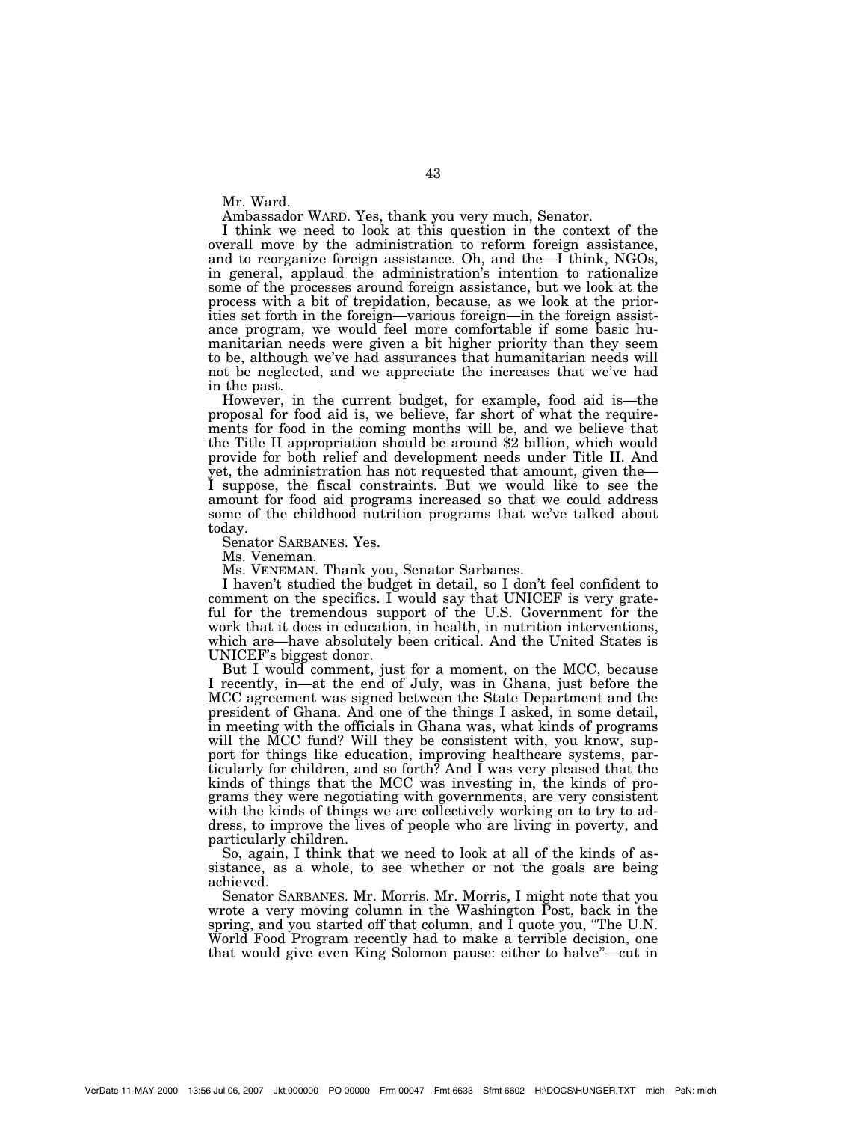Mr. Ward.

Ambassador WARD. Yes, thank you very much, Senator.

I think we need to look at this question in the context of the overall move by the administration to reform foreign assistance, and to reorganize foreign assistance. Oh, and the-I think, NGOs, in general, applaud the administration's intention to rationalize some of the processes around foreign assistance, but we look at the process with a bit of trepidation, because, as we look at the priorities set forth in the foreign—various foreign—in the foreign assistance program, we would feel more comfortable if some basic humanitarian needs were given a bit higher priority than they seem to be, although we've had assurances that humanitarian needs will not be neglected, and we appreciate the increases that we've had in the past.

However, in the current budget, for example, food aid is—the proposal for food aid is, we believe, far short of what the requirements for food in the coming months will be, and we believe that the Title II appropriation should be around \$2 billion, which would provide for both relief and development needs under Title II. And yet, the administration has not requested that amount, given the— I suppose, the fiscal constraints. But we would like to see the amount for food aid programs increased so that we could address some of the childhood nutrition programs that we've talked about today.

Senator SARBANES. Yes.

Ms. Veneman.

Ms. VENEMAN. Thank you, Senator Sarbanes.

I haven't studied the budget in detail, so I don't feel confident to comment on the specifics. I would say that UNICEF is very grateful for the tremendous support of the U.S. Government for the work that it does in education, in health, in nutrition interventions, which are—have absolutely been critical. And the United States is UNICEF's biggest donor.

But I would comment, just for a moment, on the MCC, because I recently, in—at the end of July, was in Ghana, just before the MCC agreement was signed between the State Department and the president of Ghana. And one of the things I asked, in some detail, in meeting with the officials in Ghana was, what kinds of programs will the MCC fund? Will they be consistent with, you know, support for things like education, improving healthcare systems, particularly for children, and so forth? And I was very pleased that the kinds of things that the MCC was investing in, the kinds of programs they were negotiating with governments, are very consistent with the kinds of things we are collectively working on to try to address, to improve the lives of people who are living in poverty, and particularly children.

So, again, I think that we need to look at all of the kinds of assistance, as a whole, to see whether or not the goals are being achieved.

Senator SARBANES. Mr. Morris. Mr. Morris, I might note that you wrote a very moving column in the Washington Post, back in the spring, and you started off that column, and I quote you, ''The U.N. World Food Program recently had to make a terrible decision, one that would give even King Solomon pause: either to halve''—cut in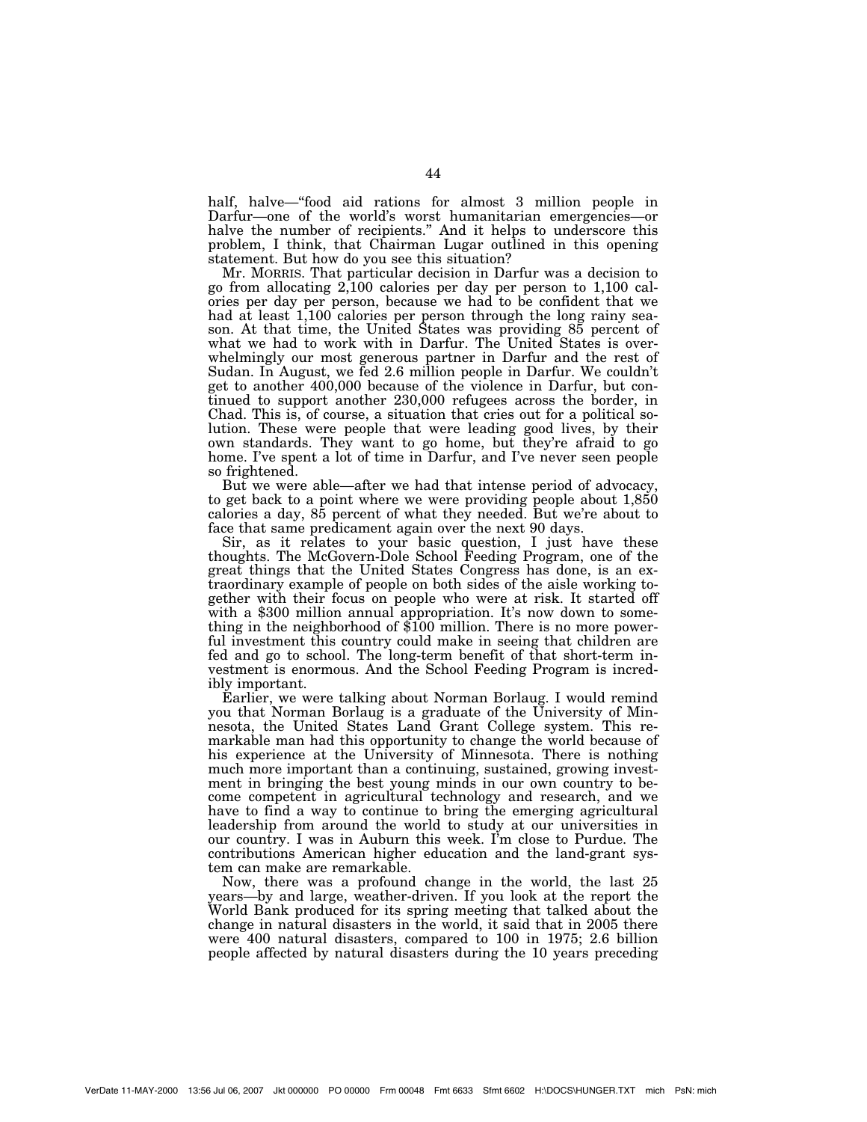half, halve—''food aid rations for almost 3 million people in Darfur—one of the world's worst humanitarian emergencies—or halve the number of recipients.'' And it helps to underscore this problem, I think, that Chairman Lugar outlined in this opening statement. But how do you see this situation?

Mr. MORRIS. That particular decision in Darfur was a decision to go from allocating 2,100 calories per day per person to 1,100 calories per day per person, because we had to be confident that we had at least 1,100 calories per person through the long rainy season. At that time, the United States was providing 85 percent of what we had to work with in Darfur. The United States is overwhelmingly our most generous partner in Darfur and the rest of Sudan. In August, we fed 2.6 million people in Darfur. We couldn't get to another 400,000 because of the violence in Darfur, but continued to support another 230,000 refugees across the border, in Chad. This is, of course, a situation that cries out for a political solution. These were people that were leading good lives, by their own standards. They want to go home, but they're afraid to go home. I've spent a lot of time in Darfur, and I've never seen people so frightened.

But we were able—after we had that intense period of advocacy, to get back to a point where we were providing people about 1,850 calories a day, 85 percent of what they needed. But we're about to face that same predicament again over the next 90 days.

Sir, as it relates to your basic question, I just have these thoughts. The McGovern-Dole School Feeding Program, one of the great things that the United States Congress has done, is an extraordinary example of people on both sides of the aisle working together with their focus on people who were at risk. It started off with a \$300 million annual appropriation. It's now down to something in the neighborhood of \$100 million. There is no more powerful investment this country could make in seeing that children are fed and go to school. The long-term benefit of that short-term investment is enormous. And the School Feeding Program is incredibly important.

Earlier, we were talking about Norman Borlaug. I would remind you that Norman Borlaug is a graduate of the University of Minnesota, the United States Land Grant College system. This remarkable man had this opportunity to change the world because of his experience at the University of Minnesota. There is nothing much more important than a continuing, sustained, growing investment in bringing the best young minds in our own country to become competent in agricultural technology and research, and we have to find a way to continue to bring the emerging agricultural leadership from around the world to study at our universities in our country. I was in Auburn this week. I'm close to Purdue. The contributions American higher education and the land-grant system can make are remarkable.

Now, there was a profound change in the world, the last 25 years—by and large, weather-driven. If you look at the report the World Bank produced for its spring meeting that talked about the change in natural disasters in the world, it said that in 2005 there were 400 natural disasters, compared to 100 in 1975; 2.6 billion people affected by natural disasters during the 10 years preceding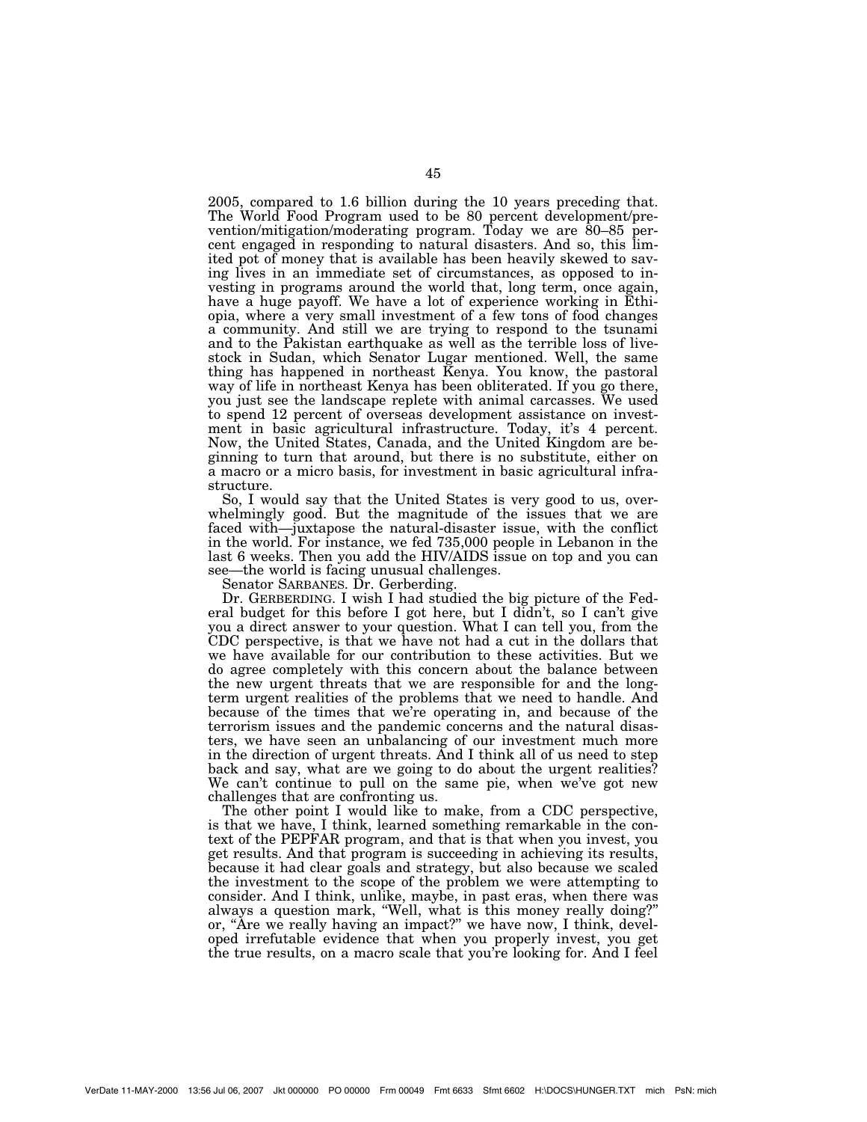2005, compared to 1.6 billion during the 10 years preceding that. The World Food Program used to be 80 percent development/prevention/mitigation/moderating program. Today we are 80–85 percent engaged in responding to natural disasters. And so, this limited pot of money that is available has been heavily skewed to saving lives in an immediate set of circumstances, as opposed to investing in programs around the world that, long term, once again, have a huge payoff. We have a lot of experience working in Ethiopia, where a very small investment of a few tons of food changes a community. And still we are trying to respond to the tsunami and to the Pakistan earthquake as well as the terrible loss of livestock in Sudan, which Senator Lugar mentioned. Well, the same thing has happened in northeast Kenya. You know, the pastoral way of life in northeast Kenya has been obliterated. If you go there, you just see the landscape replete with animal carcasses. We used to spend 12 percent of overseas development assistance on investment in basic agricultural infrastructure. Today, it's 4 percent. Now, the United States, Canada, and the United Kingdom are beginning to turn that around, but there is no substitute, either on a macro or a micro basis, for investment in basic agricultural infrastructure.

So, I would say that the United States is very good to us, overwhelmingly good. But the magnitude of the issues that we are faced with—juxtapose the natural-disaster issue, with the conflict in the world. For instance, we fed 735,000 people in Lebanon in the last 6 weeks. Then you add the HIV/AIDS issue on top and you can see—the world is facing unusual challenges.

Senator SARBANES. Dr. Gerberding.

Dr. GERBERDING. I wish I had studied the big picture of the Federal budget for this before I got here, but I didn't, so I can't give you a direct answer to your question. What I can tell you, from the CDC perspective, is that we have not had a cut in the dollars that we have available for our contribution to these activities. But we do agree completely with this concern about the balance between the new urgent threats that we are responsible for and the longterm urgent realities of the problems that we need to handle. And because of the times that we're operating in, and because of the terrorism issues and the pandemic concerns and the natural disasters, we have seen an unbalancing of our investment much more in the direction of urgent threats. And I think all of us need to step back and say, what are we going to do about the urgent realities? We can't continue to pull on the same pie, when we've got new challenges that are confronting us.

The other point I would like to make, from a CDC perspective, is that we have, I think, learned something remarkable in the context of the PEPFAR program, and that is that when you invest, you get results. And that program is succeeding in achieving its results, because it had clear goals and strategy, but also because we scaled the investment to the scope of the problem we were attempting to consider. And I think, unlike, maybe, in past eras, when there was always a question mark, ''Well, what is this money really doing?'' or, "Are we really having an impact?" we have now, I think, developed irrefutable evidence that when you properly invest, you get the true results, on a macro scale that you're looking for. And I feel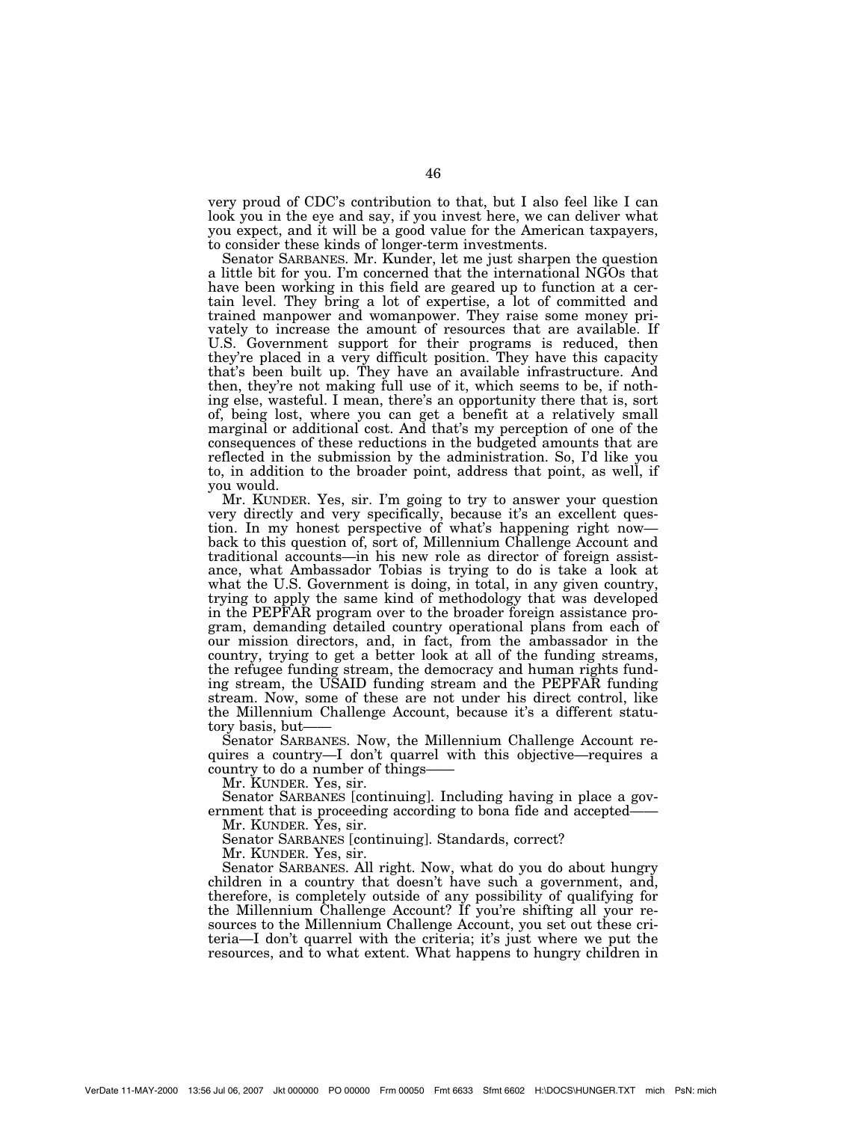very proud of CDC's contribution to that, but I also feel like I can look you in the eye and say, if you invest here, we can deliver what you expect, and it will be a good value for the American taxpayers, to consider these kinds of longer-term investments.

Senator SARBANES. Mr. Kunder, let me just sharpen the question a little bit for you. I'm concerned that the international NGOs that have been working in this field are geared up to function at a certain level. They bring a lot of expertise, a lot of committed and trained manpower and womanpower. They raise some money privately to increase the amount of resources that are available. If U.S. Government support for their programs is reduced, then they're placed in a very difficult position. They have this capacity that's been built up. They have an available infrastructure. And then, they're not making full use of it, which seems to be, if nothing else, wasteful. I mean, there's an opportunity there that is, sort of, being lost, where you can get a benefit at a relatively small marginal or additional cost. And that's my perception of one of the consequences of these reductions in the budgeted amounts that are reflected in the submission by the administration. So, I'd like you to, in addition to the broader point, address that point, as well, if you would.

Mr. KUNDER. Yes, sir. I'm going to try to answer your question very directly and very specifically, because it's an excellent question. In my honest perspective of what's happening right now back to this question of, sort of, Millennium Challenge Account and traditional accounts—in his new role as director of foreign assistance, what Ambassador Tobias is trying to do is take a look at what the U.S. Government is doing, in total, in any given country, trying to apply the same kind of methodology that was developed in the PEPFAR program over to the broader foreign assistance program, demanding detailed country operational plans from each of our mission directors, and, in fact, from the ambassador in the country, trying to get a better look at all of the funding streams, the refugee funding stream, the democracy and human rights funding stream, the USAID funding stream and the PEPFAR funding stream. Now, some of these are not under his direct control, like the Millennium Challenge Account, because it's a different statutory basis, but-

Senator SARBANES. Now, the Millennium Challenge Account requires a country—I don't quarrel with this objective—requires a country to do a number of things-

Mr. KUNDER. Yes, sir.

Senator SARBANES [continuing]. Including having in place a government that is proceeding according to bona fide and accepted—— Mr. KUNDER. Yes, sir.

Senator SARBANES [continuing]. Standards, correct?

Mr. KUNDER. Yes, sir.

Senator SARBANES. All right. Now, what do you do about hungry children in a country that doesn't have such a government, and, therefore, is completely outside of any possibility of qualifying for the Millennium Challenge Account? If you're shifting all your resources to the Millennium Challenge Account, you set out these criteria—I don't quarrel with the criteria; it's just where we put the resources, and to what extent. What happens to hungry children in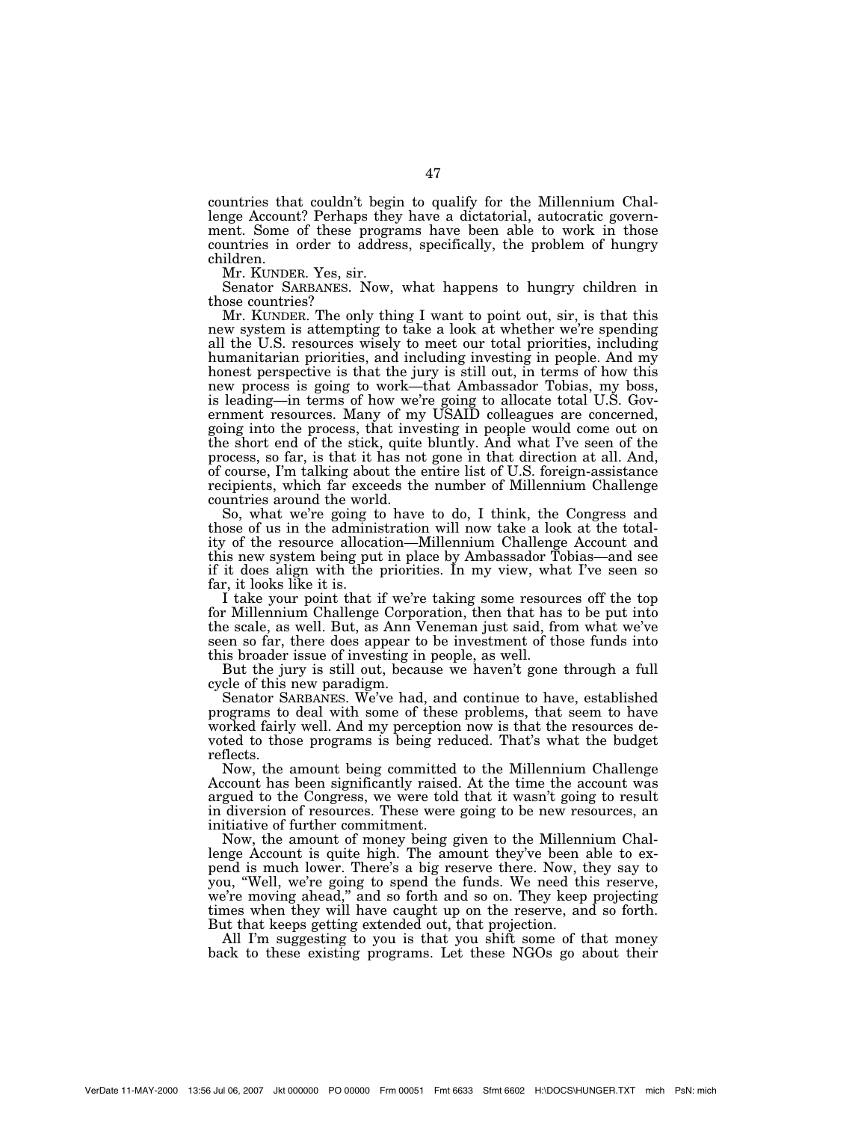countries that couldn't begin to qualify for the Millennium Challenge Account? Perhaps they have a dictatorial, autocratic government. Some of these programs have been able to work in those countries in order to address, specifically, the problem of hungry children.

Mr. KUNDER. Yes, sir.

Senator SARBANES. Now, what happens to hungry children in those countries?

Mr. KUNDER. The only thing I want to point out, sir, is that this new system is attempting to take a look at whether we're spending all the U.S. resources wisely to meet our total priorities, including humanitarian priorities, and including investing in people. And my honest perspective is that the jury is still out, in terms of how this new process is going to work—that Ambassador Tobias, my boss, is leading—in terms of how we're going to allocate total U.S. Government resources. Many of my USAID colleagues are concerned, going into the process, that investing in people would come out on the short end of the stick, quite bluntly. And what I've seen of the process, so far, is that it has not gone in that direction at all. And, of course, I'm talking about the entire list of U.S. foreign-assistance recipients, which far exceeds the number of Millennium Challenge countries around the world.

So, what we're going to have to do, I think, the Congress and those of us in the administration will now take a look at the totality of the resource allocation—Millennium Challenge Account and this new system being put in place by Ambassador Tobias—and see if it does align with the priorities. In my view, what I've seen so far, it looks like it is.

I take your point that if we're taking some resources off the top for Millennium Challenge Corporation, then that has to be put into the scale, as well. But, as Ann Veneman just said, from what we've seen so far, there does appear to be investment of those funds into this broader issue of investing in people, as well.

But the jury is still out, because we haven't gone through a full cycle of this new paradigm.

Senator SARBANES. We've had, and continue to have, established programs to deal with some of these problems, that seem to have worked fairly well. And my perception now is that the resources devoted to those programs is being reduced. That's what the budget reflects.

Now, the amount being committed to the Millennium Challenge Account has been significantly raised. At the time the account was argued to the Congress, we were told that it wasn't going to result in diversion of resources. These were going to be new resources, an initiative of further commitment.

Now, the amount of money being given to the Millennium Challenge Account is quite high. The amount they've been able to expend is much lower. There's a big reserve there. Now, they say to you, ''Well, we're going to spend the funds. We need this reserve, we're moving ahead,'' and so forth and so on. They keep projecting times when they will have caught up on the reserve, and so forth. But that keeps getting extended out, that projection.

All I'm suggesting to you is that you shift some of that money back to these existing programs. Let these NGOs go about their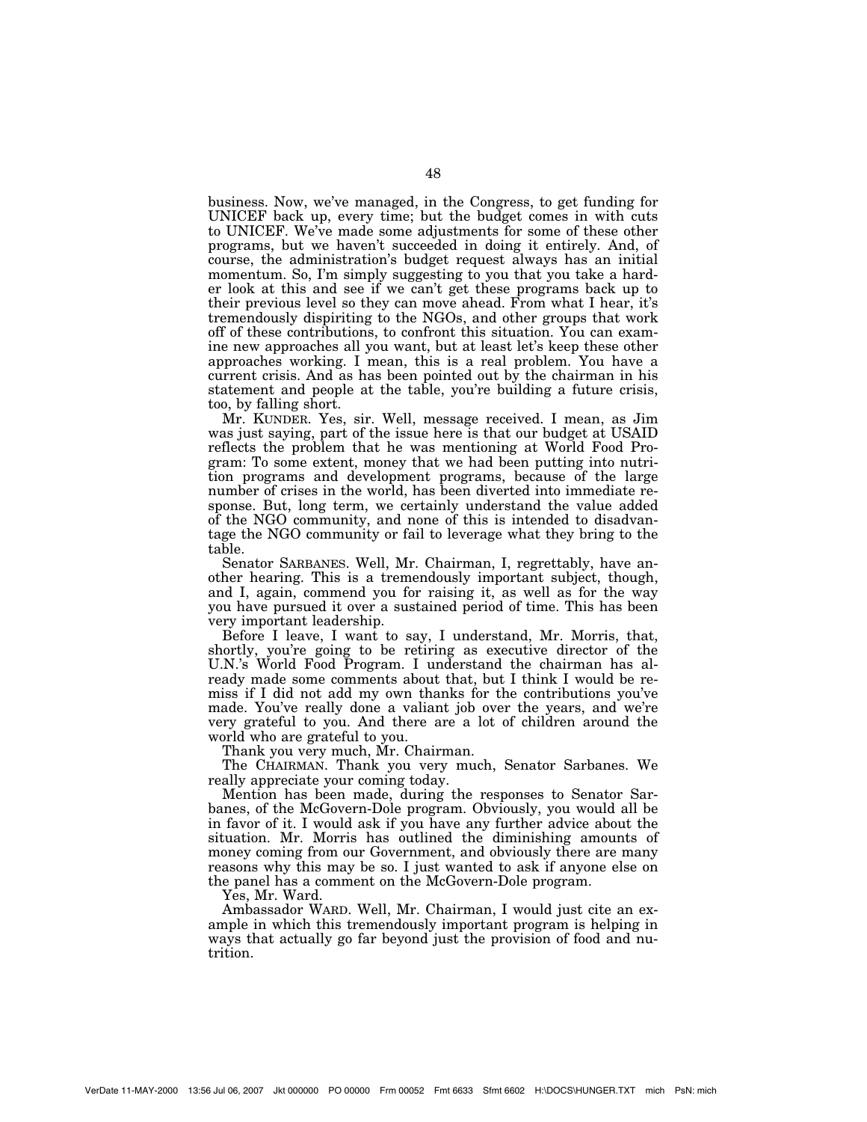business. Now, we've managed, in the Congress, to get funding for UNICEF back up, every time; but the budget comes in with cuts to UNICEF. We've made some adjustments for some of these other programs, but we haven't succeeded in doing it entirely. And, of course, the administration's budget request always has an initial momentum. So, I'm simply suggesting to you that you take a harder look at this and see if we can't get these programs back up to their previous level so they can move ahead. From what I hear, it's tremendously dispiriting to the NGOs, and other groups that work off of these contributions, to confront this situation. You can examine new approaches all you want, but at least let's keep these other approaches working. I mean, this is a real problem. You have a current crisis. And as has been pointed out by the chairman in his statement and people at the table, you're building a future crisis, too, by falling short.

Mr. KUNDER. Yes, sir. Well, message received. I mean, as Jim was just saying, part of the issue here is that our budget at USAID reflects the problem that he was mentioning at World Food Program: To some extent, money that we had been putting into nutrition programs and development programs, because of the large number of crises in the world, has been diverted into immediate response. But, long term, we certainly understand the value added of the NGO community, and none of this is intended to disadvantage the NGO community or fail to leverage what they bring to the table.

Senator SARBANES. Well, Mr. Chairman, I, regrettably, have another hearing. This is a tremendously important subject, though, and I, again, commend you for raising it, as well as for the way you have pursued it over a sustained period of time. This has been very important leadership.

Before I leave, I want to say, I understand, Mr. Morris, that, shortly, you're going to be retiring as executive director of the U.N.'s World Food Program. I understand the chairman has already made some comments about that, but I think I would be remiss if I did not add my own thanks for the contributions you've made. You've really done a valiant job over the years, and we're very grateful to you. And there are a lot of children around the world who are grateful to you.

Thank you very much, Mr. Chairman.

The CHAIRMAN. Thank you very much, Senator Sarbanes. We really appreciate your coming today.

Mention has been made, during the responses to Senator Sarbanes, of the McGovern-Dole program. Obviously, you would all be in favor of it. I would ask if you have any further advice about the situation. Mr. Morris has outlined the diminishing amounts of money coming from our Government, and obviously there are many reasons why this may be so. I just wanted to ask if anyone else on the panel has a comment on the McGovern-Dole program.

Yes, Mr. Ward.

Ambassador WARD. Well, Mr. Chairman, I would just cite an example in which this tremendously important program is helping in ways that actually go far beyond just the provision of food and nutrition.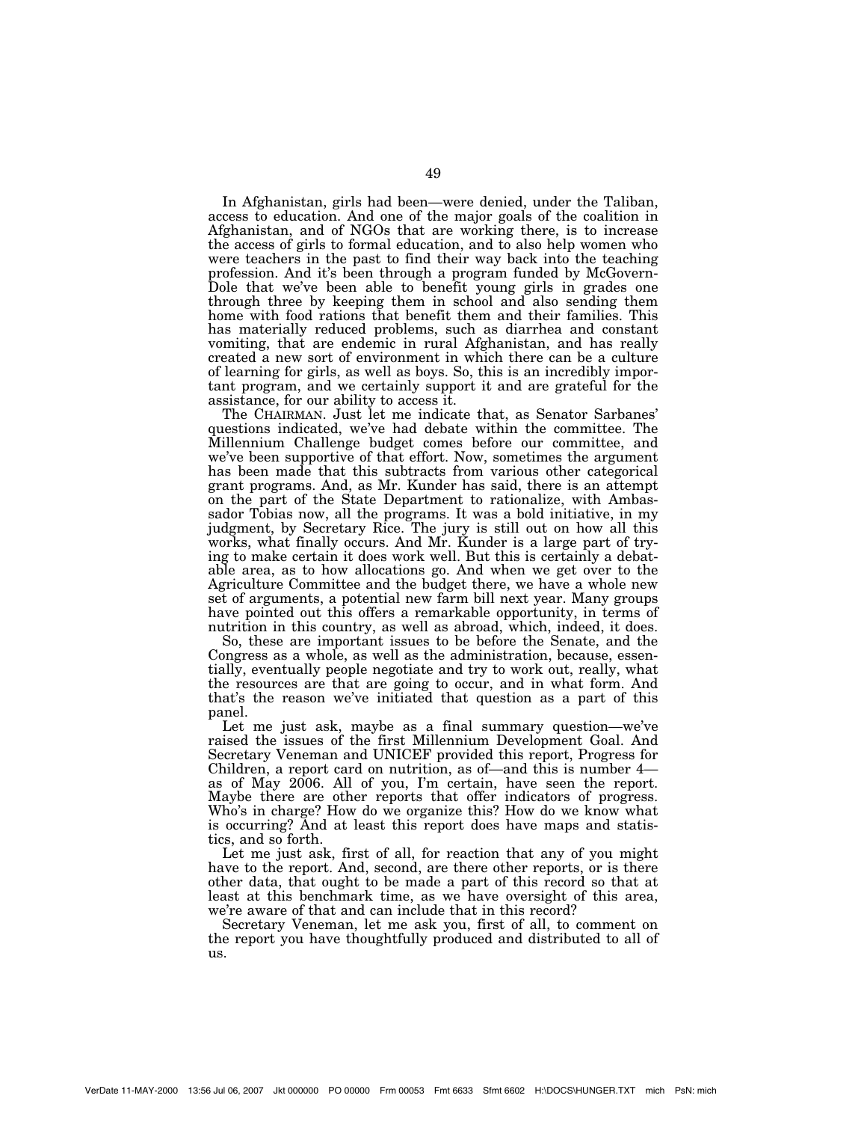In Afghanistan, girls had been—were denied, under the Taliban, access to education. And one of the major goals of the coalition in Afghanistan, and of NGOs that are working there, is to increase the access of girls to formal education, and to also help women who were teachers in the past to find their way back into the teaching profession. And it's been through a program funded by McGovern-Dole that we've been able to benefit young girls in grades one through three by keeping them in school and also sending them home with food rations that benefit them and their families. This has materially reduced problems, such as diarrhea and constant vomiting, that are endemic in rural Afghanistan, and has really created a new sort of environment in which there can be a culture of learning for girls, as well as boys. So, this is an incredibly important program, and we certainly support it and are grateful for the assistance, for our ability to access it.

The CHAIRMAN. Just let me indicate that, as Senator Sarbanes' questions indicated, we've had debate within the committee. The Millennium Challenge budget comes before our committee, and we've been supportive of that effort. Now, sometimes the argument has been made that this subtracts from various other categorical grant programs. And, as Mr. Kunder has said, there is an attempt on the part of the State Department to rationalize, with Ambassador Tobias now, all the programs. It was a bold initiative, in my judgment, by Secretary Rice. The jury is still out on how all this works, what finally occurs. And Mr. Kunder is a large part of trying to make certain it does work well. But this is certainly a debatable area, as to how allocations go. And when we get over to the Agriculture Committee and the budget there, we have a whole new set of arguments, a potential new farm bill next year. Many groups have pointed out this offers a remarkable opportunity, in terms of nutrition in this country, as well as abroad, which, indeed, it does.

So, these are important issues to be before the Senate, and the Congress as a whole, as well as the administration, because, essentially, eventually people negotiate and try to work out, really, what the resources are that are going to occur, and in what form. And that's the reason we've initiated that question as a part of this panel.

Let me just ask, maybe as a final summary question—we've raised the issues of the first Millennium Development Goal. And Secretary Veneman and UNICEF provided this report, Progress for Children, a report card on nutrition, as of—and this is number 4 as of May 2006. All of you, I'm certain, have seen the report. Maybe there are other reports that offer indicators of progress. Who's in charge? How do we organize this? How do we know what is occurring? And at least this report does have maps and statistics, and so forth.

Let me just ask, first of all, for reaction that any of you might have to the report. And, second, are there other reports, or is there other data, that ought to be made a part of this record so that at least at this benchmark time, as we have oversight of this area, we're aware of that and can include that in this record?

Secretary Veneman, let me ask you, first of all, to comment on the report you have thoughtfully produced and distributed to all of us.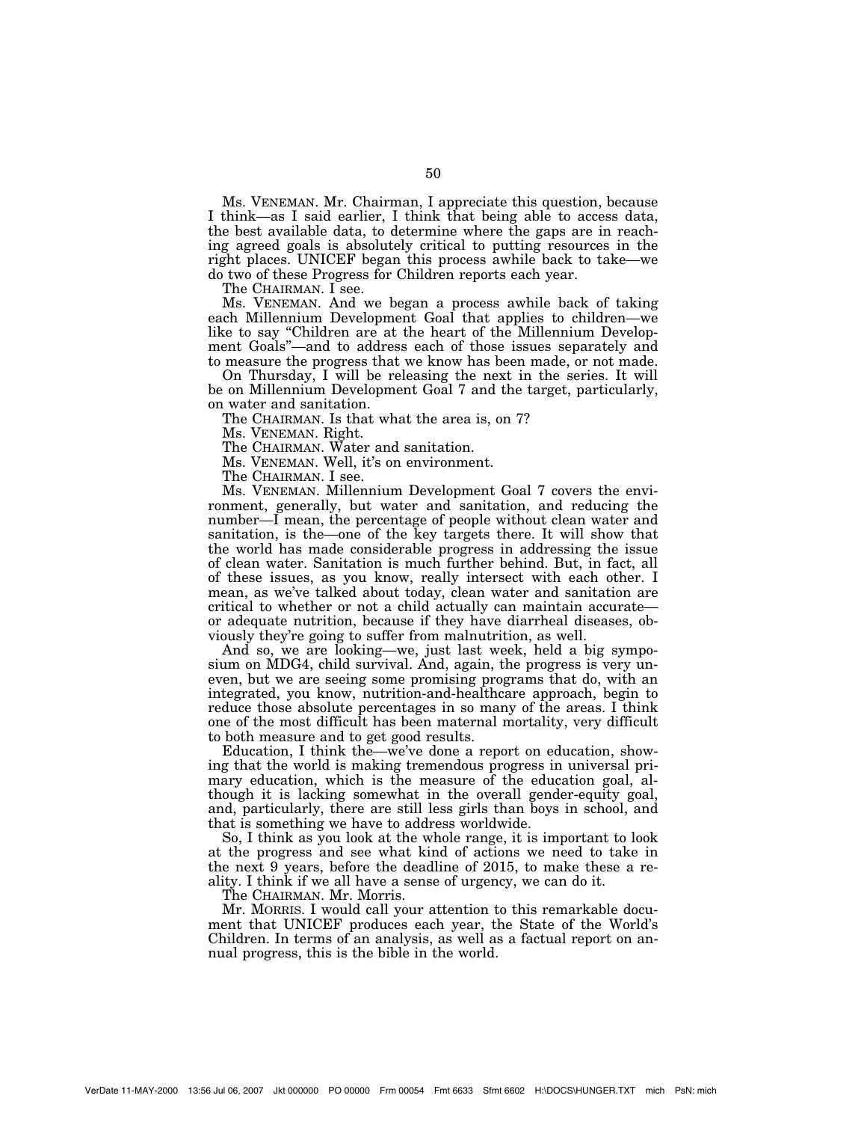Ms. VENEMAN. Mr. Chairman, I appreciate this question, because I think—as I said earlier, I think that being able to access data, the best available data, to determine where the gaps are in reaching agreed goals is absolutely critical to putting resources in the right places. UNICEF began this process awhile back to take—we do two of these Progress for Children reports each year.

The CHAIRMAN. I see.

Ms. VENEMAN. And we began a process awhile back of taking each Millennium Development Goal that applies to children—we like to say ''Children are at the heart of the Millennium Development Goals''—and to address each of those issues separately and to measure the progress that we know has been made, or not made.

On Thursday, I will be releasing the next in the series. It will be on Millennium Development Goal 7 and the target, particularly, on water and sanitation.

The CHAIRMAN. Is that what the area is, on 7?

Ms. VENEMAN. Right.

The CHAIRMAN. Water and sanitation.

Ms. VENEMAN. Well, it's on environment.

The CHAIRMAN. I see.

Ms. VENEMAN. Millennium Development Goal 7 covers the environment, generally, but water and sanitation, and reducing the number—I mean, the percentage of people without clean water and sanitation, is the—one of the key targets there. It will show that the world has made considerable progress in addressing the issue of clean water. Sanitation is much further behind. But, in fact, all of these issues, as you know, really intersect with each other. I mean, as we've talked about today, clean water and sanitation are critical to whether or not a child actually can maintain accurate or adequate nutrition, because if they have diarrheal diseases, obviously they're going to suffer from malnutrition, as well.

And so, we are looking—we, just last week, held a big symposium on MDG4, child survival. And, again, the progress is very uneven, but we are seeing some promising programs that do, with an integrated, you know, nutrition-and-healthcare approach, begin to reduce those absolute percentages in so many of the areas. I think one of the most difficult has been maternal mortality, very difficult to both measure and to get good results.

Education, I think the—we've done a report on education, showing that the world is making tremendous progress in universal primary education, which is the measure of the education goal, although it is lacking somewhat in the overall gender-equity goal, and, particularly, there are still less girls than boys in school, and that is something we have to address worldwide.

So, I think as you look at the whole range, it is important to look at the progress and see what kind of actions we need to take in the next 9 years, before the deadline of 2015, to make these a reality. I think if we all have a sense of urgency, we can do it.

The CHAIRMAN. Mr. Morris.

Mr. MORRIS. I would call your attention to this remarkable document that UNICEF produces each year, the State of the World's Children. In terms of an analysis, as well as a factual report on annual progress, this is the bible in the world.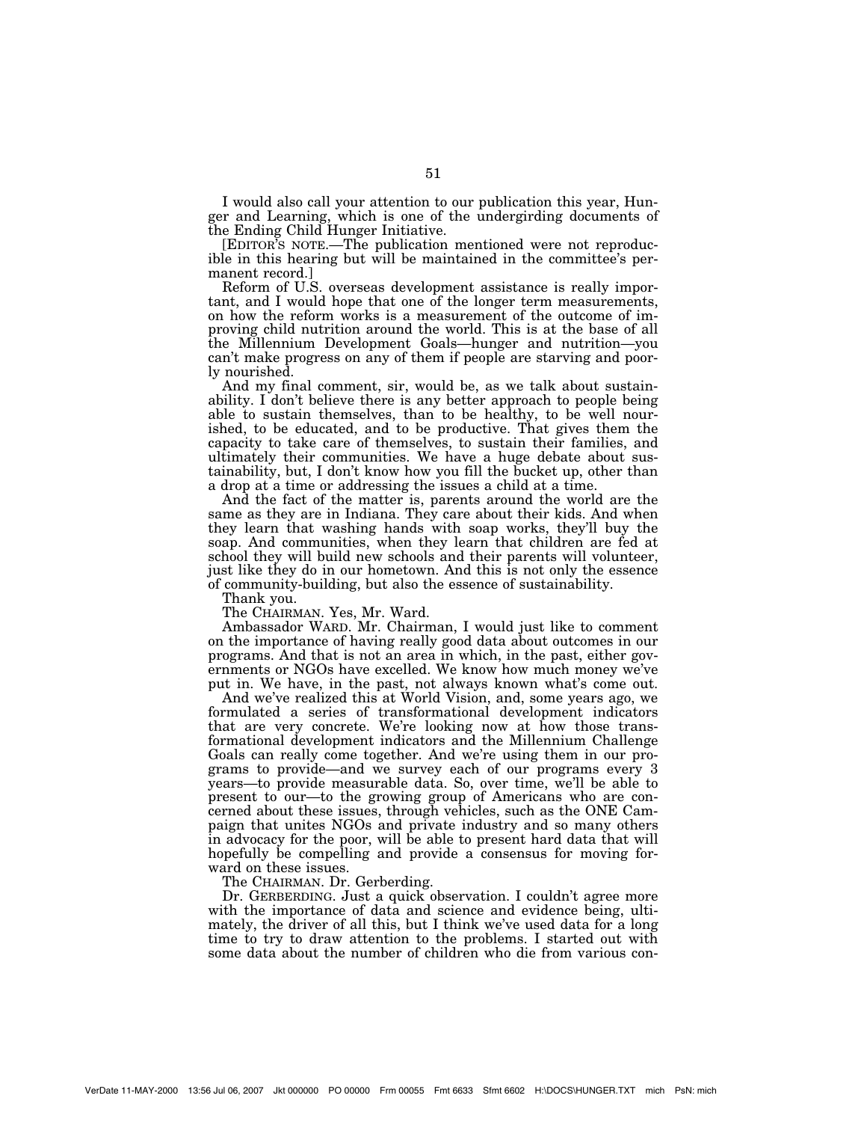I would also call your attention to our publication this year, Hunger and Learning, which is one of the undergirding documents of the Ending Child Hunger Initiative.

[EDITOR'S NOTE.—The publication mentioned were not reproducible in this hearing but will be maintained in the committee's permanent record.]

Reform of U.S. overseas development assistance is really important, and I would hope that one of the longer term measurements, on how the reform works is a measurement of the outcome of improving child nutrition around the world. This is at the base of all the Millennium Development Goals—hunger and nutrition—you can't make progress on any of them if people are starving and poorly nourished.

And my final comment, sir, would be, as we talk about sustainability. I don't believe there is any better approach to people being able to sustain themselves, than to be healthy, to be well nourished, to be educated, and to be productive. That gives them the capacity to take care of themselves, to sustain their families, and ultimately their communities. We have a huge debate about sustainability, but, I don't know how you fill the bucket up, other than a drop at a time or addressing the issues a child at a time.

And the fact of the matter is, parents around the world are the same as they are in Indiana. They care about their kids. And when they learn that washing hands with soap works, they'll buy the soap. And communities, when they learn that children are fed at school they will build new schools and their parents will volunteer, just like they do in our hometown. And this is not only the essence of community-building, but also the essence of sustainability.

Thank you.

The CHAIRMAN. Yes, Mr. Ward.

Ambassador WARD. Mr. Chairman, I would just like to comment on the importance of having really good data about outcomes in our programs. And that is not an area in which, in the past, either governments or NGOs have excelled. We know how much money we've put in. We have, in the past, not always known what's come out.

And we've realized this at World Vision, and, some years ago, we formulated a series of transformational development indicators that are very concrete. We're looking now at how those transformational development indicators and the Millennium Challenge Goals can really come together. And we're using them in our programs to provide—and we survey each of our programs every 3 years—to provide measurable data. So, over time, we'll be able to present to our—to the growing group of Americans who are concerned about these issues, through vehicles, such as the ONE Campaign that unites NGOs and private industry and so many others in advocacy for the poor, will be able to present hard data that will hopefully be compelling and provide a consensus for moving forward on these issues.

The CHAIRMAN. Dr. Gerberding.

Dr. GERBERDING. Just a quick observation. I couldn't agree more with the importance of data and science and evidence being, ultimately, the driver of all this, but I think we've used data for a long time to try to draw attention to the problems. I started out with some data about the number of children who die from various con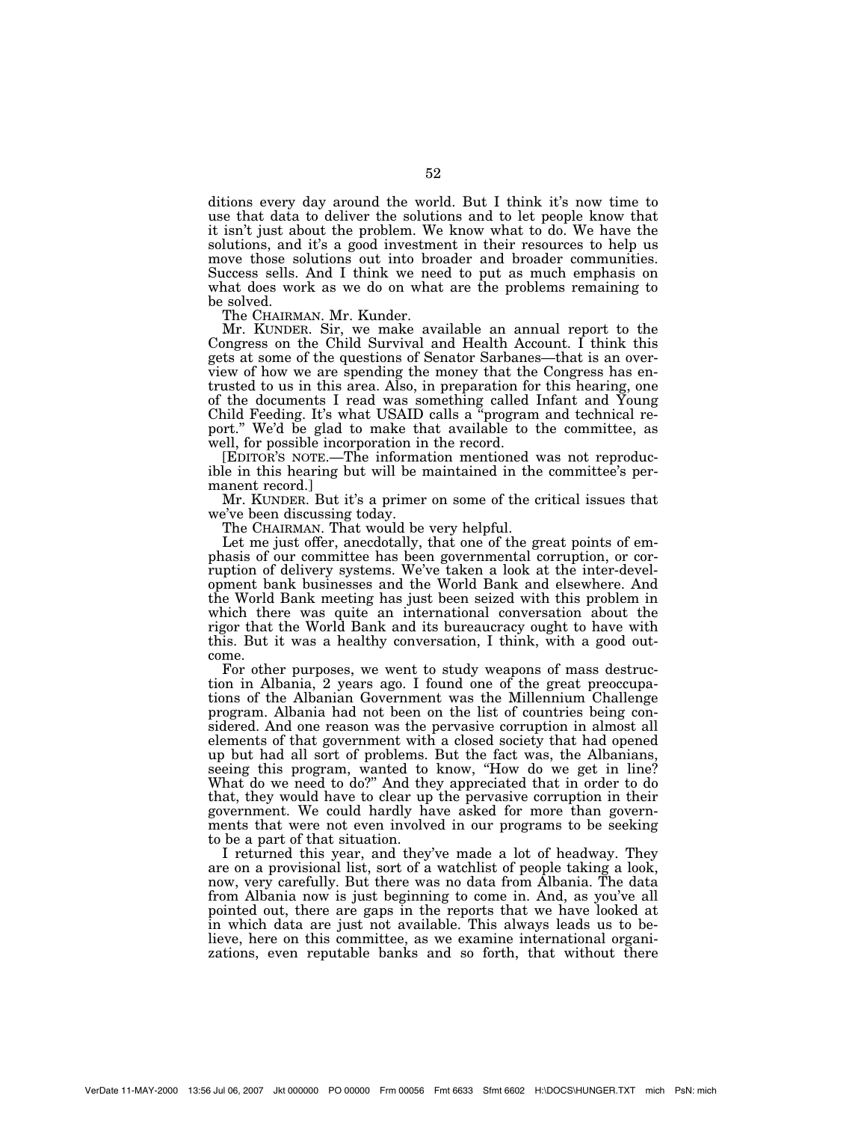ditions every day around the world. But I think it's now time to use that data to deliver the solutions and to let people know that it isn't just about the problem. We know what to do. We have the solutions, and it's a good investment in their resources to help us move those solutions out into broader and broader communities. Success sells. And I think we need to put as much emphasis on what does work as we do on what are the problems remaining to be solved.

The CHAIRMAN. Mr. Kunder.

Mr. KUNDER. Sir, we make available an annual report to the Congress on the Child Survival and Health Account. I think this gets at some of the questions of Senator Sarbanes—that is an overview of how we are spending the money that the Congress has entrusted to us in this area. Also, in preparation for this hearing, one of the documents I read was something called Infant and Young Child Feeding. It's what USAID calls a ''program and technical report.'' We'd be glad to make that available to the committee, as well, for possible incorporation in the record.

[EDITOR'S NOTE.—The information mentioned was not reproducible in this hearing but will be maintained in the committee's permanent record.]

Mr. KUNDER. But it's a primer on some of the critical issues that we've been discussing today.

The CHAIRMAN. That would be very helpful.

Let me just offer, anecdotally, that one of the great points of emphasis of our committee has been governmental corruption, or corruption of delivery systems. We've taken a look at the inter-development bank businesses and the World Bank and elsewhere. And the World Bank meeting has just been seized with this problem in which there was quite an international conversation about the rigor that the World Bank and its bureaucracy ought to have with this. But it was a healthy conversation, I think, with a good outcome.

For other purposes, we went to study weapons of mass destruction in Albania, 2 years ago. I found one of the great preoccupations of the Albanian Government was the Millennium Challenge program. Albania had not been on the list of countries being considered. And one reason was the pervasive corruption in almost all elements of that government with a closed society that had opened up but had all sort of problems. But the fact was, the Albanians, seeing this program, wanted to know, ''How do we get in line? What do we need to do?" And they appreciated that in order to do that, they would have to clear up the pervasive corruption in their government. We could hardly have asked for more than governments that were not even involved in our programs to be seeking to be a part of that situation.

I returned this year, and they've made a lot of headway. They are on a provisional list, sort of a watchlist of people taking a look, now, very carefully. But there was no data from Albania. The data from Albania now is just beginning to come in. And, as you've all pointed out, there are gaps in the reports that we have looked at in which data are just not available. This always leads us to believe, here on this committee, as we examine international organizations, even reputable banks and so forth, that without there